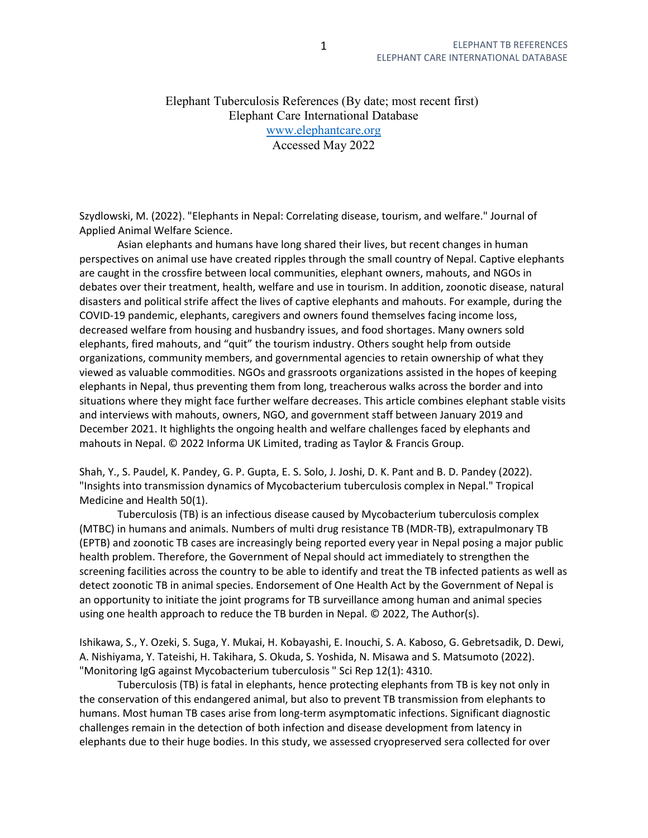Elephant Tuberculosis References (By date; most recent first) Elephant Care International Database www.elephantcare.org Accessed May 2022

Szydlowski, M. (2022). "Elephants in Nepal: Correlating disease, tourism, and welfare." Journal of Applied Animal Welfare Science.

 Asian elephants and humans have long shared their lives, but recent changes in human perspectives on animal use have created ripples through the small country of Nepal. Captive elephants are caught in the crossfire between local communities, elephant owners, mahouts, and NGOs in debates over their treatment, health, welfare and use in tourism. In addition, zoonotic disease, natural disasters and political strife affect the lives of captive elephants and mahouts. For example, during the COVID-19 pandemic, elephants, caregivers and owners found themselves facing income loss, decreased welfare from housing and husbandry issues, and food shortages. Many owners sold elephants, fired mahouts, and "quit" the tourism industry. Others sought help from outside organizations, community members, and governmental agencies to retain ownership of what they viewed as valuable commodities. NGOs and grassroots organizations assisted in the hopes of keeping elephants in Nepal, thus preventing them from long, treacherous walks across the border and into situations where they might face further welfare decreases. This article combines elephant stable visits and interviews with mahouts, owners, NGO, and government staff between January 2019 and December 2021. It highlights the ongoing health and welfare challenges faced by elephants and mahouts in Nepal. © 2022 Informa UK Limited, trading as Taylor & Francis Group.

Shah, Y., S. Paudel, K. Pandey, G. P. Gupta, E. S. Solo, J. Joshi, D. K. Pant and B. D. Pandey (2022). "Insights into transmission dynamics of Mycobacterium tuberculosis complex in Nepal." Tropical Medicine and Health 50(1).

 Tuberculosis (TB) is an infectious disease caused by Mycobacterium tuberculosis complex (MTBC) in humans and animals. Numbers of multi drug resistance TB (MDR-TB), extrapulmonary TB (EPTB) and zoonotic TB cases are increasingly being reported every year in Nepal posing a major public health problem. Therefore, the Government of Nepal should act immediately to strengthen the screening facilities across the country to be able to identify and treat the TB infected patients as well as detect zoonotic TB in animal species. Endorsement of One Health Act by the Government of Nepal is an opportunity to initiate the joint programs for TB surveillance among human and animal species using one health approach to reduce the TB burden in Nepal. © 2022, The Author(s).

Ishikawa, S., Y. Ozeki, S. Suga, Y. Mukai, H. Kobayashi, E. Inouchi, S. A. Kaboso, G. Gebretsadik, D. Dewi, A. Nishiyama, Y. Tateishi, H. Takihara, S. Okuda, S. Yoshida, N. Misawa and S. Matsumoto (2022). "Monitoring IgG against Mycobacterium tuberculosis " Sci Rep 12(1): 4310.

 Tuberculosis (TB) is fatal in elephants, hence protecting elephants from TB is key not only in the conservation of this endangered animal, but also to prevent TB transmission from elephants to humans. Most human TB cases arise from long-term asymptomatic infections. Significant diagnostic challenges remain in the detection of both infection and disease development from latency in elephants due to their huge bodies. In this study, we assessed cryopreserved sera collected for over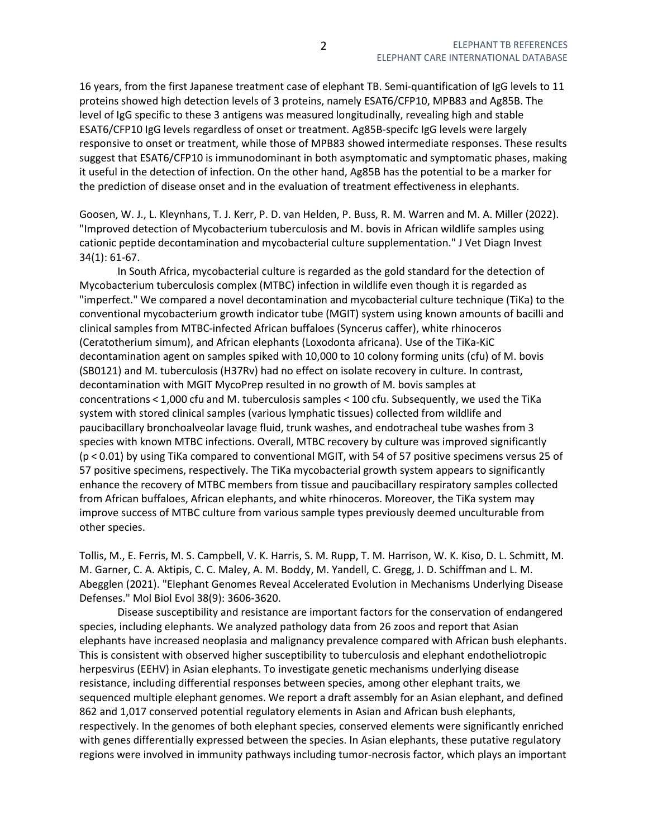16 years, from the first Japanese treatment case of elephant TB. Semi-quantification of IgG levels to 11 proteins showed high detection levels of 3 proteins, namely ESAT6/CFP10, MPB83 and Ag85B. The level of IgG specific to these 3 antigens was measured longitudinally, revealing high and stable ESAT6/CFP10 IgG levels regardless of onset or treatment. Ag85B-specifc IgG levels were largely responsive to onset or treatment, while those of MPB83 showed intermediate responses. These results suggest that ESAT6/CFP10 is immunodominant in both asymptomatic and symptomatic phases, making it useful in the detection of infection. On the other hand, Ag85B has the potential to be a marker for the prediction of disease onset and in the evaluation of treatment effectiveness in elephants.

Goosen, W. J., L. Kleynhans, T. J. Kerr, P. D. van Helden, P. Buss, R. M. Warren and M. A. Miller (2022). "Improved detection of Mycobacterium tuberculosis and M. bovis in African wildlife samples using cationic peptide decontamination and mycobacterial culture supplementation." J Vet Diagn Invest 34(1): 61-67.

 In South Africa, mycobacterial culture is regarded as the gold standard for the detection of Mycobacterium tuberculosis complex (MTBC) infection in wildlife even though it is regarded as "imperfect." We compared a novel decontamination and mycobacterial culture technique (TiKa) to the conventional mycobacterium growth indicator tube (MGIT) system using known amounts of bacilli and clinical samples from MTBC-infected African buffaloes (Syncerus caffer), white rhinoceros (Ceratotherium simum), and African elephants (Loxodonta africana). Use of the TiKa-KiC decontamination agent on samples spiked with 10,000 to 10 colony forming units (cfu) of M. bovis (SB0121) and M. tuberculosis (H37Rv) had no effect on isolate recovery in culture. In contrast, decontamination with MGIT MycoPrep resulted in no growth of M. bovis samples at concentrations < 1,000 cfu and M. tuberculosis samples < 100 cfu. Subsequently, we used the TiKa system with stored clinical samples (various lymphatic tissues) collected from wildlife and paucibacillary bronchoalveolar lavage fluid, trunk washes, and endotracheal tube washes from 3 species with known MTBC infections. Overall, MTBC recovery by culture was improved significantly (p < 0.01) by using TiKa compared to conventional MGIT, with 54 of 57 positive specimens versus 25 of 57 positive specimens, respectively. The TiKa mycobacterial growth system appears to significantly enhance the recovery of MTBC members from tissue and paucibacillary respiratory samples collected from African buffaloes, African elephants, and white rhinoceros. Moreover, the TiKa system may improve success of MTBC culture from various sample types previously deemed unculturable from other species.

Tollis, M., E. Ferris, M. S. Campbell, V. K. Harris, S. M. Rupp, T. M. Harrison, W. K. Kiso, D. L. Schmitt, M. M. Garner, C. A. Aktipis, C. C. Maley, A. M. Boddy, M. Yandell, C. Gregg, J. D. Schiffman and L. M. Abegglen (2021). "Elephant Genomes Reveal Accelerated Evolution in Mechanisms Underlying Disease Defenses." Mol Biol Evol 38(9): 3606-3620.

 Disease susceptibility and resistance are important factors for the conservation of endangered species, including elephants. We analyzed pathology data from 26 zoos and report that Asian elephants have increased neoplasia and malignancy prevalence compared with African bush elephants. This is consistent with observed higher susceptibility to tuberculosis and elephant endotheliotropic herpesvirus (EEHV) in Asian elephants. To investigate genetic mechanisms underlying disease resistance, including differential responses between species, among other elephant traits, we sequenced multiple elephant genomes. We report a draft assembly for an Asian elephant, and defined 862 and 1,017 conserved potential regulatory elements in Asian and African bush elephants, respectively. In the genomes of both elephant species, conserved elements were significantly enriched with genes differentially expressed between the species. In Asian elephants, these putative regulatory regions were involved in immunity pathways including tumor-necrosis factor, which plays an important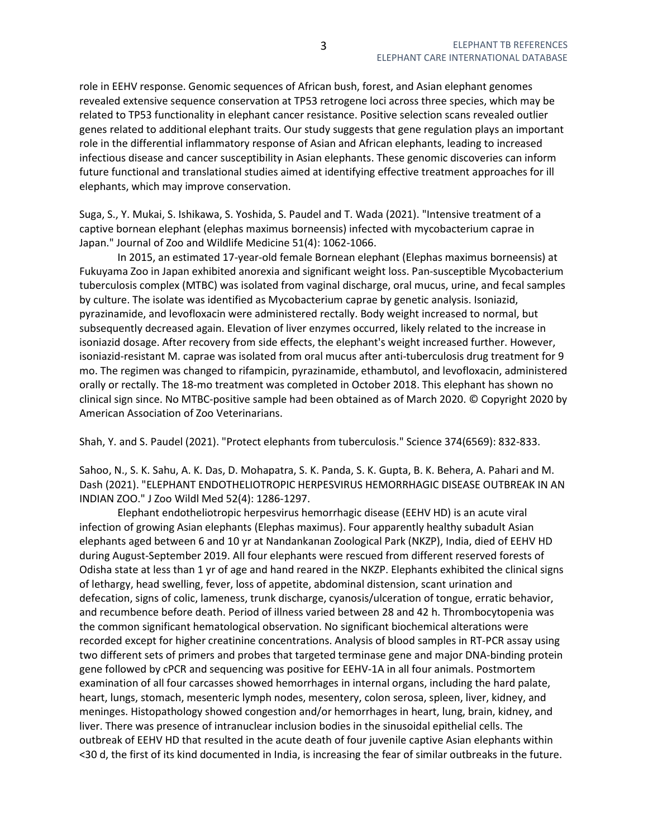role in EEHV response. Genomic sequences of African bush, forest, and Asian elephant genomes revealed extensive sequence conservation at TP53 retrogene loci across three species, which may be related to TP53 functionality in elephant cancer resistance. Positive selection scans revealed outlier genes related to additional elephant traits. Our study suggests that gene regulation plays an important role in the differential inflammatory response of Asian and African elephants, leading to increased infectious disease and cancer susceptibility in Asian elephants. These genomic discoveries can inform future functional and translational studies aimed at identifying effective treatment approaches for ill elephants, which may improve conservation.

Suga, S., Y. Mukai, S. Ishikawa, S. Yoshida, S. Paudel and T. Wada (2021). "Intensive treatment of a captive bornean elephant (elephas maximus borneensis) infected with mycobacterium caprae in Japan." Journal of Zoo and Wildlife Medicine 51(4): 1062-1066.

 In 2015, an estimated 17-year-old female Bornean elephant (Elephas maximus borneensis) at Fukuyama Zoo in Japan exhibited anorexia and significant weight loss. Pan-susceptible Mycobacterium tuberculosis complex (MTBC) was isolated from vaginal discharge, oral mucus, urine, and fecal samples by culture. The isolate was identified as Mycobacterium caprae by genetic analysis. Isoniazid, pyrazinamide, and levofloxacin were administered rectally. Body weight increased to normal, but subsequently decreased again. Elevation of liver enzymes occurred, likely related to the increase in isoniazid dosage. After recovery from side effects, the elephant's weight increased further. However, isoniazid-resistant M. caprae was isolated from oral mucus after anti-tuberculosis drug treatment for 9 mo. The regimen was changed to rifampicin, pyrazinamide, ethambutol, and levofloxacin, administered orally or rectally. The 18-mo treatment was completed in October 2018. This elephant has shown no clinical sign since. No MTBC-positive sample had been obtained as of March 2020. © Copyright 2020 by American Association of Zoo Veterinarians.

Shah, Y. and S. Paudel (2021). "Protect elephants from tuberculosis." Science 374(6569): 832-833.

Sahoo, N., S. K. Sahu, A. K. Das, D. Mohapatra, S. K. Panda, S. K. Gupta, B. K. Behera, A. Pahari and M. Dash (2021). "ELEPHANT ENDOTHELIOTROPIC HERPESVIRUS HEMORRHAGIC DISEASE OUTBREAK IN AN INDIAN ZOO." J Zoo Wildl Med 52(4): 1286-1297.

 Elephant endotheliotropic herpesvirus hemorrhagic disease (EEHV HD) is an acute viral infection of growing Asian elephants (Elephas maximus). Four apparently healthy subadult Asian elephants aged between 6 and 10 yr at Nandankanan Zoological Park (NKZP), India, died of EEHV HD during August-September 2019. All four elephants were rescued from different reserved forests of Odisha state at less than 1 yr of age and hand reared in the NKZP. Elephants exhibited the clinical signs of lethargy, head swelling, fever, loss of appetite, abdominal distension, scant urination and defecation, signs of colic, lameness, trunk discharge, cyanosis/ulceration of tongue, erratic behavior, and recumbence before death. Period of illness varied between 28 and 42 h. Thrombocytopenia was the common significant hematological observation. No significant biochemical alterations were recorded except for higher creatinine concentrations. Analysis of blood samples in RT-PCR assay using two different sets of primers and probes that targeted terminase gene and major DNA-binding protein gene followed by cPCR and sequencing was positive for EEHV-1A in all four animals. Postmortem examination of all four carcasses showed hemorrhages in internal organs, including the hard palate, heart, lungs, stomach, mesenteric lymph nodes, mesentery, colon serosa, spleen, liver, kidney, and meninges. Histopathology showed congestion and/or hemorrhages in heart, lung, brain, kidney, and liver. There was presence of intranuclear inclusion bodies in the sinusoidal epithelial cells. The outbreak of EEHV HD that resulted in the acute death of four juvenile captive Asian elephants within <30 d, the first of its kind documented in India, is increasing the fear of similar outbreaks in the future.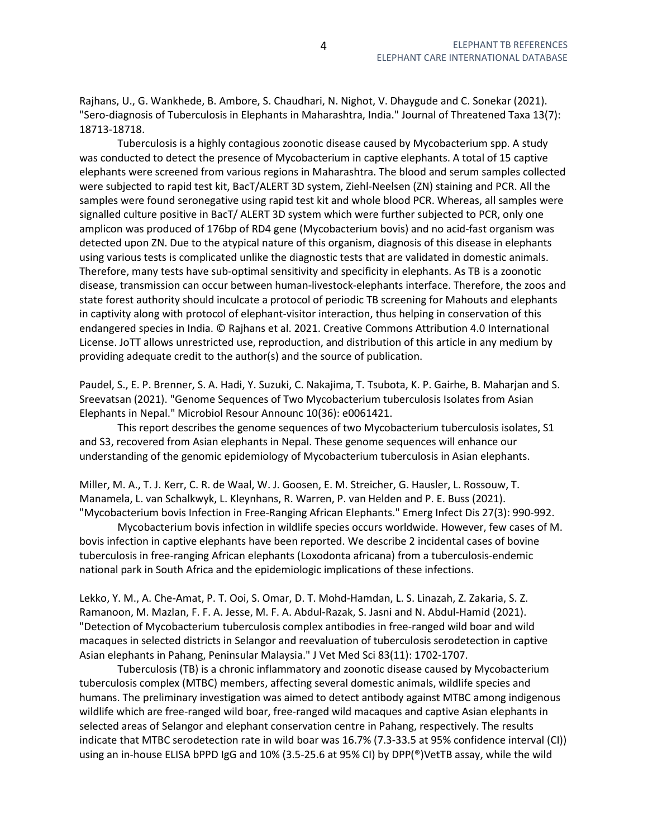Rajhans, U., G. Wankhede, B. Ambore, S. Chaudhari, N. Nighot, V. Dhaygude and C. Sonekar (2021). "Sero-diagnosis of Tuberculosis in Elephants in Maharashtra, India." Journal of Threatened Taxa 13(7): 18713-18718.

 Tuberculosis is a highly contagious zoonotic disease caused by Mycobacterium spp. A study was conducted to detect the presence of Mycobacterium in captive elephants. A total of 15 captive elephants were screened from various regions in Maharashtra. The blood and serum samples collected were subjected to rapid test kit, BacT/ALERT 3D system, Ziehl-Neelsen (ZN) staining and PCR. All the samples were found seronegative using rapid test kit and whole blood PCR. Whereas, all samples were signalled culture positive in BacT/ ALERT 3D system which were further subjected to PCR, only one amplicon was produced of 176bp of RD4 gene (Mycobacterium bovis) and no acid-fast organism was detected upon ZN. Due to the atypical nature of this organism, diagnosis of this disease in elephants using various tests is complicated unlike the diagnostic tests that are validated in domestic animals. Therefore, many tests have sub-optimal sensitivity and specificity in elephants. As TB is a zoonotic disease, transmission can occur between human-livestock-elephants interface. Therefore, the zoos and state forest authority should inculcate a protocol of periodic TB screening for Mahouts and elephants in captivity along with protocol of elephant-visitor interaction, thus helping in conservation of this endangered species in India. © Rajhans et al. 2021. Creative Commons Attribution 4.0 International License. JoTT allows unrestricted use, reproduction, and distribution of this article in any medium by providing adequate credit to the author(s) and the source of publication.

Paudel, S., E. P. Brenner, S. A. Hadi, Y. Suzuki, C. Nakajima, T. Tsubota, K. P. Gairhe, B. Maharjan and S. Sreevatsan (2021). "Genome Sequences of Two Mycobacterium tuberculosis Isolates from Asian Elephants in Nepal." Microbiol Resour Announc 10(36): e0061421.

 This report describes the genome sequences of two Mycobacterium tuberculosis isolates, S1 and S3, recovered from Asian elephants in Nepal. These genome sequences will enhance our understanding of the genomic epidemiology of Mycobacterium tuberculosis in Asian elephants.

Miller, M. A., T. J. Kerr, C. R. de Waal, W. J. Goosen, E. M. Streicher, G. Hausler, L. Rossouw, T. Manamela, L. van Schalkwyk, L. Kleynhans, R. Warren, P. van Helden and P. E. Buss (2021). "Mycobacterium bovis Infection in Free-Ranging African Elephants." Emerg Infect Dis 27(3): 990-992.

 Mycobacterium bovis infection in wildlife species occurs worldwide. However, few cases of M. bovis infection in captive elephants have been reported. We describe 2 incidental cases of bovine tuberculosis in free-ranging African elephants (Loxodonta africana) from a tuberculosis-endemic national park in South Africa and the epidemiologic implications of these infections.

Lekko, Y. M., A. Che-Amat, P. T. Ooi, S. Omar, D. T. Mohd-Hamdan, L. S. Linazah, Z. Zakaria, S. Z. Ramanoon, M. Mazlan, F. F. A. Jesse, M. F. A. Abdul-Razak, S. Jasni and N. Abdul-Hamid (2021). "Detection of Mycobacterium tuberculosis complex antibodies in free-ranged wild boar and wild macaques in selected districts in Selangor and reevaluation of tuberculosis serodetection in captive Asian elephants in Pahang, Peninsular Malaysia." J Vet Med Sci 83(11): 1702-1707.

 Tuberculosis (TB) is a chronic inflammatory and zoonotic disease caused by Mycobacterium tuberculosis complex (MTBC) members, affecting several domestic animals, wildlife species and humans. The preliminary investigation was aimed to detect antibody against MTBC among indigenous wildlife which are free-ranged wild boar, free-ranged wild macaques and captive Asian elephants in selected areas of Selangor and elephant conservation centre in Pahang, respectively. The results indicate that MTBC serodetection rate in wild boar was 16.7% (7.3-33.5 at 95% confidence interval (CI)) using an in-house ELISA bPPD IgG and 10% (3.5-25.6 at 95% CI) by DPP(®)VetTB assay, while the wild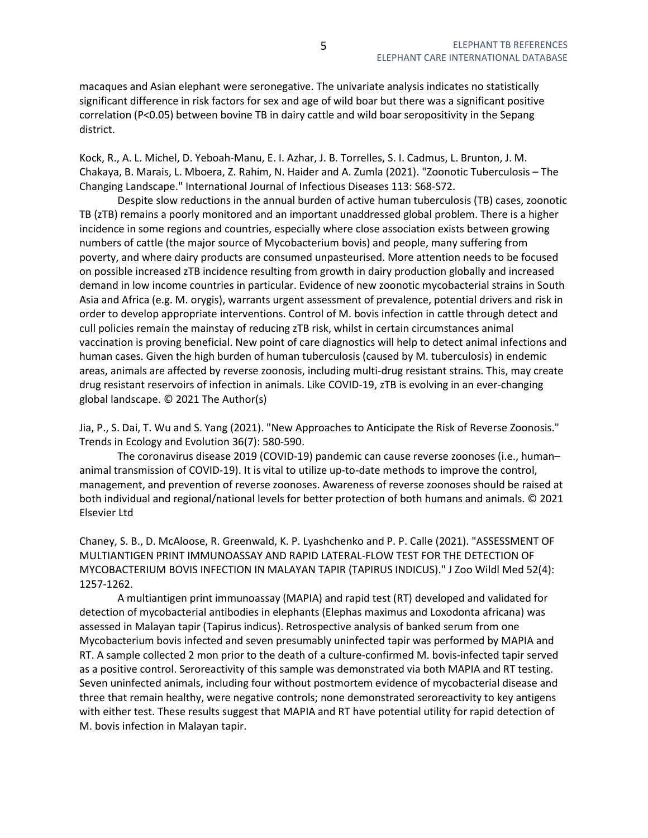macaques and Asian elephant were seronegative. The univariate analysis indicates no statistically significant difference in risk factors for sex and age of wild boar but there was a significant positive correlation (P<0.05) between bovine TB in dairy cattle and wild boar seropositivity in the Sepang district.

Kock, R., A. L. Michel, D. Yeboah-Manu, E. I. Azhar, J. B. Torrelles, S. I. Cadmus, L. Brunton, J. M. Chakaya, B. Marais, L. Mboera, Z. Rahim, N. Haider and A. Zumla (2021). "Zoonotic Tuberculosis – The Changing Landscape." International Journal of Infectious Diseases 113: S68-S72.

 Despite slow reductions in the annual burden of active human tuberculosis (TB) cases, zoonotic TB (zTB) remains a poorly monitored and an important unaddressed global problem. There is a higher incidence in some regions and countries, especially where close association exists between growing numbers of cattle (the major source of Mycobacterium bovis) and people, many suffering from poverty, and where dairy products are consumed unpasteurised. More attention needs to be focused on possible increased zTB incidence resulting from growth in dairy production globally and increased demand in low income countries in particular. Evidence of new zoonotic mycobacterial strains in South Asia and Africa (e.g. M. orygis), warrants urgent assessment of prevalence, potential drivers and risk in order to develop appropriate interventions. Control of M. bovis infection in cattle through detect and cull policies remain the mainstay of reducing zTB risk, whilst in certain circumstances animal vaccination is proving beneficial. New point of care diagnostics will help to detect animal infections and human cases. Given the high burden of human tuberculosis (caused by M. tuberculosis) in endemic areas, animals are affected by reverse zoonosis, including multi-drug resistant strains. This, may create drug resistant reservoirs of infection in animals. Like COVID-19, zTB is evolving in an ever-changing global landscape. © 2021 The Author(s)

Jia, P., S. Dai, T. Wu and S. Yang (2021). "New Approaches to Anticipate the Risk of Reverse Zoonosis." Trends in Ecology and Evolution 36(7): 580-590.

 The coronavirus disease 2019 (COVID-19) pandemic can cause reverse zoonoses (i.e., human– animal transmission of COVID-19). It is vital to utilize up-to-date methods to improve the control, management, and prevention of reverse zoonoses. Awareness of reverse zoonoses should be raised at both individual and regional/national levels for better protection of both humans and animals. © 2021 Elsevier Ltd

Chaney, S. B., D. McAloose, R. Greenwald, K. P. Lyashchenko and P. P. Calle (2021). "ASSESSMENT OF MULTIANTIGEN PRINT IMMUNOASSAY AND RAPID LATERAL-FLOW TEST FOR THE DETECTION OF MYCOBACTERIUM BOVIS INFECTION IN MALAYAN TAPIR (TAPIRUS INDICUS)." J Zoo Wildl Med 52(4): 1257-1262.

 A multiantigen print immunoassay (MAPIA) and rapid test (RT) developed and validated for detection of mycobacterial antibodies in elephants (Elephas maximus and Loxodonta africana) was assessed in Malayan tapir (Tapirus indicus). Retrospective analysis of banked serum from one Mycobacterium bovis infected and seven presumably uninfected tapir was performed by MAPIA and RT. A sample collected 2 mon prior to the death of a culture-confirmed M. bovis-infected tapir served as a positive control. Seroreactivity of this sample was demonstrated via both MAPIA and RT testing. Seven uninfected animals, including four without postmortem evidence of mycobacterial disease and three that remain healthy, were negative controls; none demonstrated seroreactivity to key antigens with either test. These results suggest that MAPIA and RT have potential utility for rapid detection of M. bovis infection in Malayan tapir.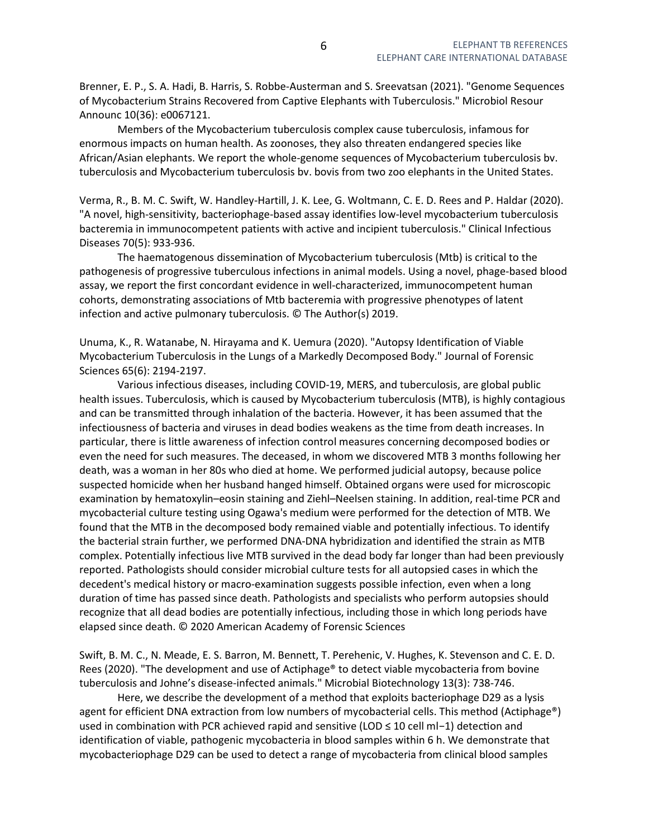Brenner, E. P., S. A. Hadi, B. Harris, S. Robbe-Austerman and S. Sreevatsan (2021). "Genome Sequences of Mycobacterium Strains Recovered from Captive Elephants with Tuberculosis." Microbiol Resour Announc 10(36): e0067121.

 Members of the Mycobacterium tuberculosis complex cause tuberculosis, infamous for enormous impacts on human health. As zoonoses, they also threaten endangered species like African/Asian elephants. We report the whole-genome sequences of Mycobacterium tuberculosis bv. tuberculosis and Mycobacterium tuberculosis bv. bovis from two zoo elephants in the United States.

Verma, R., B. M. C. Swift, W. Handley-Hartill, J. K. Lee, G. Woltmann, C. E. D. Rees and P. Haldar (2020). "A novel, high-sensitivity, bacteriophage-based assay identifies low-level mycobacterium tuberculosis bacteremia in immunocompetent patients with active and incipient tuberculosis." Clinical Infectious Diseases 70(5): 933-936.

 The haematogenous dissemination of Mycobacterium tuberculosis (Mtb) is critical to the pathogenesis of progressive tuberculous infections in animal models. Using a novel, phage-based blood assay, we report the first concordant evidence in well-characterized, immunocompetent human cohorts, demonstrating associations of Mtb bacteremia with progressive phenotypes of latent infection and active pulmonary tuberculosis. © The Author(s) 2019.

Unuma, K., R. Watanabe, N. Hirayama and K. Uemura (2020). "Autopsy Identification of Viable Mycobacterium Tuberculosis in the Lungs of a Markedly Decomposed Body." Journal of Forensic Sciences 65(6): 2194-2197.

 Various infectious diseases, including COVID-19, MERS, and tuberculosis, are global public health issues. Tuberculosis, which is caused by Mycobacterium tuberculosis (MTB), is highly contagious and can be transmitted through inhalation of the bacteria. However, it has been assumed that the infectiousness of bacteria and viruses in dead bodies weakens as the time from death increases. In particular, there is little awareness of infection control measures concerning decomposed bodies or even the need for such measures. The deceased, in whom we discovered MTB 3 months following her death, was a woman in her 80s who died at home. We performed judicial autopsy, because police suspected homicide when her husband hanged himself. Obtained organs were used for microscopic examination by hematoxylin–eosin staining and Ziehl–Neelsen staining. In addition, real-time PCR and mycobacterial culture testing using Ogawa's medium were performed for the detection of MTB. We found that the MTB in the decomposed body remained viable and potentially infectious. To identify the bacterial strain further, we performed DNA-DNA hybridization and identified the strain as MTB complex. Potentially infectious live MTB survived in the dead body far longer than had been previously reported. Pathologists should consider microbial culture tests for all autopsied cases in which the decedent's medical history or macro-examination suggests possible infection, even when a long duration of time has passed since death. Pathologists and specialists who perform autopsies should recognize that all dead bodies are potentially infectious, including those in which long periods have elapsed since death. © 2020 American Academy of Forensic Sciences

Swift, B. M. C., N. Meade, E. S. Barron, M. Bennett, T. Perehenic, V. Hughes, K. Stevenson and C. E. D. Rees (2020). "The development and use of Actiphage® to detect viable mycobacteria from bovine tuberculosis and Johne's disease-infected animals." Microbial Biotechnology 13(3): 738-746.

 Here, we describe the development of a method that exploits bacteriophage D29 as a lysis agent for efficient DNA extraction from low numbers of mycobacterial cells. This method (Actiphage®) used in combination with PCR achieved rapid and sensitive (LOD ≤ 10 cell ml-1) detection and identification of viable, pathogenic mycobacteria in blood samples within 6 h. We demonstrate that mycobacteriophage D29 can be used to detect a range of mycobacteria from clinical blood samples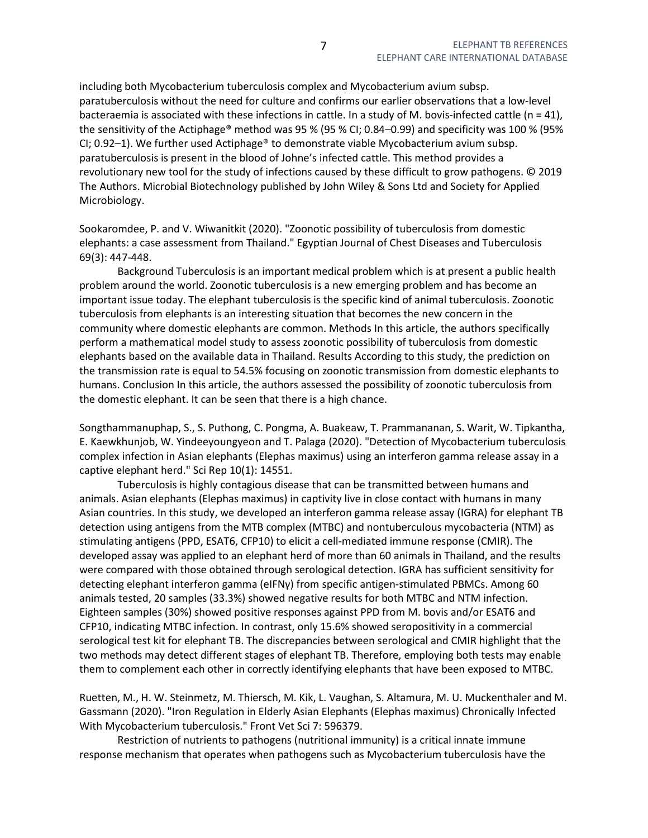including both Mycobacterium tuberculosis complex and Mycobacterium avium subsp. paratuberculosis without the need for culture and confirms our earlier observations that a low-level bacteraemia is associated with these infections in cattle. In a study of M. bovis-infected cattle ( $n = 41$ ), the sensitivity of the Actiphage® method was 95 % (95 % CI; 0.84–0.99) and specificity was 100 % (95% CI; 0.92–1). We further used Actiphage<sup>®</sup> to demonstrate viable Mycobacterium avium subsp. paratuberculosis is present in the blood of Johne's infected cattle. This method provides a revolutionary new tool for the study of infections caused by these difficult to grow pathogens. © 2019 The Authors. Microbial Biotechnology published by John Wiley & Sons Ltd and Society for Applied Microbiology.

Sookaromdee, P. and V. Wiwanitkit (2020). "Zoonotic possibility of tuberculosis from domestic elephants: a case assessment from Thailand." Egyptian Journal of Chest Diseases and Tuberculosis 69(3): 447-448.

 Background Tuberculosis is an important medical problem which is at present a public health problem around the world. Zoonotic tuberculosis is a new emerging problem and has become an important issue today. The elephant tuberculosis is the specific kind of animal tuberculosis. Zoonotic tuberculosis from elephants is an interesting situation that becomes the new concern in the community where domestic elephants are common. Methods In this article, the authors specifically perform a mathematical model study to assess zoonotic possibility of tuberculosis from domestic elephants based on the available data in Thailand. Results According to this study, the prediction on the transmission rate is equal to 54.5% focusing on zoonotic transmission from domestic elephants to humans. Conclusion In this article, the authors assessed the possibility of zoonotic tuberculosis from the domestic elephant. It can be seen that there is a high chance.

Songthammanuphap, S., S. Puthong, C. Pongma, A. Buakeaw, T. Prammananan, S. Warit, W. Tipkantha, E. Kaewkhunjob, W. Yindeeyoungyeon and T. Palaga (2020). "Detection of Mycobacterium tuberculosis complex infection in Asian elephants (Elephas maximus) using an interferon gamma release assay in a captive elephant herd." Sci Rep 10(1): 14551.

 Tuberculosis is highly contagious disease that can be transmitted between humans and animals. Asian elephants (Elephas maximus) in captivity live in close contact with humans in many Asian countries. In this study, we developed an interferon gamma release assay (IGRA) for elephant TB detection using antigens from the MTB complex (MTBC) and nontuberculous mycobacteria (NTM) as stimulating antigens (PPD, ESAT6, CFP10) to elicit a cell-mediated immune response (CMIR). The developed assay was applied to an elephant herd of more than 60 animals in Thailand, and the results were compared with those obtained through serological detection. IGRA has sufficient sensitivity for detecting elephant interferon gamma (eIFNγ) from specific antigen-stimulated PBMCs. Among 60 animals tested, 20 samples (33.3%) showed negative results for both MTBC and NTM infection. Eighteen samples (30%) showed positive responses against PPD from M. bovis and/or ESAT6 and CFP10, indicating MTBC infection. In contrast, only 15.6% showed seropositivity in a commercial serological test kit for elephant TB. The discrepancies between serological and CMIR highlight that the two methods may detect different stages of elephant TB. Therefore, employing both tests may enable them to complement each other in correctly identifying elephants that have been exposed to MTBC.

Ruetten, M., H. W. Steinmetz, M. Thiersch, M. Kik, L. Vaughan, S. Altamura, M. U. Muckenthaler and M. Gassmann (2020). "Iron Regulation in Elderly Asian Elephants (Elephas maximus) Chronically Infected With Mycobacterium tuberculosis." Front Vet Sci 7: 596379.

 Restriction of nutrients to pathogens (nutritional immunity) is a critical innate immune response mechanism that operates when pathogens such as Mycobacterium tuberculosis have the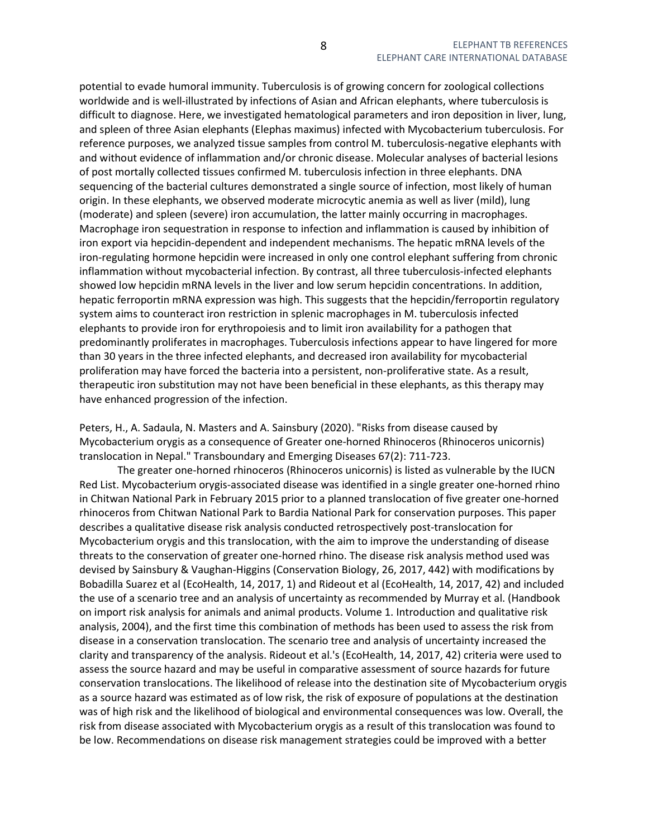potential to evade humoral immunity. Tuberculosis is of growing concern for zoological collections worldwide and is well-illustrated by infections of Asian and African elephants, where tuberculosis is difficult to diagnose. Here, we investigated hematological parameters and iron deposition in liver, lung, and spleen of three Asian elephants (Elephas maximus) infected with Mycobacterium tuberculosis. For reference purposes, we analyzed tissue samples from control M. tuberculosis-negative elephants with and without evidence of inflammation and/or chronic disease. Molecular analyses of bacterial lesions of post mortally collected tissues confirmed M. tuberculosis infection in three elephants. DNA sequencing of the bacterial cultures demonstrated a single source of infection, most likely of human origin. In these elephants, we observed moderate microcytic anemia as well as liver (mild), lung (moderate) and spleen (severe) iron accumulation, the latter mainly occurring in macrophages. Macrophage iron sequestration in response to infection and inflammation is caused by inhibition of iron export via hepcidin-dependent and independent mechanisms. The hepatic mRNA levels of the iron-regulating hormone hepcidin were increased in only one control elephant suffering from chronic inflammation without mycobacterial infection. By contrast, all three tuberculosis-infected elephants showed low hepcidin mRNA levels in the liver and low serum hepcidin concentrations. In addition, hepatic ferroportin mRNA expression was high. This suggests that the hepcidin/ferroportin regulatory system aims to counteract iron restriction in splenic macrophages in M. tuberculosis infected elephants to provide iron for erythropoiesis and to limit iron availability for a pathogen that predominantly proliferates in macrophages. Tuberculosis infections appear to have lingered for more than 30 years in the three infected elephants, and decreased iron availability for mycobacterial proliferation may have forced the bacteria into a persistent, non-proliferative state. As a result, therapeutic iron substitution may not have been beneficial in these elephants, as this therapy may have enhanced progression of the infection.

Peters, H., A. Sadaula, N. Masters and A. Sainsbury (2020). "Risks from disease caused by Mycobacterium orygis as a consequence of Greater one-horned Rhinoceros (Rhinoceros unicornis) translocation in Nepal." Transboundary and Emerging Diseases 67(2): 711-723.

 The greater one-horned rhinoceros (Rhinoceros unicornis) is listed as vulnerable by the IUCN Red List. Mycobacterium orygis-associated disease was identified in a single greater one-horned rhino in Chitwan National Park in February 2015 prior to a planned translocation of five greater one-horned rhinoceros from Chitwan National Park to Bardia National Park for conservation purposes. This paper describes a qualitative disease risk analysis conducted retrospectively post-translocation for Mycobacterium orygis and this translocation, with the aim to improve the understanding of disease threats to the conservation of greater one-horned rhino. The disease risk analysis method used was devised by Sainsbury & Vaughan-Higgins (Conservation Biology, 26, 2017, 442) with modifications by Bobadilla Suarez et al (EcoHealth, 14, 2017, 1) and Rideout et al (EcoHealth, 14, 2017, 42) and included the use of a scenario tree and an analysis of uncertainty as recommended by Murray et al. (Handbook on import risk analysis for animals and animal products. Volume 1. Introduction and qualitative risk analysis, 2004), and the first time this combination of methods has been used to assess the risk from disease in a conservation translocation. The scenario tree and analysis of uncertainty increased the clarity and transparency of the analysis. Rideout et al.'s (EcoHealth, 14, 2017, 42) criteria were used to assess the source hazard and may be useful in comparative assessment of source hazards for future conservation translocations. The likelihood of release into the destination site of Mycobacterium orygis as a source hazard was estimated as of low risk, the risk of exposure of populations at the destination was of high risk and the likelihood of biological and environmental consequences was low. Overall, the risk from disease associated with Mycobacterium orygis as a result of this translocation was found to be low. Recommendations on disease risk management strategies could be improved with a better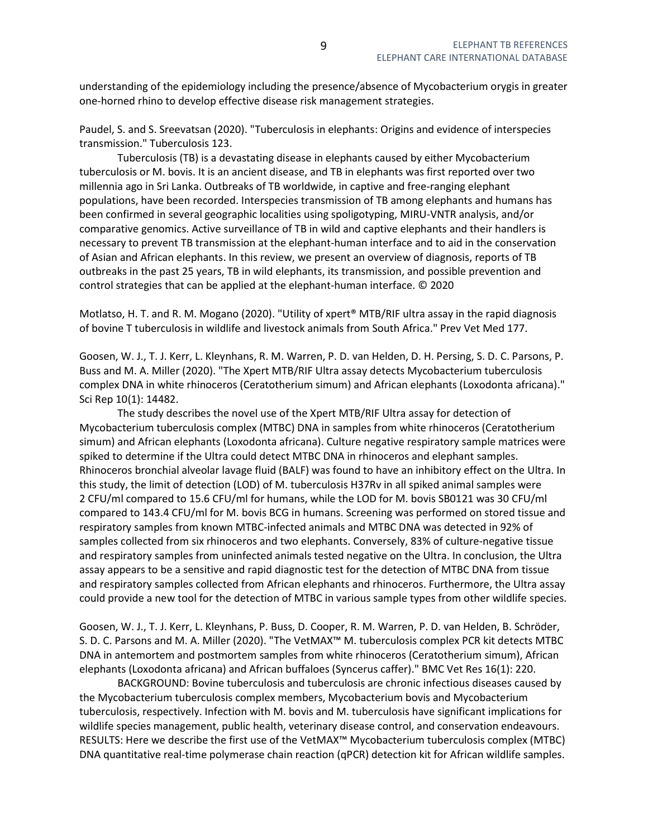understanding of the epidemiology including the presence/absence of Mycobacterium orygis in greater one-horned rhino to develop effective disease risk management strategies.

Paudel, S. and S. Sreevatsan (2020). "Tuberculosis in elephants: Origins and evidence of interspecies transmission." Tuberculosis 123.

 Tuberculosis (TB) is a devastating disease in elephants caused by either Mycobacterium tuberculosis or M. bovis. It is an ancient disease, and TB in elephants was first reported over two millennia ago in Sri Lanka. Outbreaks of TB worldwide, in captive and free-ranging elephant populations, have been recorded. Interspecies transmission of TB among elephants and humans has been confirmed in several geographic localities using spoligotyping, MIRU-VNTR analysis, and/or comparative genomics. Active surveillance of TB in wild and captive elephants and their handlers is necessary to prevent TB transmission at the elephant-human interface and to aid in the conservation of Asian and African elephants. In this review, we present an overview of diagnosis, reports of TB outbreaks in the past 25 years, TB in wild elephants, its transmission, and possible prevention and control strategies that can be applied at the elephant-human interface. © 2020

Motlatso, H. T. and R. M. Mogano (2020). "Utility of xpert® MTB/RIF ultra assay in the rapid diagnosis of bovine T tuberculosis in wildlife and livestock animals from South Africa." Prev Vet Med 177.

Goosen, W. J., T. J. Kerr, L. Kleynhans, R. M. Warren, P. D. van Helden, D. H. Persing, S. D. C. Parsons, P. Buss and M. A. Miller (2020). "The Xpert MTB/RIF Ultra assay detects Mycobacterium tuberculosis complex DNA in white rhinoceros (Ceratotherium simum) and African elephants (Loxodonta africana)." Sci Rep 10(1): 14482.

 The study describes the novel use of the Xpert MTB/RIF Ultra assay for detection of Mycobacterium tuberculosis complex (MTBC) DNA in samples from white rhinoceros (Ceratotherium simum) and African elephants (Loxodonta africana). Culture negative respiratory sample matrices were spiked to determine if the Ultra could detect MTBC DNA in rhinoceros and elephant samples. Rhinoceros bronchial alveolar lavage fluid (BALF) was found to have an inhibitory effect on the Ultra. In this study, the limit of detection (LOD) of M. tuberculosis H37Rv in all spiked animal samples were 2 CFU/ml compared to 15.6 CFU/ml for humans, while the LOD for M. bovis SB0121 was 30 CFU/ml compared to 143.4 CFU/ml for M. bovis BCG in humans. Screening was performed on stored tissue and respiratory samples from known MTBC-infected animals and MTBC DNA was detected in 92% of samples collected from six rhinoceros and two elephants. Conversely, 83% of culture-negative tissue and respiratory samples from uninfected animals tested negative on the Ultra. In conclusion, the Ultra assay appears to be a sensitive and rapid diagnostic test for the detection of MTBC DNA from tissue and respiratory samples collected from African elephants and rhinoceros. Furthermore, the Ultra assay could provide a new tool for the detection of MTBC in various sample types from other wildlife species.

Goosen, W. J., T. J. Kerr, L. Kleynhans, P. Buss, D. Cooper, R. M. Warren, P. D. van Helden, B. Schröder, S. D. C. Parsons and M. A. Miller (2020). "The VetMAX™ M. tuberculosis complex PCR kit detects MTBC DNA in antemortem and postmortem samples from white rhinoceros (Ceratotherium simum), African elephants (Loxodonta africana) and African buffaloes (Syncerus caffer)." BMC Vet Res 16(1): 220.

 BACKGROUND: Bovine tuberculosis and tuberculosis are chronic infectious diseases caused by the Mycobacterium tuberculosis complex members, Mycobacterium bovis and Mycobacterium tuberculosis, respectively. Infection with M. bovis and M. tuberculosis have significant implications for wildlife species management, public health, veterinary disease control, and conservation endeavours. RESULTS: Here we describe the first use of the VetMAX™ Mycobacterium tuberculosis complex (MTBC) DNA quantitative real-time polymerase chain reaction (qPCR) detection kit for African wildlife samples.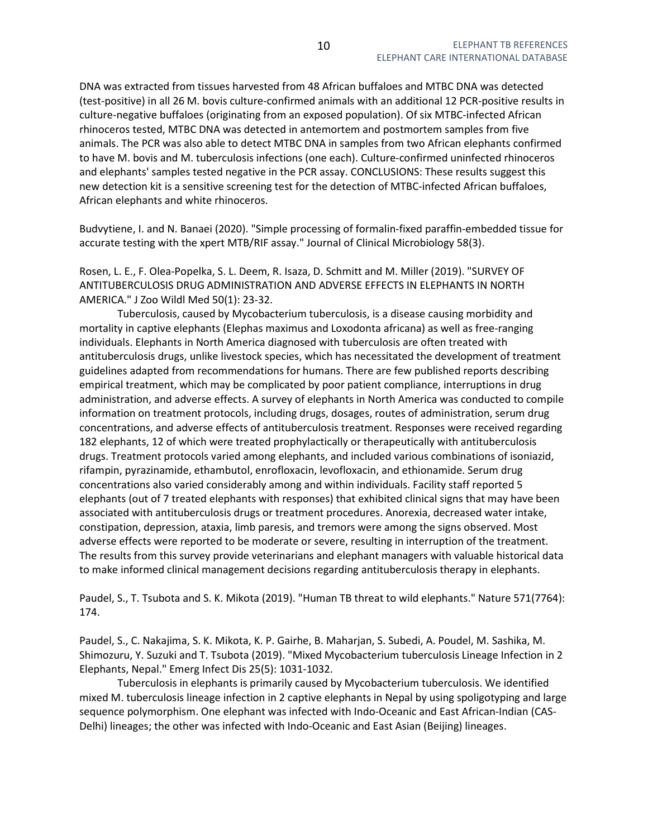DNA was extracted from tissues harvested from 48 African buffaloes and MTBC DNA was detected (test-positive) in all 26 M. bovis culture-confirmed animals with an additional 12 PCR-positive results in culture-negative buffaloes (originating from an exposed population). Of six MTBC-infected African rhinoceros tested, MTBC DNA was detected in antemortem and postmortem samples from five animals. The PCR was also able to detect MTBC DNA in samples from two African elephants confirmed to have M. bovis and M. tuberculosis infections (one each). Culture-confirmed uninfected rhinoceros and elephants' samples tested negative in the PCR assay. CONCLUSIONS: These results suggest this new detection kit is a sensitive screening test for the detection of MTBC-infected African buffaloes, African elephants and white rhinoceros.

Budvytiene, I. and N. Banaei (2020). "Simple processing of formalin-fixed paraffin-embedded tissue for accurate testing with the xpert MTB/RIF assay." Journal of Clinical Microbiology 58(3).

Rosen, L. E., F. Olea-Popelka, S. L. Deem, R. Isaza, D. Schmitt and M. Miller (2019). "SURVEY OF ANTITUBERCULOSIS DRUG ADMINISTRATION AND ADVERSE EFFECTS IN ELEPHANTS IN NORTH AMERICA." J Zoo Wildl Med 50(1): 23-32.

 Tuberculosis, caused by Mycobacterium tuberculosis, is a disease causing morbidity and mortality in captive elephants (Elephas maximus and Loxodonta africana) as well as free-ranging individuals. Elephants in North America diagnosed with tuberculosis are often treated with antituberculosis drugs, unlike livestock species, which has necessitated the development of treatment guidelines adapted from recommendations for humans. There are few published reports describing empirical treatment, which may be complicated by poor patient compliance, interruptions in drug administration, and adverse effects. A survey of elephants in North America was conducted to compile information on treatment protocols, including drugs, dosages, routes of administration, serum drug concentrations, and adverse effects of antituberculosis treatment. Responses were received regarding 182 elephants, 12 of which were treated prophylactically or therapeutically with antituberculosis drugs. Treatment protocols varied among elephants, and included various combinations of isoniazid, rifampin, pyrazinamide, ethambutol, enrofloxacin, levofloxacin, and ethionamide. Serum drug concentrations also varied considerably among and within individuals. Facility staff reported 5 elephants (out of 7 treated elephants with responses) that exhibited clinical signs that may have been associated with antituberculosis drugs or treatment procedures. Anorexia, decreased water intake, constipation, depression, ataxia, limb paresis, and tremors were among the signs observed. Most adverse effects were reported to be moderate or severe, resulting in interruption of the treatment. The results from this survey provide veterinarians and elephant managers with valuable historical data to make informed clinical management decisions regarding antituberculosis therapy in elephants.

Paudel, S., T. Tsubota and S. K. Mikota (2019). "Human TB threat to wild elephants." Nature 571(7764): 174.

Paudel, S., C. Nakajima, S. K. Mikota, K. P. Gairhe, B. Maharjan, S. Subedi, A. Poudel, M. Sashika, M. Shimozuru, Y. Suzuki and T. Tsubota (2019). "Mixed Mycobacterium tuberculosis Lineage Infection in 2 Elephants, Nepal." Emerg Infect Dis 25(5): 1031-1032.

 Tuberculosis in elephants is primarily caused by Mycobacterium tuberculosis. We identified mixed M. tuberculosis lineage infection in 2 captive elephants in Nepal by using spoligotyping and large sequence polymorphism. One elephant was infected with Indo-Oceanic and East African-Indian (CAS-Delhi) lineages; the other was infected with Indo-Oceanic and East Asian (Beijing) lineages.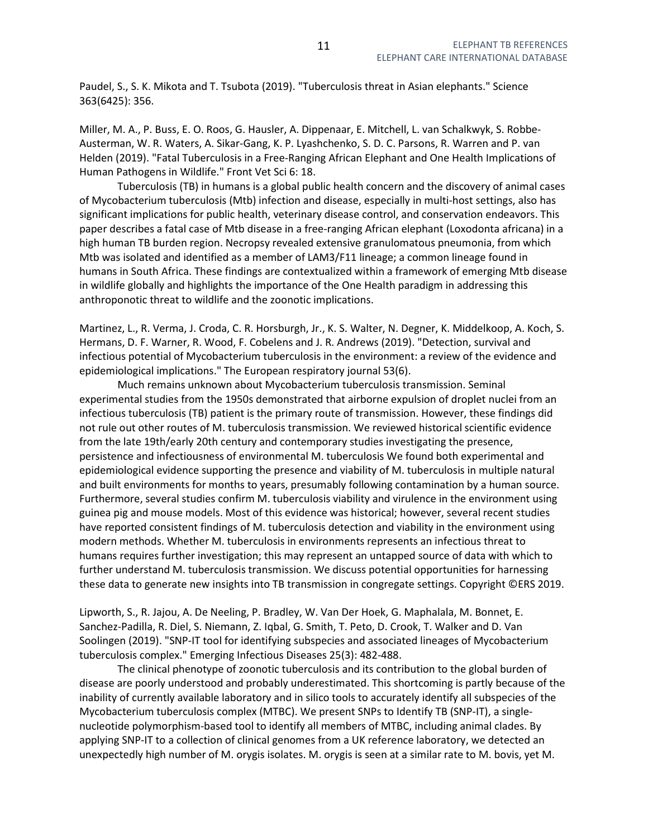Paudel, S., S. K. Mikota and T. Tsubota (2019). "Tuberculosis threat in Asian elephants." Science 363(6425): 356.

Miller, M. A., P. Buss, E. O. Roos, G. Hausler, A. Dippenaar, E. Mitchell, L. van Schalkwyk, S. Robbe-Austerman, W. R. Waters, A. Sikar-Gang, K. P. Lyashchenko, S. D. C. Parsons, R. Warren and P. van Helden (2019). "Fatal Tuberculosis in a Free-Ranging African Elephant and One Health Implications of Human Pathogens in Wildlife." Front Vet Sci 6: 18.

 Tuberculosis (TB) in humans is a global public health concern and the discovery of animal cases of Mycobacterium tuberculosis (Mtb) infection and disease, especially in multi-host settings, also has significant implications for public health, veterinary disease control, and conservation endeavors. This paper describes a fatal case of Mtb disease in a free-ranging African elephant (Loxodonta africana) in a high human TB burden region. Necropsy revealed extensive granulomatous pneumonia, from which Mtb was isolated and identified as a member of LAM3/F11 lineage; a common lineage found in humans in South Africa. These findings are contextualized within a framework of emerging Mtb disease in wildlife globally and highlights the importance of the One Health paradigm in addressing this anthroponotic threat to wildlife and the zoonotic implications.

Martinez, L., R. Verma, J. Croda, C. R. Horsburgh, Jr., K. S. Walter, N. Degner, K. Middelkoop, A. Koch, S. Hermans, D. F. Warner, R. Wood, F. Cobelens and J. R. Andrews (2019). "Detection, survival and infectious potential of Mycobacterium tuberculosis in the environment: a review of the evidence and epidemiological implications." The European respiratory journal 53(6).

 Much remains unknown about Mycobacterium tuberculosis transmission. Seminal experimental studies from the 1950s demonstrated that airborne expulsion of droplet nuclei from an infectious tuberculosis (TB) patient is the primary route of transmission. However, these findings did not rule out other routes of M. tuberculosis transmission. We reviewed historical scientific evidence from the late 19th/early 20th century and contemporary studies investigating the presence, persistence and infectiousness of environmental M. tuberculosis We found both experimental and epidemiological evidence supporting the presence and viability of M. tuberculosis in multiple natural and built environments for months to years, presumably following contamination by a human source. Furthermore, several studies confirm M. tuberculosis viability and virulence in the environment using guinea pig and mouse models. Most of this evidence was historical; however, several recent studies have reported consistent findings of M. tuberculosis detection and viability in the environment using modern methods. Whether M. tuberculosis in environments represents an infectious threat to humans requires further investigation; this may represent an untapped source of data with which to further understand M. tuberculosis transmission. We discuss potential opportunities for harnessing these data to generate new insights into TB transmission in congregate settings. Copyright ©ERS 2019.

Lipworth, S., R. Jajou, A. De Neeling, P. Bradley, W. Van Der Hoek, G. Maphalala, M. Bonnet, E. Sanchez-Padilla, R. Diel, S. Niemann, Z. Iqbal, G. Smith, T. Peto, D. Crook, T. Walker and D. Van Soolingen (2019). "SNP-IT tool for identifying subspecies and associated lineages of Mycobacterium tuberculosis complex." Emerging Infectious Diseases 25(3): 482-488.

 The clinical phenotype of zoonotic tuberculosis and its contribution to the global burden of disease are poorly understood and probably underestimated. This shortcoming is partly because of the inability of currently available laboratory and in silico tools to accurately identify all subspecies of the Mycobacterium tuberculosis complex (MTBC). We present SNPs to Identify TB (SNP-IT), a singlenucleotide polymorphism-based tool to identify all members of MTBC, including animal clades. By applying SNP-IT to a collection of clinical genomes from a UK reference laboratory, we detected an unexpectedly high number of M. orygis isolates. M. orygis is seen at a similar rate to M. bovis, yet M.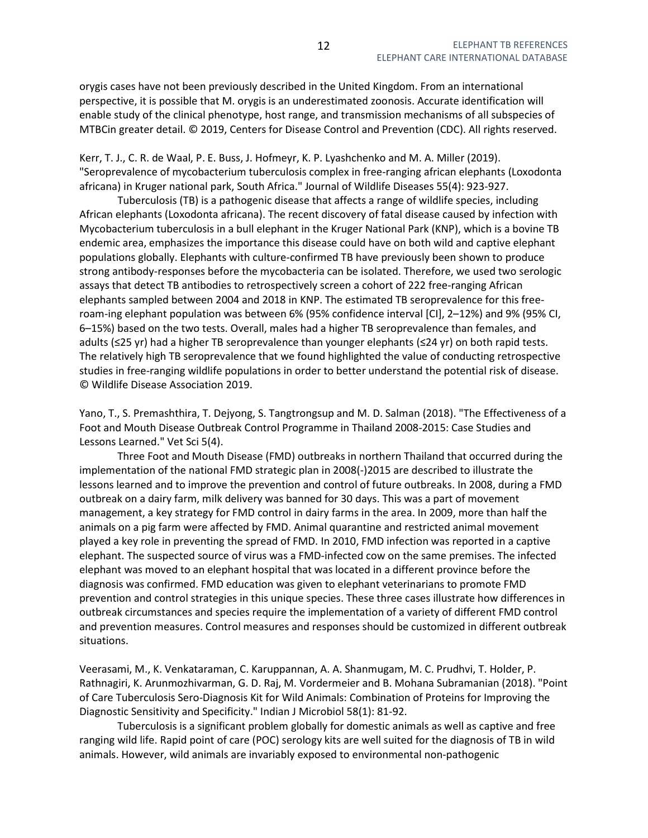orygis cases have not been previously described in the United Kingdom. From an international perspective, it is possible that M. orygis is an underestimated zoonosis. Accurate identification will enable study of the clinical phenotype, host range, and transmission mechanisms of all subspecies of MTBCin greater detail. © 2019, Centers for Disease Control and Prevention (CDC). All rights reserved.

Kerr, T. J., C. R. de Waal, P. E. Buss, J. Hofmeyr, K. P. Lyashchenko and M. A. Miller (2019). "Seroprevalence of mycobacterium tuberculosis complex in free-ranging african elephants (Loxodonta africana) in Kruger national park, South Africa." Journal of Wildlife Diseases 55(4): 923-927.

 Tuberculosis (TB) is a pathogenic disease that affects a range of wildlife species, including African elephants (Loxodonta africana). The recent discovery of fatal disease caused by infection with Mycobacterium tuberculosis in a bull elephant in the Kruger National Park (KNP), which is a bovine TB endemic area, emphasizes the importance this disease could have on both wild and captive elephant populations globally. Elephants with culture-confirmed TB have previously been shown to produce strong antibody-responses before the mycobacteria can be isolated. Therefore, we used two serologic assays that detect TB antibodies to retrospectively screen a cohort of 222 free-ranging African elephants sampled between 2004 and 2018 in KNP. The estimated TB seroprevalence for this freeroam-ing elephant population was between 6% (95% confidence interval [CI], 2–12%) and 9% (95% CI, 6–15%) based on the two tests. Overall, males had a higher TB seroprevalence than females, and adults (≤25 yr) had a higher TB seroprevalence than younger elephants (≤24 yr) on both rapid tests. The relatively high TB seroprevalence that we found highlighted the value of conducting retrospective studies in free-ranging wildlife populations in order to better understand the potential risk of disease. © Wildlife Disease Association 2019.

Yano, T., S. Premashthira, T. Dejyong, S. Tangtrongsup and M. D. Salman (2018). "The Effectiveness of a Foot and Mouth Disease Outbreak Control Programme in Thailand 2008-2015: Case Studies and Lessons Learned." Vet Sci 5(4).

 Three Foot and Mouth Disease (FMD) outbreaks in northern Thailand that occurred during the implementation of the national FMD strategic plan in 2008(-)2015 are described to illustrate the lessons learned and to improve the prevention and control of future outbreaks. In 2008, during a FMD outbreak on a dairy farm, milk delivery was banned for 30 days. This was a part of movement management, a key strategy for FMD control in dairy farms in the area. In 2009, more than half the animals on a pig farm were affected by FMD. Animal quarantine and restricted animal movement played a key role in preventing the spread of FMD. In 2010, FMD infection was reported in a captive elephant. The suspected source of virus was a FMD-infected cow on the same premises. The infected elephant was moved to an elephant hospital that was located in a different province before the diagnosis was confirmed. FMD education was given to elephant veterinarians to promote FMD prevention and control strategies in this unique species. These three cases illustrate how differences in outbreak circumstances and species require the implementation of a variety of different FMD control and prevention measures. Control measures and responses should be customized in different outbreak situations.

Veerasami, M., K. Venkataraman, C. Karuppannan, A. A. Shanmugam, M. C. Prudhvi, T. Holder, P. Rathnagiri, K. Arunmozhivarman, G. D. Raj, M. Vordermeier and B. Mohana Subramanian (2018). "Point of Care Tuberculosis Sero-Diagnosis Kit for Wild Animals: Combination of Proteins for Improving the Diagnostic Sensitivity and Specificity." Indian J Microbiol 58(1): 81-92.

 Tuberculosis is a significant problem globally for domestic animals as well as captive and free ranging wild life. Rapid point of care (POC) serology kits are well suited for the diagnosis of TB in wild animals. However, wild animals are invariably exposed to environmental non-pathogenic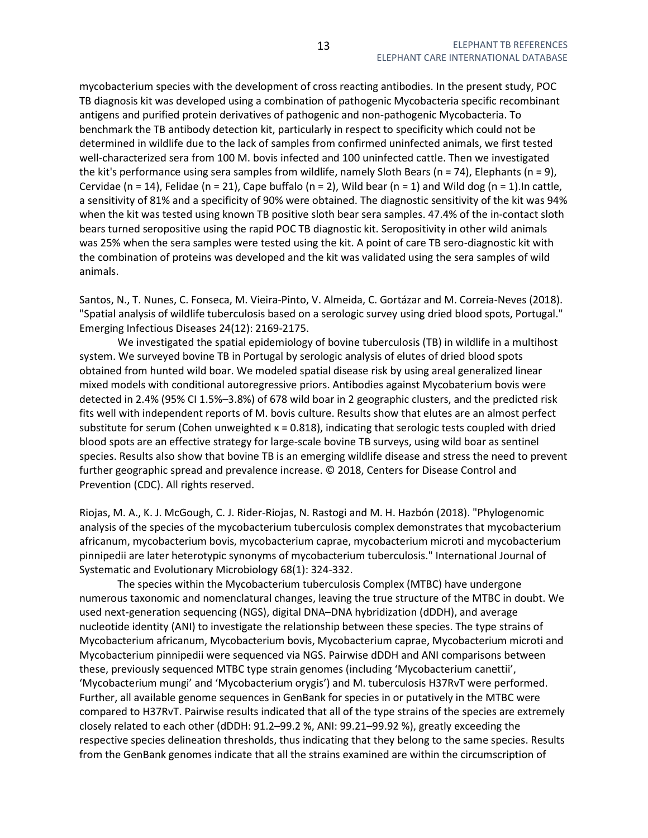mycobacterium species with the development of cross reacting antibodies. In the present study, POC TB diagnosis kit was developed using a combination of pathogenic Mycobacteria specific recombinant antigens and purified protein derivatives of pathogenic and non-pathogenic Mycobacteria. To benchmark the TB antibody detection kit, particularly in respect to specificity which could not be determined in wildlife due to the lack of samples from confirmed uninfected animals, we first tested well-characterized sera from 100 M. bovis infected and 100 uninfected cattle. Then we investigated the kit's performance using sera samples from wildlife, namely Sloth Bears (n = 74), Elephants (n = 9), Cervidae (n = 14), Felidae (n = 21), Cape buffalo (n = 2), Wild bear (n = 1) and Wild dog (n = 1). In cattle, a sensitivity of 81% and a specificity of 90% were obtained. The diagnostic sensitivity of the kit was 94% when the kit was tested using known TB positive sloth bear sera samples. 47.4% of the in-contact sloth bears turned seropositive using the rapid POC TB diagnostic kit. Seropositivity in other wild animals was 25% when the sera samples were tested using the kit. A point of care TB sero-diagnostic kit with the combination of proteins was developed and the kit was validated using the sera samples of wild animals.

Santos, N., T. Nunes, C. Fonseca, M. Vieira-Pinto, V. Almeida, C. Gortázar and M. Correia-Neves (2018). "Spatial analysis of wildlife tuberculosis based on a serologic survey using dried blood spots, Portugal." Emerging Infectious Diseases 24(12): 2169-2175.

We investigated the spatial epidemiology of bovine tuberculosis (TB) in wildlife in a multihost system. We surveyed bovine TB in Portugal by serologic analysis of elutes of dried blood spots obtained from hunted wild boar. We modeled spatial disease risk by using areal generalized linear mixed models with conditional autoregressive priors. Antibodies against Mycobaterium bovis were detected in 2.4% (95% CI 1.5%–3.8%) of 678 wild boar in 2 geographic clusters, and the predicted risk fits well with independent reports of M. bovis culture. Results show that elutes are an almost perfect substitute for serum (Cohen unweighted  $\kappa = 0.818$ ), indicating that serologic tests coupled with dried blood spots are an effective strategy for large-scale bovine TB surveys, using wild boar as sentinel species. Results also show that bovine TB is an emerging wildlife disease and stress the need to prevent further geographic spread and prevalence increase. © 2018, Centers for Disease Control and Prevention (CDC). All rights reserved.

Riojas, M. A., K. J. McGough, C. J. Rider-Riojas, N. Rastogi and M. H. Hazbón (2018). "Phylogenomic analysis of the species of the mycobacterium tuberculosis complex demonstrates that mycobacterium africanum, mycobacterium bovis, mycobacterium caprae, mycobacterium microti and mycobacterium pinnipedii are later heterotypic synonyms of mycobacterium tuberculosis." International Journal of Systematic and Evolutionary Microbiology 68(1): 324-332.

 The species within the Mycobacterium tuberculosis Complex (MTBC) have undergone numerous taxonomic and nomenclatural changes, leaving the true structure of the MTBC in doubt. We used next-generation sequencing (NGS), digital DNA–DNA hybridization (dDDH), and average nucleotide identity (ANI) to investigate the relationship between these species. The type strains of Mycobacterium africanum, Mycobacterium bovis, Mycobacterium caprae, Mycobacterium microti and Mycobacterium pinnipedii were sequenced via NGS. Pairwise dDDH and ANI comparisons between these, previously sequenced MTBC type strain genomes (including 'Mycobacterium canettii', 'Mycobacterium mungi' and 'Mycobacterium orygis') and M. tuberculosis H37RvT were performed. Further, all available genome sequences in GenBank for species in or putatively in the MTBC were compared to H37RvT. Pairwise results indicated that all of the type strains of the species are extremely closely related to each other (dDDH: 91.2–99.2 %, ANI: 99.21–99.92 %), greatly exceeding the respective species delineation thresholds, thus indicating that they belong to the same species. Results from the GenBank genomes indicate that all the strains examined are within the circumscription of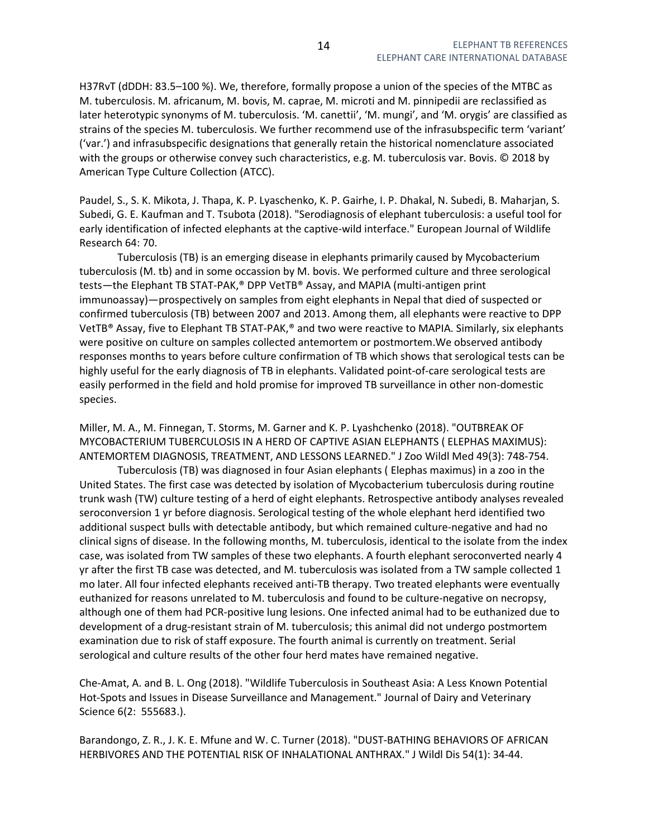H37RvT (dDDH: 83.5–100 %). We, therefore, formally propose a union of the species of the MTBC as M. tuberculosis. M. africanum, M. bovis, M. caprae, M. microti and M. pinnipedii are reclassified as later heterotypic synonyms of M. tuberculosis. 'M. canettii', 'M. mungi', and 'M. orygis' are classified as strains of the species M. tuberculosis. We further recommend use of the infrasubspecific term 'variant' ('var.') and infrasubspecific designations that generally retain the historical nomenclature associated with the groups or otherwise convey such characteristics, e.g. M. tuberculosis var. Bovis. © 2018 by American Type Culture Collection (ATCC).

Paudel, S., S. K. Mikota, J. Thapa, K. P. Lyaschenko, K. P. Gairhe, I. P. Dhakal, N. Subedi, B. Maharjan, S. Subedi, G. E. Kaufman and T. Tsubota (2018). "Serodiagnosis of elephant tuberculosis: a useful tool for early identification of infected elephants at the captive-wild interface." European Journal of Wildlife Research 64: 70.

 Tuberculosis (TB) is an emerging disease in elephants primarily caused by Mycobacterium tuberculosis (M. tb) and in some occassion by M. bovis. We performed culture and three serological tests—the Elephant TB STAT-PAK,® DPP VetTB® Assay, and MAPIA (multi-antigen print immunoassay)—prospectively on samples from eight elephants in Nepal that died of suspected or confirmed tuberculosis (TB) between 2007 and 2013. Among them, all elephants were reactive to DPP VetTB® Assay, five to Elephant TB STAT-PAK,® and two were reactive to MAPIA. Similarly, six elephants were positive on culture on samples collected antemortem or postmortem.We observed antibody responses months to years before culture confirmation of TB which shows that serological tests can be highly useful for the early diagnosis of TB in elephants. Validated point-of-care serological tests are easily performed in the field and hold promise for improved TB surveillance in other non-domestic species.

Miller, M. A., M. Finnegan, T. Storms, M. Garner and K. P. Lyashchenko (2018). "OUTBREAK OF MYCOBACTERIUM TUBERCULOSIS IN A HERD OF CAPTIVE ASIAN ELEPHANTS ( ELEPHAS MAXIMUS): ANTEMORTEM DIAGNOSIS, TREATMENT, AND LESSONS LEARNED." J Zoo Wildl Med 49(3): 748-754.

 Tuberculosis (TB) was diagnosed in four Asian elephants ( Elephas maximus) in a zoo in the United States. The first case was detected by isolation of Mycobacterium tuberculosis during routine trunk wash (TW) culture testing of a herd of eight elephants. Retrospective antibody analyses revealed seroconversion 1 yr before diagnosis. Serological testing of the whole elephant herd identified two additional suspect bulls with detectable antibody, but which remained culture-negative and had no clinical signs of disease. In the following months, M. tuberculosis, identical to the isolate from the index case, was isolated from TW samples of these two elephants. A fourth elephant seroconverted nearly 4 yr after the first TB case was detected, and M. tuberculosis was isolated from a TW sample collected 1 mo later. All four infected elephants received anti-TB therapy. Two treated elephants were eventually euthanized for reasons unrelated to M. tuberculosis and found to be culture-negative on necropsy, although one of them had PCR-positive lung lesions. One infected animal had to be euthanized due to development of a drug-resistant strain of M. tuberculosis; this animal did not undergo postmortem examination due to risk of staff exposure. The fourth animal is currently on treatment. Serial serological and culture results of the other four herd mates have remained negative.

Che-Amat, A. and B. L. Ong (2018). "Wildlife Tuberculosis in Southeast Asia: A Less Known Potential Hot-Spots and Issues in Disease Surveillance and Management." Journal of Dairy and Veterinary Science 6(2: 555683.).

Barandongo, Z. R., J. K. E. Mfune and W. C. Turner (2018). "DUST-BATHING BEHAVIORS OF AFRICAN HERBIVORES AND THE POTENTIAL RISK OF INHALATIONAL ANTHRAX." J Wildl Dis 54(1): 34-44.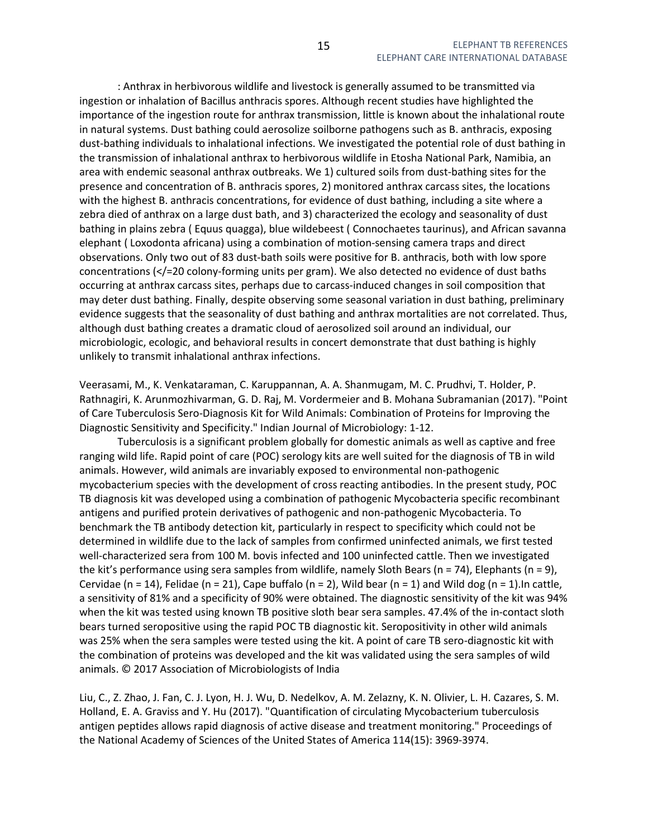: Anthrax in herbivorous wildlife and livestock is generally assumed to be transmitted via ingestion or inhalation of Bacillus anthracis spores. Although recent studies have highlighted the importance of the ingestion route for anthrax transmission, little is known about the inhalational route in natural systems. Dust bathing could aerosolize soilborne pathogens such as B. anthracis, exposing dust-bathing individuals to inhalational infections. We investigated the potential role of dust bathing in the transmission of inhalational anthrax to herbivorous wildlife in Etosha National Park, Namibia, an area with endemic seasonal anthrax outbreaks. We 1) cultured soils from dust-bathing sites for the presence and concentration of B. anthracis spores, 2) monitored anthrax carcass sites, the locations with the highest B. anthracis concentrations, for evidence of dust bathing, including a site where a zebra died of anthrax on a large dust bath, and 3) characterized the ecology and seasonality of dust bathing in plains zebra ( Equus quagga), blue wildebeest ( Connochaetes taurinus), and African savanna elephant ( Loxodonta africana) using a combination of motion-sensing camera traps and direct observations. Only two out of 83 dust-bath soils were positive for B. anthracis, both with low spore concentrations (</=20 colony-forming units per gram). We also detected no evidence of dust baths occurring at anthrax carcass sites, perhaps due to carcass-induced changes in soil composition that may deter dust bathing. Finally, despite observing some seasonal variation in dust bathing, preliminary evidence suggests that the seasonality of dust bathing and anthrax mortalities are not correlated. Thus, although dust bathing creates a dramatic cloud of aerosolized soil around an individual, our microbiologic, ecologic, and behavioral results in concert demonstrate that dust bathing is highly unlikely to transmit inhalational anthrax infections.

Veerasami, M., K. Venkataraman, C. Karuppannan, A. A. Shanmugam, M. C. Prudhvi, T. Holder, P. Rathnagiri, K. Arunmozhivarman, G. D. Raj, M. Vordermeier and B. Mohana Subramanian (2017). "Point of Care Tuberculosis Sero-Diagnosis Kit for Wild Animals: Combination of Proteins for Improving the Diagnostic Sensitivity and Specificity." Indian Journal of Microbiology: 1-12.

 Tuberculosis is a significant problem globally for domestic animals as well as captive and free ranging wild life. Rapid point of care (POC) serology kits are well suited for the diagnosis of TB in wild animals. However, wild animals are invariably exposed to environmental non-pathogenic mycobacterium species with the development of cross reacting antibodies. In the present study, POC TB diagnosis kit was developed using a combination of pathogenic Mycobacteria specific recombinant antigens and purified protein derivatives of pathogenic and non-pathogenic Mycobacteria. To benchmark the TB antibody detection kit, particularly in respect to specificity which could not be determined in wildlife due to the lack of samples from confirmed uninfected animals, we first tested well-characterized sera from 100 M. bovis infected and 100 uninfected cattle. Then we investigated the kit's performance using sera samples from wildlife, namely Sloth Bears (n = 74), Elephants (n = 9), Cervidae (n = 14), Felidae (n = 21), Cape buffalo (n = 2), Wild bear (n = 1) and Wild dog (n = 1). In cattle, a sensitivity of 81% and a specificity of 90% were obtained. The diagnostic sensitivity of the kit was 94% when the kit was tested using known TB positive sloth bear sera samples. 47.4% of the in-contact sloth bears turned seropositive using the rapid POC TB diagnostic kit. Seropositivity in other wild animals was 25% when the sera samples were tested using the kit. A point of care TB sero-diagnostic kit with the combination of proteins was developed and the kit was validated using the sera samples of wild animals. © 2017 Association of Microbiologists of India

Liu, C., Z. Zhao, J. Fan, C. J. Lyon, H. J. Wu, D. Nedelkov, A. M. Zelazny, K. N. Olivier, L. H. Cazares, S. M. Holland, E. A. Graviss and Y. Hu (2017). "Quantification of circulating Mycobacterium tuberculosis antigen peptides allows rapid diagnosis of active disease and treatment monitoring." Proceedings of the National Academy of Sciences of the United States of America 114(15): 3969-3974.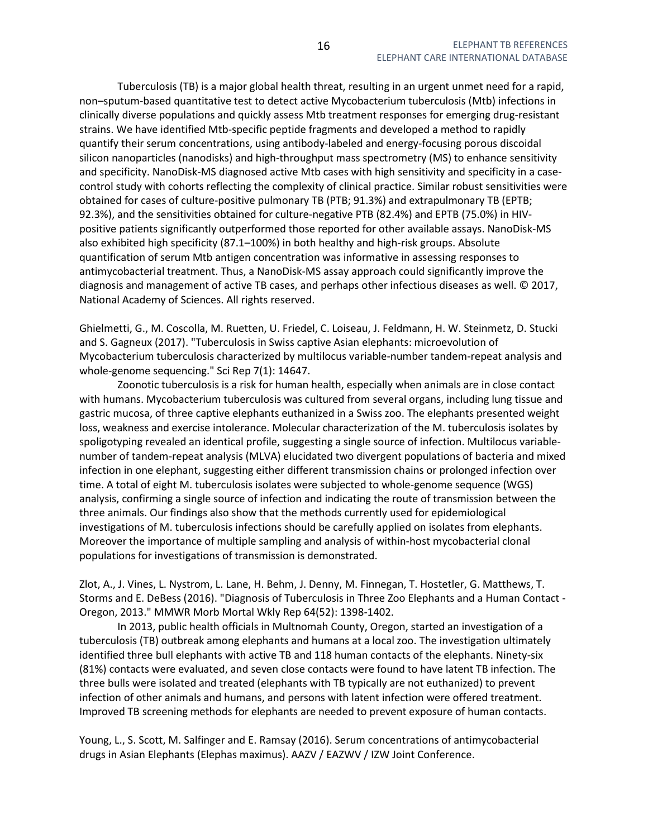Tuberculosis (TB) is a major global health threat, resulting in an urgent unmet need for a rapid, non–sputum-based quantitative test to detect active Mycobacterium tuberculosis (Mtb) infections in clinically diverse populations and quickly assess Mtb treatment responses for emerging drug-resistant strains. We have identified Mtb-specific peptide fragments and developed a method to rapidly quantify their serum concentrations, using antibody-labeled and energy-focusing porous discoidal silicon nanoparticles (nanodisks) and high-throughput mass spectrometry (MS) to enhance sensitivity and specificity. NanoDisk-MS diagnosed active Mtb cases with high sensitivity and specificity in a casecontrol study with cohorts reflecting the complexity of clinical practice. Similar robust sensitivities were obtained for cases of culture-positive pulmonary TB (PTB; 91.3%) and extrapulmonary TB (EPTB; 92.3%), and the sensitivities obtained for culture-negative PTB (82.4%) and EPTB (75.0%) in HIVpositive patients significantly outperformed those reported for other available assays. NanoDisk-MS also exhibited high specificity (87.1–100%) in both healthy and high-risk groups. Absolute quantification of serum Mtb antigen concentration was informative in assessing responses to antimycobacterial treatment. Thus, a NanoDisk-MS assay approach could significantly improve the diagnosis and management of active TB cases, and perhaps other infectious diseases as well. © 2017, National Academy of Sciences. All rights reserved.

Ghielmetti, G., M. Coscolla, M. Ruetten, U. Friedel, C. Loiseau, J. Feldmann, H. W. Steinmetz, D. Stucki and S. Gagneux (2017). "Tuberculosis in Swiss captive Asian elephants: microevolution of Mycobacterium tuberculosis characterized by multilocus variable-number tandem-repeat analysis and whole-genome sequencing." Sci Rep 7(1): 14647.

 Zoonotic tuberculosis is a risk for human health, especially when animals are in close contact with humans. Mycobacterium tuberculosis was cultured from several organs, including lung tissue and gastric mucosa, of three captive elephants euthanized in a Swiss zoo. The elephants presented weight loss, weakness and exercise intolerance. Molecular characterization of the M. tuberculosis isolates by spoligotyping revealed an identical profile, suggesting a single source of infection. Multilocus variablenumber of tandem-repeat analysis (MLVA) elucidated two divergent populations of bacteria and mixed infection in one elephant, suggesting either different transmission chains or prolonged infection over time. A total of eight M. tuberculosis isolates were subjected to whole-genome sequence (WGS) analysis, confirming a single source of infection and indicating the route of transmission between the three animals. Our findings also show that the methods currently used for epidemiological investigations of M. tuberculosis infections should be carefully applied on isolates from elephants. Moreover the importance of multiple sampling and analysis of within-host mycobacterial clonal populations for investigations of transmission is demonstrated.

Zlot, A., J. Vines, L. Nystrom, L. Lane, H. Behm, J. Denny, M. Finnegan, T. Hostetler, G. Matthews, T. Storms and E. DeBess (2016). "Diagnosis of Tuberculosis in Three Zoo Elephants and a Human Contact - Oregon, 2013." MMWR Morb Mortal Wkly Rep 64(52): 1398-1402.

 In 2013, public health officials in Multnomah County, Oregon, started an investigation of a tuberculosis (TB) outbreak among elephants and humans at a local zoo. The investigation ultimately identified three bull elephants with active TB and 118 human contacts of the elephants. Ninety-six (81%) contacts were evaluated, and seven close contacts were found to have latent TB infection. The three bulls were isolated and treated (elephants with TB typically are not euthanized) to prevent infection of other animals and humans, and persons with latent infection were offered treatment. Improved TB screening methods for elephants are needed to prevent exposure of human contacts.

Young, L., S. Scott, M. Salfinger and E. Ramsay (2016). Serum concentrations of antimycobacterial drugs in Asian Elephants (Elephas maximus). AAZV / EAZWV / IZW Joint Conference.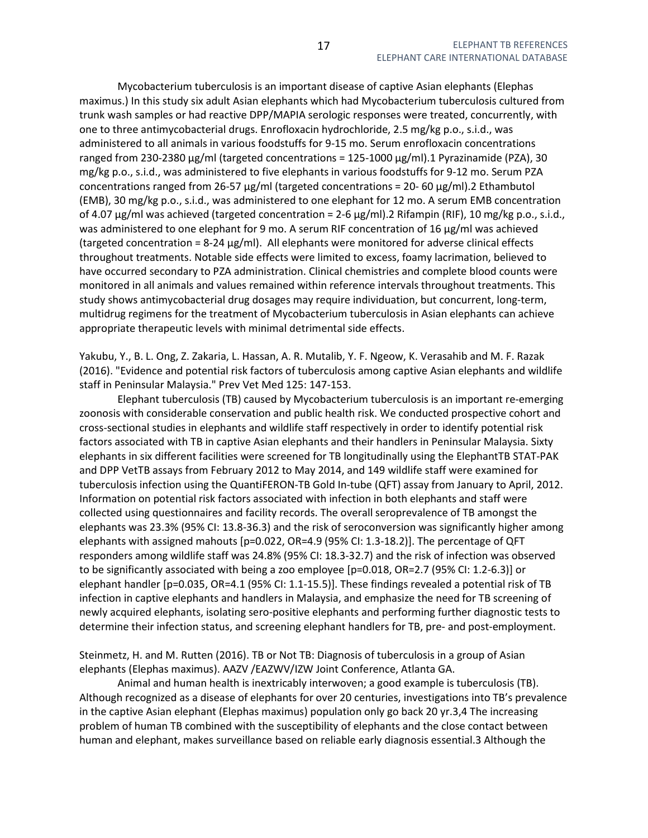Mycobacterium tuberculosis is an important disease of captive Asian elephants (Elephas maximus.) In this study six adult Asian elephants which had Mycobacterium tuberculosis cultured from trunk wash samples or had reactive DPP/MAPIA serologic responses were treated, concurrently, with one to three antimycobacterial drugs. Enrofloxacin hydrochloride, 2.5 mg/kg p.o., s.i.d., was administered to all animals in various foodstuffs for 9-15 mo. Serum enrofloxacin concentrations ranged from 230-2380 μg/ml (targeted concentrations = 125-1000 μg/ml).1 Pyrazinamide (PZA), 30 mg/kg p.o., s.i.d., was administered to five elephants in various foodstuffs for 9-12 mo. Serum PZA concentrations ranged from 26-57 μg/ml (targeted concentrations = 20- 60 μg/ml).2 Ethambutol (EMB), 30 mg/kg p.o., s.i.d., was administered to one elephant for 12 mo. A serum EMB concentration of 4.07 μg/ml was achieved (targeted concentration = 2-6 μg/ml).2 Rifampin (RIF), 10 mg/kg p.o., s.i.d., was administered to one elephant for 9 mo. A serum RIF concentration of 16 μg/ml was achieved (targeted concentration = 8-24 μg/ml). All elephants were monitored for adverse clinical effects throughout treatments. Notable side effects were limited to excess, foamy lacrimation, believed to have occurred secondary to PZA administration. Clinical chemistries and complete blood counts were monitored in all animals and values remained within reference intervals throughout treatments. This study shows antimycobacterial drug dosages may require individuation, but concurrent, long-term, multidrug regimens for the treatment of Mycobacterium tuberculosis in Asian elephants can achieve appropriate therapeutic levels with minimal detrimental side effects.

Yakubu, Y., B. L. Ong, Z. Zakaria, L. Hassan, A. R. Mutalib, Y. F. Ngeow, K. Verasahib and M. F. Razak (2016). "Evidence and potential risk factors of tuberculosis among captive Asian elephants and wildlife staff in Peninsular Malaysia." Prev Vet Med 125: 147-153.

 Elephant tuberculosis (TB) caused by Mycobacterium tuberculosis is an important re-emerging zoonosis with considerable conservation and public health risk. We conducted prospective cohort and cross-sectional studies in elephants and wildlife staff respectively in order to identify potential risk factors associated with TB in captive Asian elephants and their handlers in Peninsular Malaysia. Sixty elephants in six different facilities were screened for TB longitudinally using the ElephantTB STAT-PAK and DPP VetTB assays from February 2012 to May 2014, and 149 wildlife staff were examined for tuberculosis infection using the QuantiFERON-TB Gold In-tube (QFT) assay from January to April, 2012. Information on potential risk factors associated with infection in both elephants and staff were collected using questionnaires and facility records. The overall seroprevalence of TB amongst the elephants was 23.3% (95% CI: 13.8-36.3) and the risk of seroconversion was significantly higher among elephants with assigned mahouts [p=0.022, OR=4.9 (95% CI: 1.3-18.2)]. The percentage of QFT responders among wildlife staff was 24.8% (95% CI: 18.3-32.7) and the risk of infection was observed to be significantly associated with being a zoo employee [p=0.018, OR=2.7 (95% CI: 1.2-6.3)] or elephant handler [p=0.035, OR=4.1 (95% CI: 1.1-15.5)]. These findings revealed a potential risk of TB infection in captive elephants and handlers in Malaysia, and emphasize the need for TB screening of newly acquired elephants, isolating sero-positive elephants and performing further diagnostic tests to determine their infection status, and screening elephant handlers for TB, pre- and post-employment.

Steinmetz, H. and M. Rutten (2016). TB or Not TB: Diagnosis of tuberculosis in a group of Asian elephants (Elephas maximus). AAZV /EAZWV/IZW Joint Conference, Atlanta GA.

 Animal and human health is inextricably interwoven; a good example is tuberculosis (TB). Although recognized as a disease of elephants for over 20 centuries, investigations into TB's prevalence in the captive Asian elephant (Elephas maximus) population only go back 20 yr.3,4 The increasing problem of human TB combined with the susceptibility of elephants and the close contact between human and elephant, makes surveillance based on reliable early diagnosis essential.3 Although the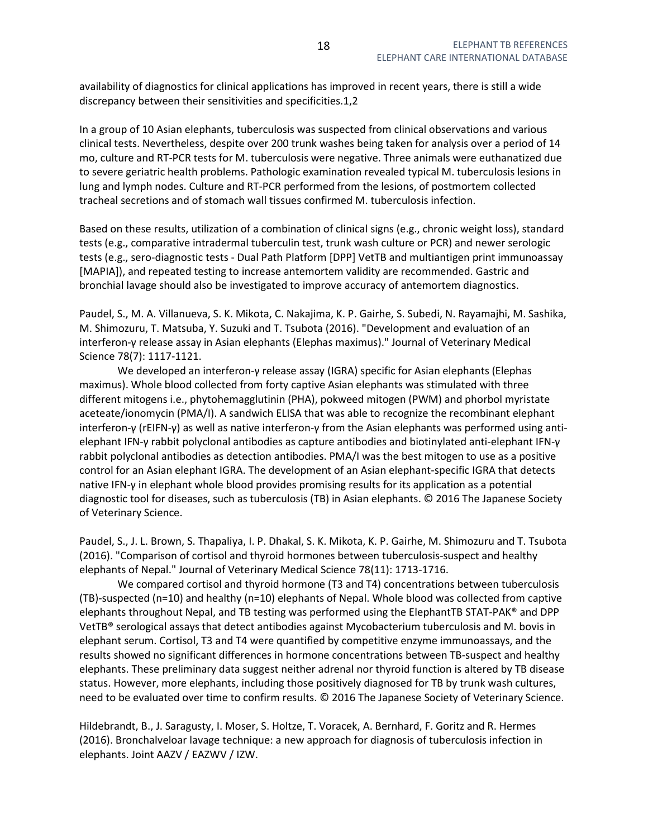availability of diagnostics for clinical applications has improved in recent years, there is still a wide discrepancy between their sensitivities and specificities.1,2

In a group of 10 Asian elephants, tuberculosis was suspected from clinical observations and various clinical tests. Nevertheless, despite over 200 trunk washes being taken for analysis over a period of 14 mo, culture and RT-PCR tests for M. tuberculosis were negative. Three animals were euthanatized due to severe geriatric health problems. Pathologic examination revealed typical M. tuberculosis lesions in lung and lymph nodes. Culture and RT-PCR performed from the lesions, of postmortem collected tracheal secretions and of stomach wall tissues confirmed M. tuberculosis infection.

Based on these results, utilization of a combination of clinical signs (e.g., chronic weight loss), standard tests (e.g., comparative intradermal tuberculin test, trunk wash culture or PCR) and newer serologic tests (e.g., sero-diagnostic tests - Dual Path Platform [DPP] VetTB and multiantigen print immunoassay [MAPIA]), and repeated testing to increase antemortem validity are recommended. Gastric and bronchial lavage should also be investigated to improve accuracy of antemortem diagnostics.

Paudel, S., M. A. Villanueva, S. K. Mikota, C. Nakajima, K. P. Gairhe, S. Subedi, N. Rayamajhi, M. Sashika, M. Shimozuru, T. Matsuba, Y. Suzuki and T. Tsubota (2016). "Development and evaluation of an interferon-γ release assay in Asian elephants (Elephas maximus)." Journal of Veterinary Medical Science 78(7): 1117-1121.

 We developed an interferon-γ release assay (IGRA) specific for Asian elephants (Elephas maximus). Whole blood collected from forty captive Asian elephants was stimulated with three different mitogens i.e., phytohemagglutinin (PHA), pokweed mitogen (PWM) and phorbol myristate aceteate/ionomycin (PMA/I). A sandwich ELISA that was able to recognize the recombinant elephant interferon-γ (rEIFN-γ) as well as native interferon-γ from the Asian elephants was performed using antielephant IFN-γ rabbit polyclonal antibodies as capture antibodies and biotinylated anti-elephant IFN-γ rabbit polyclonal antibodies as detection antibodies. PMA/I was the best mitogen to use as a positive control for an Asian elephant IGRA. The development of an Asian elephant-specific IGRA that detects native IFN-γ in elephant whole blood provides promising results for its application as a potential diagnostic tool for diseases, such as tuberculosis (TB) in Asian elephants. © 2016 The Japanese Society of Veterinary Science.

Paudel, S., J. L. Brown, S. Thapaliya, I. P. Dhakal, S. K. Mikota, K. P. Gairhe, M. Shimozuru and T. Tsubota (2016). "Comparison of cortisol and thyroid hormones between tuberculosis-suspect and healthy elephants of Nepal." Journal of Veterinary Medical Science 78(11): 1713-1716.

 We compared cortisol and thyroid hormone (T3 and T4) concentrations between tuberculosis (TB)-suspected (n=10) and healthy (n=10) elephants of Nepal. Whole blood was collected from captive elephants throughout Nepal, and TB testing was performed using the ElephantTB STAT-PAK® and DPP VetTB® serological assays that detect antibodies against Mycobacterium tuberculosis and M. bovis in elephant serum. Cortisol, T3 and T4 were quantified by competitive enzyme immunoassays, and the results showed no significant differences in hormone concentrations between TB-suspect and healthy elephants. These preliminary data suggest neither adrenal nor thyroid function is altered by TB disease status. However, more elephants, including those positively diagnosed for TB by trunk wash cultures, need to be evaluated over time to confirm results. © 2016 The Japanese Society of Veterinary Science.

Hildebrandt, B., J. Saragusty, I. Moser, S. Holtze, T. Voracek, A. Bernhard, F. Goritz and R. Hermes (2016). Bronchalveloar lavage technique: a new approach for diagnosis of tuberculosis infection in elephants. Joint AAZV / EAZWV / IZW.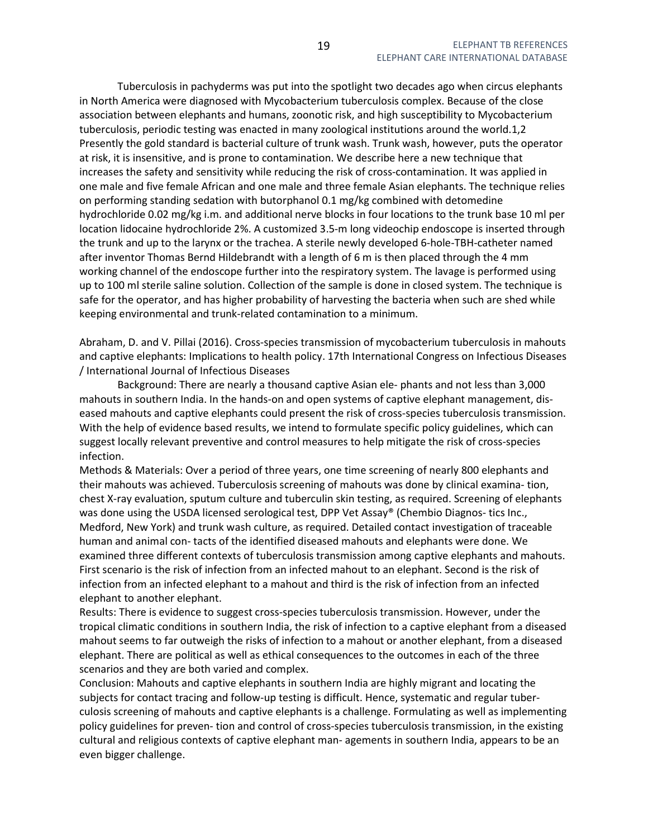Tuberculosis in pachyderms was put into the spotlight two decades ago when circus elephants in North America were diagnosed with Mycobacterium tuberculosis complex. Because of the close association between elephants and humans, zoonotic risk, and high susceptibility to Mycobacterium tuberculosis, periodic testing was enacted in many zoological institutions around the world.1,2 Presently the gold standard is bacterial culture of trunk wash. Trunk wash, however, puts the operator at risk, it is insensitive, and is prone to contamination. We describe here a new technique that increases the safety and sensitivity while reducing the risk of cross-contamination. It was applied in one male and five female African and one male and three female Asian elephants. The technique relies on performing standing sedation with butorphanol 0.1 mg/kg combined with detomedine hydrochloride 0.02 mg/kg i.m. and additional nerve blocks in four locations to the trunk base 10 ml per location lidocaine hydrochloride 2%. A customized 3.5-m long videochip endoscope is inserted through the trunk and up to the larynx or the trachea. A sterile newly developed 6-hole-TBH-catheter named after inventor Thomas Bernd Hildebrandt with a length of 6 m is then placed through the 4 mm working channel of the endoscope further into the respiratory system. The lavage is performed using up to 100 ml sterile saline solution. Collection of the sample is done in closed system. The technique is safe for the operator, and has higher probability of harvesting the bacteria when such are shed while keeping environmental and trunk-related contamination to a minimum.

Abraham, D. and V. Pillai (2016). Cross-species transmission of mycobacterium tuberculosis in mahouts and captive elephants: Implications to health policy. 17th International Congress on Infectious Diseases / International Journal of Infectious Diseases

 Background: There are nearly a thousand captive Asian ele- phants and not less than 3,000 mahouts in southern India. In the hands-on and open systems of captive elephant management, diseased mahouts and captive elephants could present the risk of cross-species tuberculosis transmission. With the help of evidence based results, we intend to formulate specific policy guidelines, which can suggest locally relevant preventive and control measures to help mitigate the risk of cross-species infection.

Methods & Materials: Over a period of three years, one time screening of nearly 800 elephants and their mahouts was achieved. Tuberculosis screening of mahouts was done by clinical examina- tion, chest X-ray evaluation, sputum culture and tuberculin skin testing, as required. Screening of elephants was done using the USDA licensed serological test, DPP Vet Assay® (Chembio Diagnos- tics Inc., Medford, New York) and trunk wash culture, as required. Detailed contact investigation of traceable human and animal con- tacts of the identified diseased mahouts and elephants were done. We examined three different contexts of tuberculosis transmission among captive elephants and mahouts. First scenario is the risk of infection from an infected mahout to an elephant. Second is the risk of infection from an infected elephant to a mahout and third is the risk of infection from an infected elephant to another elephant.

Results: There is evidence to suggest cross-species tuberculosis transmission. However, under the tropical climatic conditions in southern India, the risk of infection to a captive elephant from a diseased mahout seems to far outweigh the risks of infection to a mahout or another elephant, from a diseased elephant. There are political as well as ethical consequences to the outcomes in each of the three scenarios and they are both varied and complex.

Conclusion: Mahouts and captive elephants in southern India are highly migrant and locating the subjects for contact tracing and follow-up testing is difficult. Hence, systematic and regular tuberculosis screening of mahouts and captive elephants is a challenge. Formulating as well as implementing policy guidelines for preven- tion and control of cross-species tuberculosis transmission, in the existing cultural and religious contexts of captive elephant man- agements in southern India, appears to be an even bigger challenge.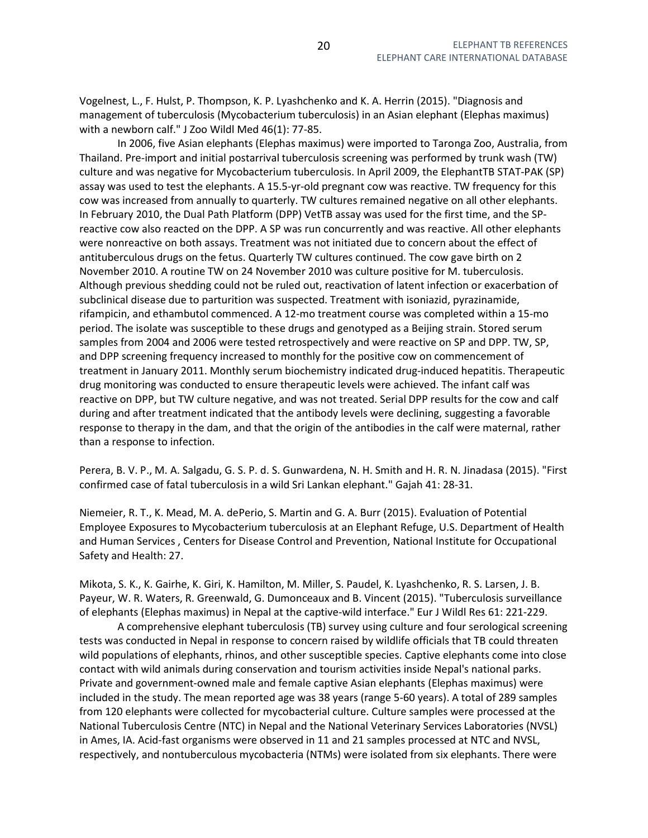Vogelnest, L., F. Hulst, P. Thompson, K. P. Lyashchenko and K. A. Herrin (2015). "Diagnosis and management of tuberculosis (Mycobacterium tuberculosis) in an Asian elephant (Elephas maximus) with a newborn calf." J Zoo Wildl Med 46(1): 77-85.

 In 2006, five Asian elephants (Elephas maximus) were imported to Taronga Zoo, Australia, from Thailand. Pre-import and initial postarrival tuberculosis screening was performed by trunk wash (TW) culture and was negative for Mycobacterium tuberculosis. In April 2009, the ElephantTB STAT-PAK (SP) assay was used to test the elephants. A 15.5-yr-old pregnant cow was reactive. TW frequency for this cow was increased from annually to quarterly. TW cultures remained negative on all other elephants. In February 2010, the Dual Path Platform (DPP) VetTB assay was used for the first time, and the SPreactive cow also reacted on the DPP. A SP was run concurrently and was reactive. All other elephants were nonreactive on both assays. Treatment was not initiated due to concern about the effect of antituberculous drugs on the fetus. Quarterly TW cultures continued. The cow gave birth on 2 November 2010. A routine TW on 24 November 2010 was culture positive for M. tuberculosis. Although previous shedding could not be ruled out, reactivation of latent infection or exacerbation of subclinical disease due to parturition was suspected. Treatment with isoniazid, pyrazinamide, rifampicin, and ethambutol commenced. A 12-mo treatment course was completed within a 15-mo period. The isolate was susceptible to these drugs and genotyped as a Beijing strain. Stored serum samples from 2004 and 2006 were tested retrospectively and were reactive on SP and DPP. TW, SP, and DPP screening frequency increased to monthly for the positive cow on commencement of treatment in January 2011. Monthly serum biochemistry indicated drug-induced hepatitis. Therapeutic drug monitoring was conducted to ensure therapeutic levels were achieved. The infant calf was reactive on DPP, but TW culture negative, and was not treated. Serial DPP results for the cow and calf during and after treatment indicated that the antibody levels were declining, suggesting a favorable response to therapy in the dam, and that the origin of the antibodies in the calf were maternal, rather than a response to infection.

Perera, B. V. P., M. A. Salgadu, G. S. P. d. S. Gunwardena, N. H. Smith and H. R. N. Jinadasa (2015). "First confirmed case of fatal tuberculosis in a wild Sri Lankan elephant." Gajah 41: 28-31.

Niemeier, R. T., K. Mead, M. A. dePerio, S. Martin and G. A. Burr (2015). Evaluation of Potential Employee Exposures to Mycobacterium tuberculosis at an Elephant Refuge, U.S. Department of Health and Human Services , Centers for Disease Control and Prevention, National Institute for Occupational Safety and Health: 27.

Mikota, S. K., K. Gairhe, K. Giri, K. Hamilton, M. Miller, S. Paudel, K. Lyashchenko, R. S. Larsen, J. B. Payeur, W. R. Waters, R. Greenwald, G. Dumonceaux and B. Vincent (2015). "Tuberculosis surveillance of elephants (Elephas maximus) in Nepal at the captive-wild interface." Eur J Wildl Res 61: 221-229.

 A comprehensive elephant tuberculosis (TB) survey using culture and four serological screening tests was conducted in Nepal in response to concern raised by wildlife officials that TB could threaten wild populations of elephants, rhinos, and other susceptible species. Captive elephants come into close contact with wild animals during conservation and tourism activities inside Nepal's national parks. Private and government-owned male and female captive Asian elephants (Elephas maximus) were included in the study. The mean reported age was 38 years (range 5-60 years). A total of 289 samples from 120 elephants were collected for mycobacterial culture. Culture samples were processed at the National Tuberculosis Centre (NTC) in Nepal and the National Veterinary Services Laboratories (NVSL) in Ames, IA. Acid-fast organisms were observed in 11 and 21 samples processed at NTC and NVSL, respectively, and nontuberculous mycobacteria (NTMs) were isolated from six elephants. There were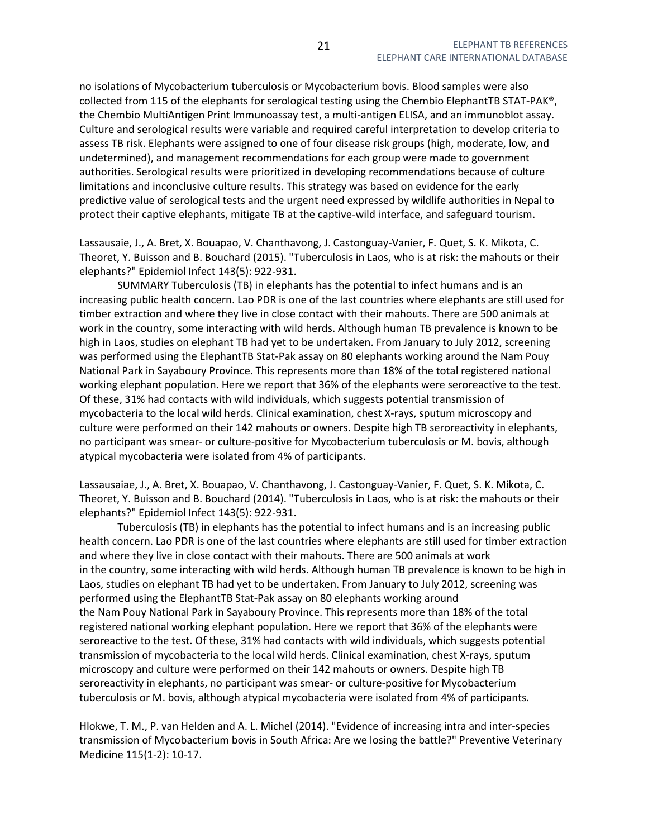no isolations of Mycobacterium tuberculosis or Mycobacterium bovis. Blood samples were also collected from 115 of the elephants for serological testing using the Chembio ElephantTB STAT-PAK®, the Chembio MultiAntigen Print Immunoassay test, a multi-antigen ELISA, and an immunoblot assay. Culture and serological results were variable and required careful interpretation to develop criteria to assess TB risk. Elephants were assigned to one of four disease risk groups (high, moderate, low, and undetermined), and management recommendations for each group were made to government authorities. Serological results were prioritized in developing recommendations because of culture limitations and inconclusive culture results. This strategy was based on evidence for the early predictive value of serological tests and the urgent need expressed by wildlife authorities in Nepal to protect their captive elephants, mitigate TB at the captive-wild interface, and safeguard tourism.

Lassausaie, J., A. Bret, X. Bouapao, V. Chanthavong, J. Castonguay-Vanier, F. Quet, S. K. Mikota, C. Theoret, Y. Buisson and B. Bouchard (2015). "Tuberculosis in Laos, who is at risk: the mahouts or their elephants?" Epidemiol Infect 143(5): 922-931.

 SUMMARY Tuberculosis (TB) in elephants has the potential to infect humans and is an increasing public health concern. Lao PDR is one of the last countries where elephants are still used for timber extraction and where they live in close contact with their mahouts. There are 500 animals at work in the country, some interacting with wild herds. Although human TB prevalence is known to be high in Laos, studies on elephant TB had yet to be undertaken. From January to July 2012, screening was performed using the ElephantTB Stat-Pak assay on 80 elephants working around the Nam Pouy National Park in Sayaboury Province. This represents more than 18% of the total registered national working elephant population. Here we report that 36% of the elephants were seroreactive to the test. Of these, 31% had contacts with wild individuals, which suggests potential transmission of mycobacteria to the local wild herds. Clinical examination, chest X-rays, sputum microscopy and culture were performed on their 142 mahouts or owners. Despite high TB seroreactivity in elephants, no participant was smear- or culture-positive for Mycobacterium tuberculosis or M. bovis, although atypical mycobacteria were isolated from 4% of participants.

Lassausaiae, J., A. Bret, X. Bouapao, V. Chanthavong, J. Castonguay-Vanier, F. Quet, S. K. Mikota, C. Theoret, Y. Buisson and B. Bouchard (2014). "Tuberculosis in Laos, who is at risk: the mahouts or their elephants?" Epidemiol Infect 143(5): 922-931.

 Tuberculosis (TB) in elephants has the potential to infect humans and is an increasing public health concern. Lao PDR is one of the last countries where elephants are still used for timber extraction and where they live in close contact with their mahouts. There are 500 animals at work in the country, some interacting with wild herds. Although human TB prevalence is known to be high in Laos, studies on elephant TB had yet to be undertaken. From January to July 2012, screening was performed using the ElephantTB Stat-Pak assay on 80 elephants working around the Nam Pouy National Park in Sayaboury Province. This represents more than 18% of the total registered national working elephant population. Here we report that 36% of the elephants were seroreactive to the test. Of these, 31% had contacts with wild individuals, which suggests potential transmission of mycobacteria to the local wild herds. Clinical examination, chest X-rays, sputum microscopy and culture were performed on their 142 mahouts or owners. Despite high TB seroreactivity in elephants, no participant was smear- or culture-positive for Mycobacterium tuberculosis or M. bovis, although atypical mycobacteria were isolated from 4% of participants.

Hlokwe, T. M., P. van Helden and A. L. Michel (2014). "Evidence of increasing intra and inter-species transmission of Mycobacterium bovis in South Africa: Are we losing the battle?" Preventive Veterinary Medicine 115(1-2): 10-17.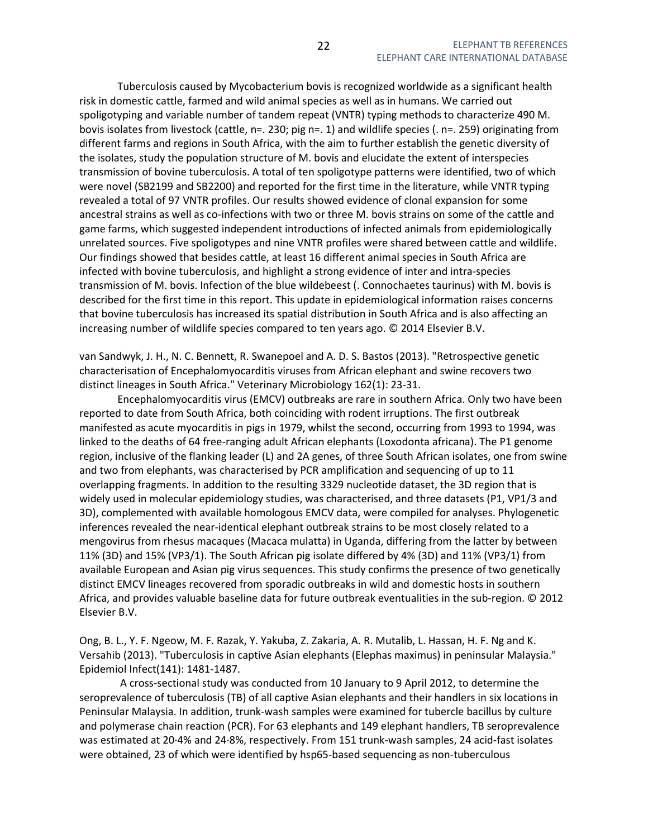Tuberculosis caused by Mycobacterium bovis is recognized worldwide as a significant health risk in domestic cattle, farmed and wild animal species as well as in humans. We carried out spoligotyping and variable number of tandem repeat (VNTR) typing methods to characterize 490 M. bovis isolates from livestock (cattle, n=. 230; pig n=. 1) and wildlife species (. n=. 259) originating from different farms and regions in South Africa, with the aim to further establish the genetic diversity of the isolates, study the population structure of M. bovis and elucidate the extent of interspecies transmission of bovine tuberculosis. A total of ten spoligotype patterns were identified, two of which were novel (SB2199 and SB2200) and reported for the first time in the literature, while VNTR typing revealed a total of 97 VNTR profiles. Our results showed evidence of clonal expansion for some ancestral strains as well as co-infections with two or three M. bovis strains on some of the cattle and game farms, which suggested independent introductions of infected animals from epidemiologically unrelated sources. Five spoligotypes and nine VNTR profiles were shared between cattle and wildlife. Our findings showed that besides cattle, at least 16 different animal species in South Africa are infected with bovine tuberculosis, and highlight a strong evidence of inter and intra-species transmission of M. bovis. Infection of the blue wildebeest (. Connochaetes taurinus) with M. bovis is described for the first time in this report. This update in epidemiological information raises concerns that bovine tuberculosis has increased its spatial distribution in South Africa and is also affecting an increasing number of wildlife species compared to ten years ago. © 2014 Elsevier B.V.

van Sandwyk, J. H., N. C. Bennett, R. Swanepoel and A. D. S. Bastos (2013). "Retrospective genetic characterisation of Encephalomyocarditis viruses from African elephant and swine recovers two distinct lineages in South Africa." Veterinary Microbiology 162(1): 23-31.

 Encephalomyocarditis virus (EMCV) outbreaks are rare in southern Africa. Only two have been reported to date from South Africa, both coinciding with rodent irruptions. The first outbreak manifested as acute myocarditis in pigs in 1979, whilst the second, occurring from 1993 to 1994, was linked to the deaths of 64 free-ranging adult African elephants (Loxodonta africana). The P1 genome region, inclusive of the flanking leader (L) and 2A genes, of three South African isolates, one from swine and two from elephants, was characterised by PCR amplification and sequencing of up to 11 overlapping fragments. In addition to the resulting 3329 nucleotide dataset, the 3D region that is widely used in molecular epidemiology studies, was characterised, and three datasets (P1, VP1/3 and 3D), complemented with available homologous EMCV data, were compiled for analyses. Phylogenetic inferences revealed the near-identical elephant outbreak strains to be most closely related to a mengovirus from rhesus macaques (Macaca mulatta) in Uganda, differing from the latter by between 11% (3D) and 15% (VP3/1). The South African pig isolate differed by 4% (3D) and 11% (VP3/1) from available European and Asian pig virus sequences. This study confirms the presence of two genetically distinct EMCV lineages recovered from sporadic outbreaks in wild and domestic hosts in southern Africa, and provides valuable baseline data for future outbreak eventualities in the sub-region. © 2012 Elsevier B.V.

Ong, B. L., Y. F. Ngeow, M. F. Razak, Y. Yakuba, Z. Zakaria, A. R. Mutalib, L. Hassan, H. F. Ng and K. Versahib (2013). "Tuberculosis in captive Asian elephants (Elephas maximus) in peninsular Malaysia." Epidemiol Infect(141): 1481-1487.

 A cross-sectional study was conducted from 10 January to 9 April 2012, to determine the seroprevalence of tuberculosis (TB) of all captive Asian elephants and their handlers in six locations in Peninsular Malaysia. In addition, trunk-wash samples were examined for tubercle bacillus by culture and polymerase chain reaction (PCR). For 63 elephants and 149 elephant handlers, TB seroprevalence was estimated at 20·4% and 24·8%, respectively. From 151 trunk-wash samples, 24 acid-fast isolates were obtained, 23 of which were identified by hsp65-based sequencing as non-tuberculous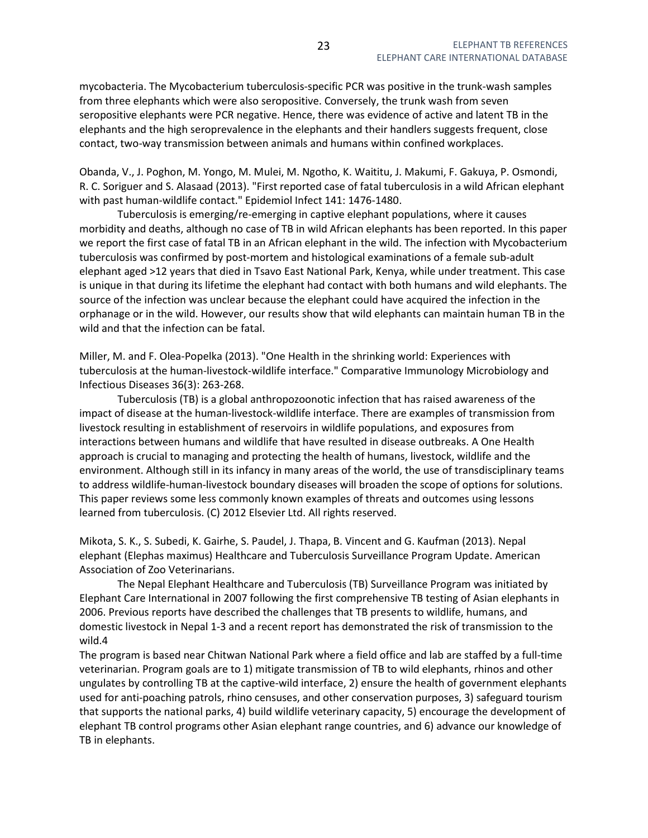mycobacteria. The Mycobacterium tuberculosis-specific PCR was positive in the trunk-wash samples from three elephants which were also seropositive. Conversely, the trunk wash from seven seropositive elephants were PCR negative. Hence, there was evidence of active and latent TB in the elephants and the high seroprevalence in the elephants and their handlers suggests frequent, close contact, two-way transmission between animals and humans within confined workplaces.

Obanda, V., J. Poghon, M. Yongo, M. Mulei, M. Ngotho, K. Waititu, J. Makumi, F. Gakuya, P. Osmondi, R. C. Soriguer and S. Alasaad (2013). "First reported case of fatal tuberculosis in a wild African elephant with past human-wildlife contact." Epidemiol Infect 141: 1476-1480.

 Tuberculosis is emerging/re-emerging in captive elephant populations, where it causes morbidity and deaths, although no case of TB in wild African elephants has been reported. In this paper we report the first case of fatal TB in an African elephant in the wild. The infection with Mycobacterium tuberculosis was confirmed by post-mortem and histological examinations of a female sub-adult elephant aged >12 years that died in Tsavo East National Park, Kenya, while under treatment. This case is unique in that during its lifetime the elephant had contact with both humans and wild elephants. The source of the infection was unclear because the elephant could have acquired the infection in the orphanage or in the wild. However, our results show that wild elephants can maintain human TB in the wild and that the infection can be fatal.

Miller, M. and F. Olea-Popelka (2013). "One Health in the shrinking world: Experiences with tuberculosis at the human-livestock-wildlife interface." Comparative Immunology Microbiology and Infectious Diseases 36(3): 263-268.

 Tuberculosis (TB) is a global anthropozoonotic infection that has raised awareness of the impact of disease at the human-livestock-wildlife interface. There are examples of transmission from livestock resulting in establishment of reservoirs in wildlife populations, and exposures from interactions between humans and wildlife that have resulted in disease outbreaks. A One Health approach is crucial to managing and protecting the health of humans, livestock, wildlife and the environment. Although still in its infancy in many areas of the world, the use of transdisciplinary teams to address wildlife-human-livestock boundary diseases will broaden the scope of options for solutions. This paper reviews some less commonly known examples of threats and outcomes using lessons learned from tuberculosis. (C) 2012 Elsevier Ltd. All rights reserved.

Mikota, S. K., S. Subedi, K. Gairhe, S. Paudel, J. Thapa, B. Vincent and G. Kaufman (2013). Nepal elephant (Elephas maximus) Healthcare and Tuberculosis Surveillance Program Update. American Association of Zoo Veterinarians.

 The Nepal Elephant Healthcare and Tuberculosis (TB) Surveillance Program was initiated by Elephant Care International in 2007 following the first comprehensive TB testing of Asian elephants in 2006. Previous reports have described the challenges that TB presents to wildlife, humans, and domestic livestock in Nepal 1-3 and a recent report has demonstrated the risk of transmission to the wild.4

The program is based near Chitwan National Park where a field office and lab are staffed by a full-time veterinarian. Program goals are to 1) mitigate transmission of TB to wild elephants, rhinos and other ungulates by controlling TB at the captive-wild interface, 2) ensure the health of government elephants used for anti-poaching patrols, rhino censuses, and other conservation purposes, 3) safeguard tourism that supports the national parks, 4) build wildlife veterinary capacity, 5) encourage the development of elephant TB control programs other Asian elephant range countries, and 6) advance our knowledge of TB in elephants.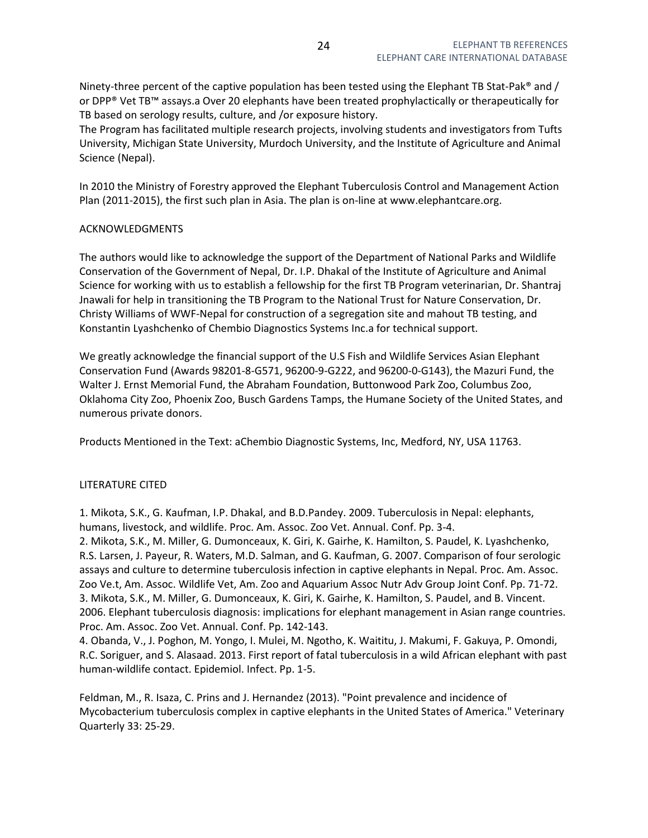Ninety-three percent of the captive population has been tested using the Elephant TB Stat-Pak<sup>®</sup> and / or DPP® Vet TB™ assays.a Over 20 elephants have been treated prophylactically or therapeutically for TB based on serology results, culture, and /or exposure history.

The Program has facilitated multiple research projects, involving students and investigators from Tufts University, Michigan State University, Murdoch University, and the Institute of Agriculture and Animal Science (Nepal).

In 2010 the Ministry of Forestry approved the Elephant Tuberculosis Control and Management Action Plan (2011-2015), the first such plan in Asia. The plan is on-line at www.elephantcare.org.

# ACKNOWLEDGMENTS

The authors would like to acknowledge the support of the Department of National Parks and Wildlife Conservation of the Government of Nepal, Dr. I.P. Dhakal of the Institute of Agriculture and Animal Science for working with us to establish a fellowship for the first TB Program veterinarian, Dr. Shantraj Jnawali for help in transitioning the TB Program to the National Trust for Nature Conservation, Dr. Christy Williams of WWF-Nepal for construction of a segregation site and mahout TB testing, and Konstantin Lyashchenko of Chembio Diagnostics Systems Inc.a for technical support.

We greatly acknowledge the financial support of the U.S Fish and Wildlife Services Asian Elephant Conservation Fund (Awards 98201-8-G571, 96200-9-G222, and 96200-0-G143), the Mazuri Fund, the Walter J. Ernst Memorial Fund, the Abraham Foundation, Buttonwood Park Zoo, Columbus Zoo, Oklahoma City Zoo, Phoenix Zoo, Busch Gardens Tamps, the Humane Society of the United States, and numerous private donors.

Products Mentioned in the Text: aChembio Diagnostic Systems, Inc, Medford, NY, USA 11763.

## LITERATURE CITED

1. Mikota, S.K., G. Kaufman, I.P. Dhakal, and B.D.Pandey. 2009. Tuberculosis in Nepal: elephants, humans, livestock, and wildlife. Proc. Am. Assoc. Zoo Vet. Annual. Conf. Pp. 3-4.

2. Mikota, S.K., M. Miller, G. Dumonceaux, K. Giri, K. Gairhe, K. Hamilton, S. Paudel, K. Lyashchenko, R.S. Larsen, J. Payeur, R. Waters, M.D. Salman, and G. Kaufman, G. 2007. Comparison of four serologic assays and culture to determine tuberculosis infection in captive elephants in Nepal. Proc. Am. Assoc. Zoo Ve.t, Am. Assoc. Wildlife Vet, Am. Zoo and Aquarium Assoc Nutr Adv Group Joint Conf. Pp. 71-72. 3. Mikota, S.K., M. Miller, G. Dumonceaux, K. Giri, K. Gairhe, K. Hamilton, S. Paudel, and B. Vincent. 2006. Elephant tuberculosis diagnosis: implications for elephant management in Asian range countries. Proc. Am. Assoc. Zoo Vet. Annual. Conf. Pp. 142-143.

4. Obanda, V., J. Poghon, M. Yongo, I. Mulei, M. Ngotho, K. Waititu, J. Makumi, F. Gakuya, P. Omondi, R.C. Soriguer, and S. Alasaad. 2013. First report of fatal tuberculosis in a wild African elephant with past human-wildlife contact. Epidemiol. Infect. Pp. 1-5.

Feldman, M., R. Isaza, C. Prins and J. Hernandez (2013). "Point prevalence and incidence of Mycobacterium tuberculosis complex in captive elephants in the United States of America." Veterinary Quarterly 33: 25-29.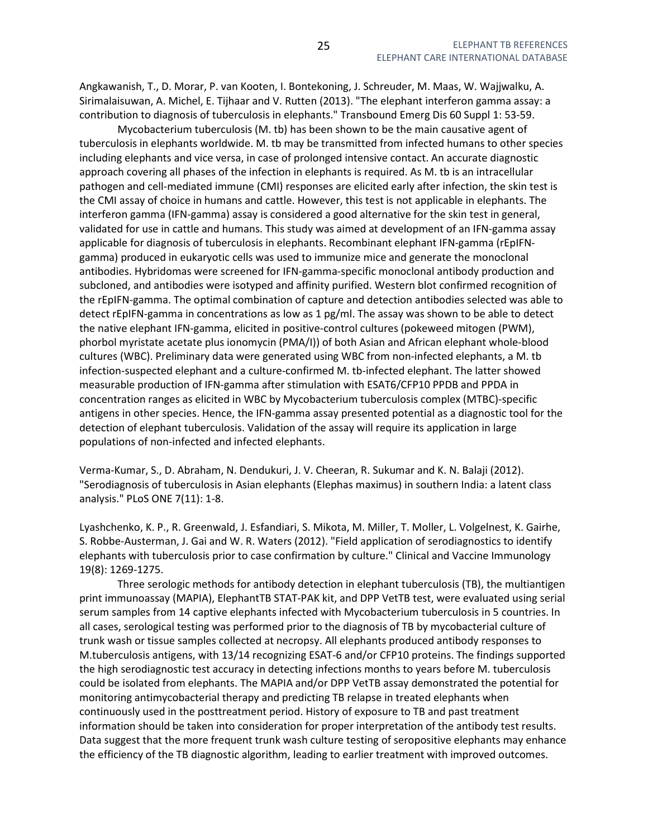Angkawanish, T., D. Morar, P. van Kooten, I. Bontekoning, J. Schreuder, M. Maas, W. Wajjwalku, A. Sirimalaisuwan, A. Michel, E. Tijhaar and V. Rutten (2013). "The elephant interferon gamma assay: a contribution to diagnosis of tuberculosis in elephants." Transbound Emerg Dis 60 Suppl 1: 53-59.

 Mycobacterium tuberculosis (M. tb) has been shown to be the main causative agent of tuberculosis in elephants worldwide. M. tb may be transmitted from infected humans to other species including elephants and vice versa, in case of prolonged intensive contact. An accurate diagnostic approach covering all phases of the infection in elephants is required. As M. tb is an intracellular pathogen and cell-mediated immune (CMI) responses are elicited early after infection, the skin test is the CMI assay of choice in humans and cattle. However, this test is not applicable in elephants. The interferon gamma (IFN-gamma) assay is considered a good alternative for the skin test in general, validated for use in cattle and humans. This study was aimed at development of an IFN-gamma assay applicable for diagnosis of tuberculosis in elephants. Recombinant elephant IFN-gamma (rEpIFNgamma) produced in eukaryotic cells was used to immunize mice and generate the monoclonal antibodies. Hybridomas were screened for IFN-gamma-specific monoclonal antibody production and subcloned, and antibodies were isotyped and affinity purified. Western blot confirmed recognition of the rEpIFN-gamma. The optimal combination of capture and detection antibodies selected was able to detect rEpIFN-gamma in concentrations as low as 1 pg/ml. The assay was shown to be able to detect the native elephant IFN-gamma, elicited in positive-control cultures (pokeweed mitogen (PWM), phorbol myristate acetate plus ionomycin (PMA/I)) of both Asian and African elephant whole-blood cultures (WBC). Preliminary data were generated using WBC from non-infected elephants, a M. tb infection-suspected elephant and a culture-confirmed M. tb-infected elephant. The latter showed measurable production of IFN-gamma after stimulation with ESAT6/CFP10 PPDB and PPDA in concentration ranges as elicited in WBC by Mycobacterium tuberculosis complex (MTBC)-specific antigens in other species. Hence, the IFN-gamma assay presented potential as a diagnostic tool for the detection of elephant tuberculosis. Validation of the assay will require its application in large populations of non-infected and infected elephants.

Verma-Kumar, S., D. Abraham, N. Dendukuri, J. V. Cheeran, R. Sukumar and K. N. Balaji (2012). "Serodiagnosis of tuberculosis in Asian elephants (Elephas maximus) in southern India: a latent class analysis." PLoS ONE 7(11): 1-8.

Lyashchenko, K. P., R. Greenwald, J. Esfandiari, S. Mikota, M. Miller, T. Moller, L. Volgelnest, K. Gairhe, S. Robbe-Austerman, J. Gai and W. R. Waters (2012). "Field application of serodiagnostics to identify elephants with tuberculosis prior to case confirmation by culture." Clinical and Vaccine Immunology 19(8): 1269-1275.

 Three serologic methods for antibody detection in elephant tuberculosis (TB), the multiantigen print immunoassay (MAPIA), ElephantTB STAT-PAK kit, and DPP VetTB test, were evaluated using serial serum samples from 14 captive elephants infected with Mycobacterium tuberculosis in 5 countries. In all cases, serological testing was performed prior to the diagnosis of TB by mycobacterial culture of trunk wash or tissue samples collected at necropsy. All elephants produced antibody responses to M.tuberculosis antigens, with 13/14 recognizing ESAT-6 and/or CFP10 proteins. The findings supported the high serodiagnostic test accuracy in detecting infections months to years before M. tuberculosis could be isolated from elephants. The MAPIA and/or DPP VetTB assay demonstrated the potential for monitoring antimycobacterial therapy and predicting TB relapse in treated elephants when continuously used in the posttreatment period. History of exposure to TB and past treatment information should be taken into consideration for proper interpretation of the antibody test results. Data suggest that the more frequent trunk wash culture testing of seropositive elephants may enhance the efficiency of the TB diagnostic algorithm, leading to earlier treatment with improved outcomes.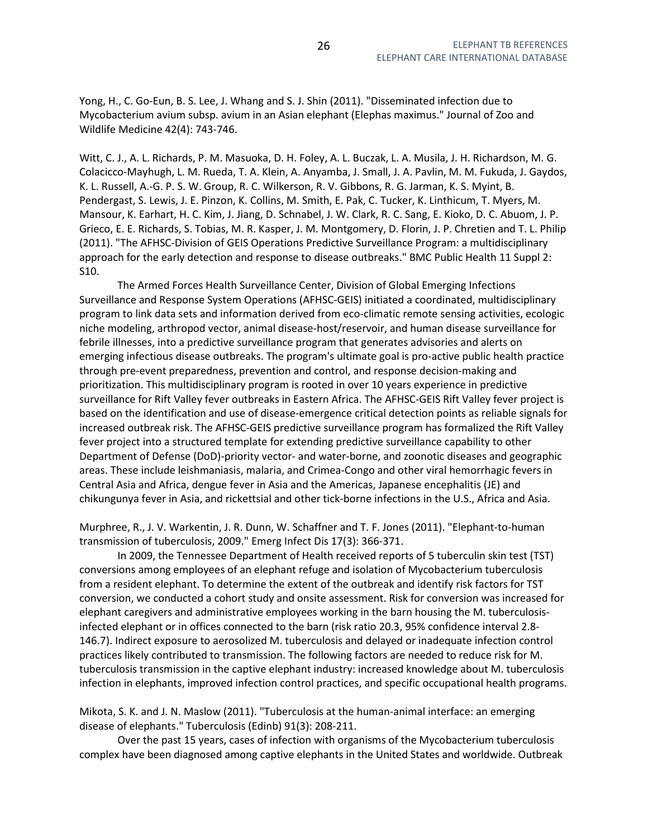Yong, H., C. Go-Eun, B. S. Lee, J. Whang and S. J. Shin (2011). "Disseminated infection due to Mycobacterium avium subsp. avium in an Asian elephant (Elephas maximus." Journal of Zoo and Wildlife Medicine 42(4): 743-746.

Witt, C. J., A. L. Richards, P. M. Masuoka, D. H. Foley, A. L. Buczak, L. A. Musila, J. H. Richardson, M. G. Colacicco-Mayhugh, L. M. Rueda, T. A. Klein, A. Anyamba, J. Small, J. A. Pavlin, M. M. Fukuda, J. Gaydos, K. L. Russell, A.-G. P. S. W. Group, R. C. Wilkerson, R. V. Gibbons, R. G. Jarman, K. S. Myint, B. Pendergast, S. Lewis, J. E. Pinzon, K. Collins, M. Smith, E. Pak, C. Tucker, K. Linthicum, T. Myers, M. Mansour, K. Earhart, H. C. Kim, J. Jiang, D. Schnabel, J. W. Clark, R. C. Sang, E. Kioko, D. C. Abuom, J. P. Grieco, E. E. Richards, S. Tobias, M. R. Kasper, J. M. Montgomery, D. Florin, J. P. Chretien and T. L. Philip (2011). "The AFHSC-Division of GEIS Operations Predictive Surveillance Program: a multidisciplinary approach for the early detection and response to disease outbreaks." BMC Public Health 11 Suppl 2: S10.

 The Armed Forces Health Surveillance Center, Division of Global Emerging Infections Surveillance and Response System Operations (AFHSC-GEIS) initiated a coordinated, multidisciplinary program to link data sets and information derived from eco-climatic remote sensing activities, ecologic niche modeling, arthropod vector, animal disease-host/reservoir, and human disease surveillance for febrile illnesses, into a predictive surveillance program that generates advisories and alerts on emerging infectious disease outbreaks. The program's ultimate goal is pro-active public health practice through pre-event preparedness, prevention and control, and response decision-making and prioritization. This multidisciplinary program is rooted in over 10 years experience in predictive surveillance for Rift Valley fever outbreaks in Eastern Africa. The AFHSC-GEIS Rift Valley fever project is based on the identification and use of disease-emergence critical detection points as reliable signals for increased outbreak risk. The AFHSC-GEIS predictive surveillance program has formalized the Rift Valley fever project into a structured template for extending predictive surveillance capability to other Department of Defense (DoD)-priority vector- and water-borne, and zoonotic diseases and geographic areas. These include leishmaniasis, malaria, and Crimea-Congo and other viral hemorrhagic fevers in Central Asia and Africa, dengue fever in Asia and the Americas, Japanese encephalitis (JE) and chikungunya fever in Asia, and rickettsial and other tick-borne infections in the U.S., Africa and Asia.

Murphree, R., J. V. Warkentin, J. R. Dunn, W. Schaffner and T. F. Jones (2011). "Elephant-to-human transmission of tuberculosis, 2009." Emerg Infect Dis 17(3): 366-371.

 In 2009, the Tennessee Department of Health received reports of 5 tuberculin skin test (TST) conversions among employees of an elephant refuge and isolation of Mycobacterium tuberculosis from a resident elephant. To determine the extent of the outbreak and identify risk factors for TST conversion, we conducted a cohort study and onsite assessment. Risk for conversion was increased for elephant caregivers and administrative employees working in the barn housing the M. tuberculosisinfected elephant or in offices connected to the barn (risk ratio 20.3, 95% confidence interval 2.8- 146.7). Indirect exposure to aerosolized M. tuberculosis and delayed or inadequate infection control practices likely contributed to transmission. The following factors are needed to reduce risk for M. tuberculosis transmission in the captive elephant industry: increased knowledge about M. tuberculosis infection in elephants, improved infection control practices, and specific occupational health programs.

Mikota, S. K. and J. N. Maslow (2011). "Tuberculosis at the human-animal interface: an emerging disease of elephants." Tuberculosis (Edinb) 91(3): 208-211.

 Over the past 15 years, cases of infection with organisms of the Mycobacterium tuberculosis complex have been diagnosed among captive elephants in the United States and worldwide. Outbreak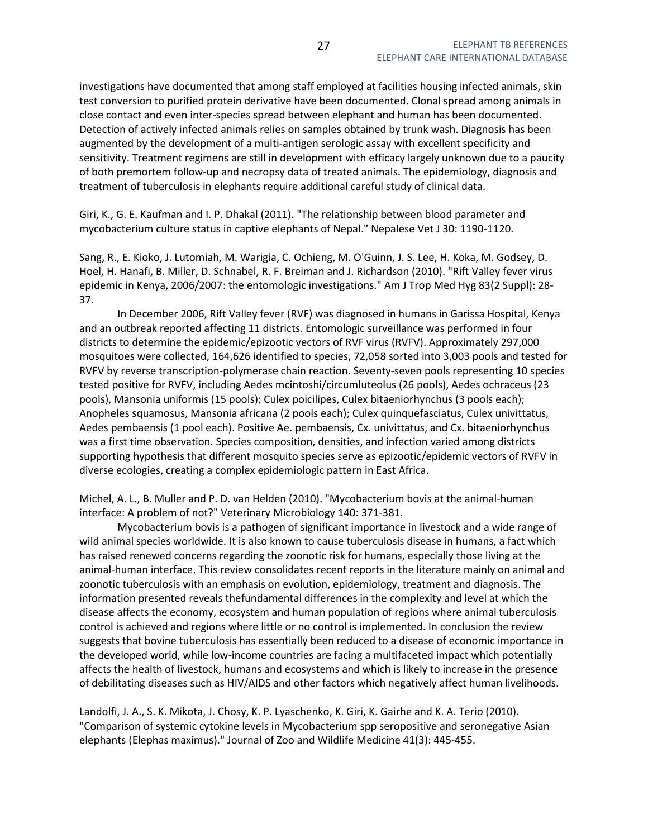investigations have documented that among staff employed at facilities housing infected animals, skin test conversion to purified protein derivative have been documented. Clonal spread among animals in close contact and even inter-species spread between elephant and human has been documented. Detection of actively infected animals relies on samples obtained by trunk wash. Diagnosis has been augmented by the development of a multi-antigen serologic assay with excellent specificity and sensitivity. Treatment regimens are still in development with efficacy largely unknown due to a paucity of both premortem follow-up and necropsy data of treated animals. The epidemiology, diagnosis and treatment of tuberculosis in elephants require additional careful study of clinical data.

Giri, K., G. E. Kaufman and I. P. Dhakal (2011). "The relationship between blood parameter and mycobacterium culture status in captive elephants of Nepal." Nepalese Vet J 30: 1190-1120.

Sang, R., E. Kioko, J. Lutomiah, M. Warigia, C. Ochieng, M. O'Guinn, J. S. Lee, H. Koka, M. Godsey, D. Hoel, H. Hanafi, B. Miller, D. Schnabel, R. F. Breiman and J. Richardson (2010). "Rift Valley fever virus epidemic in Kenya, 2006/2007: the entomologic investigations." Am J Trop Med Hyg 83(2 Suppl): 28- 37.

 In December 2006, Rift Valley fever (RVF) was diagnosed in humans in Garissa Hospital, Kenya and an outbreak reported affecting 11 districts. Entomologic surveillance was performed in four districts to determine the epidemic/epizootic vectors of RVF virus (RVFV). Approximately 297,000 mosquitoes were collected, 164,626 identified to species, 72,058 sorted into 3,003 pools and tested for RVFV by reverse transcription-polymerase chain reaction. Seventy-seven pools representing 10 species tested positive for RVFV, including Aedes mcintoshi/circumluteolus (26 pools), Aedes ochraceus (23 pools), Mansonia uniformis (15 pools); Culex poicilipes, Culex bitaeniorhynchus (3 pools each); Anopheles squamosus, Mansonia africana (2 pools each); Culex quinquefasciatus, Culex univittatus, Aedes pembaensis (1 pool each). Positive Ae. pembaensis, Cx. univittatus, and Cx. bitaeniorhynchus was a first time observation. Species composition, densities, and infection varied among districts supporting hypothesis that different mosquito species serve as epizootic/epidemic vectors of RVFV in diverse ecologies, creating a complex epidemiologic pattern in East Africa.

Michel, A. L., B. Muller and P. D. van Helden (2010). "Mycobacterium bovis at the animal-human interface: A problem of not?" Veterinary Microbiology 140: 371-381.

 Mycobacterium bovis is a pathogen of significant importance in livestock and a wide range of wild animal species worldwide. It is also known to cause tuberculosis disease in humans, a fact which has raised renewed concerns regarding the zoonotic risk for humans, especially those living at the animal-human interface. This review consolidates recent reports in the literature mainly on animal and zoonotic tuberculosis with an emphasis on evolution, epidemiology, treatment and diagnosis. The information presented reveals thefundamental differences in the complexity and level at which the disease affects the economy, ecosystem and human population of regions where animal tuberculosis control is achieved and regions where little or no control is implemented. In conclusion the review suggests that bovine tuberculosis has essentially been reduced to a disease of economic importance in the developed world, while low-income countries are facing a multifaceted impact which potentially affects the health of livestock, humans and ecosystems and which is likely to increase in the presence of debilitating diseases such as HIV/AIDS and other factors which negatively affect human livelihoods.

Landolfi, J. A., S. K. Mikota, J. Chosy, K. P. Lyaschenko, K. Giri, K. Gairhe and K. A. Terio (2010). "Comparison of systemic cytokine levels in Mycobacterium spp seropositive and seronegative Asian elephants (Elephas maximus)." Journal of Zoo and Wildlife Medicine 41(3): 445-455.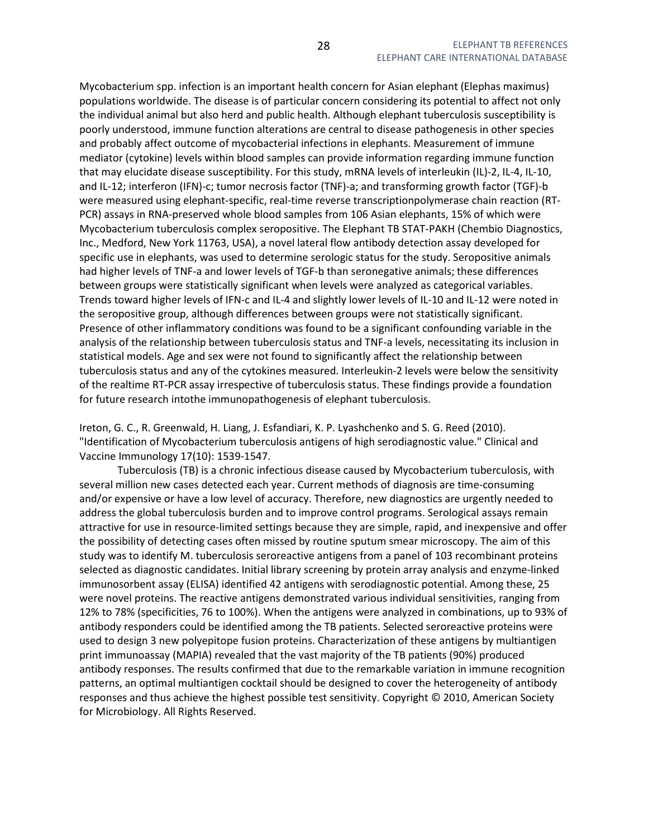Mycobacterium spp. infection is an important health concern for Asian elephant (Elephas maximus) populations worldwide. The disease is of particular concern considering its potential to affect not only the individual animal but also herd and public health. Although elephant tuberculosis susceptibility is poorly understood, immune function alterations are central to disease pathogenesis in other species and probably affect outcome of mycobacterial infections in elephants. Measurement of immune mediator (cytokine) levels within blood samples can provide information regarding immune function that may elucidate disease susceptibility. For this study, mRNA levels of interleukin (IL)-2, IL-4, IL-10, and IL-12; interferon (IFN)-c; tumor necrosis factor (TNF)-a; and transforming growth factor (TGF)-b were measured using elephant-specific, real-time reverse transcriptionpolymerase chain reaction (RT-PCR) assays in RNA-preserved whole blood samples from 106 Asian elephants, 15% of which were Mycobacterium tuberculosis complex seropositive. The Elephant TB STAT-PAKH (Chembio Diagnostics, Inc., Medford, New York 11763, USA), a novel lateral flow antibody detection assay developed for specific use in elephants, was used to determine serologic status for the study. Seropositive animals had higher levels of TNF-a and lower levels of TGF-b than seronegative animals; these differences between groups were statistically significant when levels were analyzed as categorical variables. Trends toward higher levels of IFN-c and IL-4 and slightly lower levels of IL-10 and IL-12 were noted in the seropositive group, although differences between groups were not statistically significant. Presence of other inflammatory conditions was found to be a significant confounding variable in the analysis of the relationship between tuberculosis status and TNF-a levels, necessitating its inclusion in statistical models. Age and sex were not found to significantly affect the relationship between tuberculosis status and any of the cytokines measured. Interleukin-2 levels were below the sensitivity of the realtime RT-PCR assay irrespective of tuberculosis status. These findings provide a foundation for future research intothe immunopathogenesis of elephant tuberculosis.

Ireton, G. C., R. Greenwald, H. Liang, J. Esfandiari, K. P. Lyashchenko and S. G. Reed (2010). "Identification of Mycobacterium tuberculosis antigens of high serodiagnostic value." Clinical and Vaccine Immunology 17(10): 1539-1547.

 Tuberculosis (TB) is a chronic infectious disease caused by Mycobacterium tuberculosis, with several million new cases detected each year. Current methods of diagnosis are time-consuming and/or expensive or have a low level of accuracy. Therefore, new diagnostics are urgently needed to address the global tuberculosis burden and to improve control programs. Serological assays remain attractive for use in resource-limited settings because they are simple, rapid, and inexpensive and offer the possibility of detecting cases often missed by routine sputum smear microscopy. The aim of this study was to identify M. tuberculosis seroreactive antigens from a panel of 103 recombinant proteins selected as diagnostic candidates. Initial library screening by protein array analysis and enzyme-linked immunosorbent assay (ELISA) identified 42 antigens with serodiagnostic potential. Among these, 25 were novel proteins. The reactive antigens demonstrated various individual sensitivities, ranging from 12% to 78% (specificities, 76 to 100%). When the antigens were analyzed in combinations, up to 93% of antibody responders could be identified among the TB patients. Selected seroreactive proteins were used to design 3 new polyepitope fusion proteins. Characterization of these antigens by multiantigen print immunoassay (MAPIA) revealed that the vast majority of the TB patients (90%) produced antibody responses. The results confirmed that due to the remarkable variation in immune recognition patterns, an optimal multiantigen cocktail should be designed to cover the heterogeneity of antibody responses and thus achieve the highest possible test sensitivity. Copyright © 2010, American Society for Microbiology. All Rights Reserved.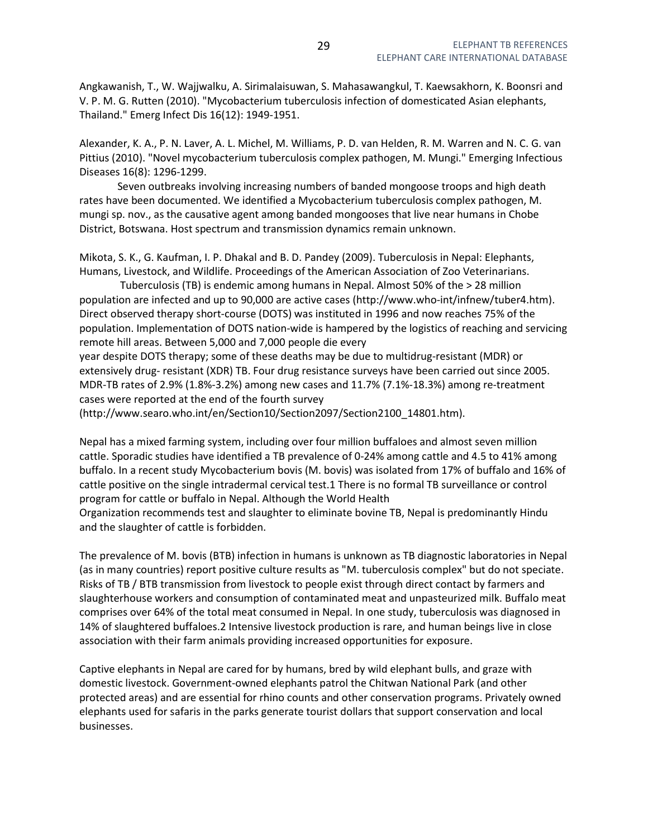Angkawanish, T., W. Wajjwalku, A. Sirimalaisuwan, S. Mahasawangkul, T. Kaewsakhorn, K. Boonsri and V. P. M. G. Rutten (2010). "Mycobacterium tuberculosis infection of domesticated Asian elephants, Thailand." Emerg Infect Dis 16(12): 1949-1951.

Alexander, K. A., P. N. Laver, A. L. Michel, M. Williams, P. D. van Helden, R. M. Warren and N. C. G. van Pittius (2010). "Novel mycobacterium tuberculosis complex pathogen, M. Mungi." Emerging Infectious Diseases 16(8): 1296-1299.

 Seven outbreaks involving increasing numbers of banded mongoose troops and high death rates have been documented. We identified a Mycobacterium tuberculosis complex pathogen, M. mungi sp. nov., as the causative agent among banded mongooses that live near humans in Chobe District, Botswana. Host spectrum and transmission dynamics remain unknown.

Mikota, S. K., G. Kaufman, I. P. Dhakal and B. D. Pandey (2009). Tuberculosis in Nepal: Elephants, Humans, Livestock, and Wildlife. Proceedings of the American Association of Zoo Veterinarians.

 Tuberculosis (TB) is endemic among humans in Nepal. Almost 50% of the > 28 million population are infected and up to 90,000 are active cases (http://www.who-int/infnew/tuber4.htm). Direct observed therapy short-course (DOTS) was instituted in 1996 and now reaches 75% of the population. Implementation of DOTS nation-wide is hampered by the logistics of reaching and servicing remote hill areas. Between 5,000 and 7,000 people die every

year despite DOTS therapy; some of these deaths may be due to multidrug-resistant (MDR) or extensively drug- resistant (XDR) TB. Four drug resistance surveys have been carried out since 2005. MDR-TB rates of 2.9% (1.8%-3.2%) among new cases and 11.7% (7.1%-18.3%) among re-treatment cases were reported at the end of the fourth survey

(http://www.searo.who.int/en/Section10/Section2097/Section2100\_14801.htm).

Nepal has a mixed farming system, including over four million buffaloes and almost seven million cattle. Sporadic studies have identified a TB prevalence of 0-24% among cattle and 4.5 to 41% among buffalo. In a recent study Mycobacterium bovis (M. bovis) was isolated from 17% of buffalo and 16% of cattle positive on the single intradermal cervical test.1 There is no formal TB surveillance or control program for cattle or buffalo in Nepal. Although the World Health

Organization recommends test and slaughter to eliminate bovine TB, Nepal is predominantly Hindu and the slaughter of cattle is forbidden.

The prevalence of M. bovis (BTB) infection in humans is unknown as TB diagnostic laboratories in Nepal (as in many countries) report positive culture results as "M. tuberculosis complex" but do not speciate. Risks of TB / BTB transmission from livestock to people exist through direct contact by farmers and slaughterhouse workers and consumption of contaminated meat and unpasteurized milk. Buffalo meat comprises over 64% of the total meat consumed in Nepal. In one study, tuberculosis was diagnosed in 14% of slaughtered buffaloes.2 Intensive livestock production is rare, and human beings live in close association with their farm animals providing increased opportunities for exposure.

Captive elephants in Nepal are cared for by humans, bred by wild elephant bulls, and graze with domestic livestock. Government-owned elephants patrol the Chitwan National Park (and other protected areas) and are essential for rhino counts and other conservation programs. Privately owned elephants used for safaris in the parks generate tourist dollars that support conservation and local businesses.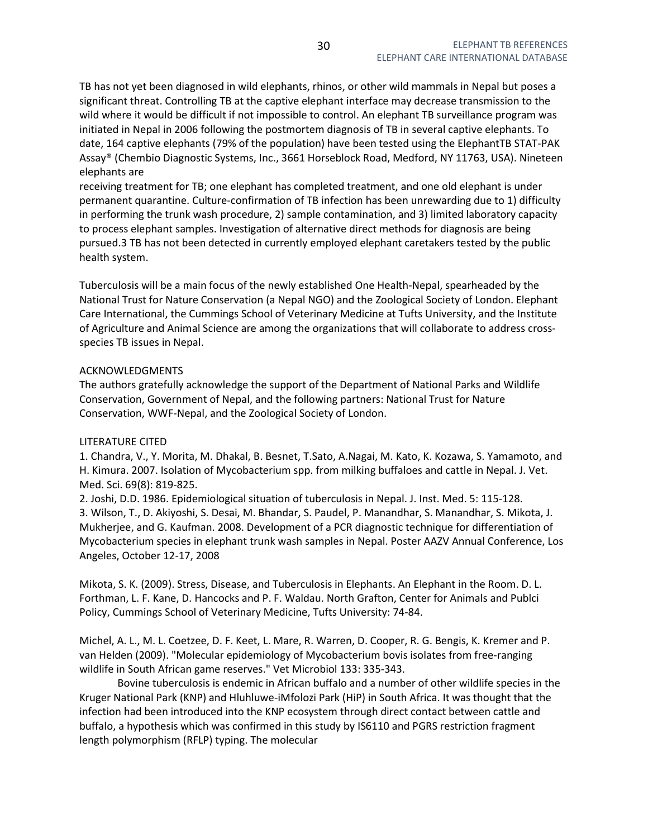TB has not yet been diagnosed in wild elephants, rhinos, or other wild mammals in Nepal but poses a significant threat. Controlling TB at the captive elephant interface may decrease transmission to the wild where it would be difficult if not impossible to control. An elephant TB surveillance program was initiated in Nepal in 2006 following the postmortem diagnosis of TB in several captive elephants. To date, 164 captive elephants (79% of the population) have been tested using the ElephantTB STAT-PAK Assay® (Chembio Diagnostic Systems, Inc., 3661 Horseblock Road, Medford, NY 11763, USA). Nineteen elephants are

receiving treatment for TB; one elephant has completed treatment, and one old elephant is under permanent quarantine. Culture-confirmation of TB infection has been unrewarding due to 1) difficulty in performing the trunk wash procedure, 2) sample contamination, and 3) limited laboratory capacity to process elephant samples. Investigation of alternative direct methods for diagnosis are being pursued.3 TB has not been detected in currently employed elephant caretakers tested by the public health system.

Tuberculosis will be a main focus of the newly established One Health-Nepal, spearheaded by the National Trust for Nature Conservation (a Nepal NGO) and the Zoological Society of London. Elephant Care International, the Cummings School of Veterinary Medicine at Tufts University, and the Institute of Agriculture and Animal Science are among the organizations that will collaborate to address crossspecies TB issues in Nepal.

## ACKNOWLEDGMENTS

The authors gratefully acknowledge the support of the Department of National Parks and Wildlife Conservation, Government of Nepal, and the following partners: National Trust for Nature Conservation, WWF-Nepal, and the Zoological Society of London.

## LITERATURE CITED

1. Chandra, V., Y. Morita, M. Dhakal, B. Besnet, T.Sato, A.Nagai, M. Kato, K. Kozawa, S. Yamamoto, and H. Kimura. 2007. Isolation of Mycobacterium spp. from milking buffaloes and cattle in Nepal. J. Vet. Med. Sci. 69(8): 819-825.

2. Joshi, D.D. 1986. Epidemiological situation of tuberculosis in Nepal. J. Inst. Med. 5: 115-128. 3. Wilson, T., D. Akiyoshi, S. Desai, M. Bhandar, S. Paudel, P. Manandhar, S. Manandhar, S. Mikota, J. Mukherjee, and G. Kaufman. 2008. Development of a PCR diagnostic technique for differentiation of Mycobacterium species in elephant trunk wash samples in Nepal. Poster AAZV Annual Conference, Los Angeles, October 12-17, 2008

Mikota, S. K. (2009). Stress, Disease, and Tuberculosis in Elephants. An Elephant in the Room. D. L. Forthman, L. F. Kane, D. Hancocks and P. F. Waldau. North Grafton, Center for Animals and Publci Policy, Cummings School of Veterinary Medicine, Tufts University: 74-84.

Michel, A. L., M. L. Coetzee, D. F. Keet, L. Mare, R. Warren, D. Cooper, R. G. Bengis, K. Kremer and P. van Helden (2009). "Molecular epidemiology of Mycobacterium bovis isolates from free-ranging wildlife in South African game reserves." Vet Microbiol 133: 335-343.

 Bovine tuberculosis is endemic in African buffalo and a number of other wildlife species in the Kruger National Park (KNP) and Hluhluwe-iMfolozi Park (HiP) in South Africa. It was thought that the infection had been introduced into the KNP ecosystem through direct contact between cattle and buffalo, a hypothesis which was confirmed in this study by IS6110 and PGRS restriction fragment length polymorphism (RFLP) typing. The molecular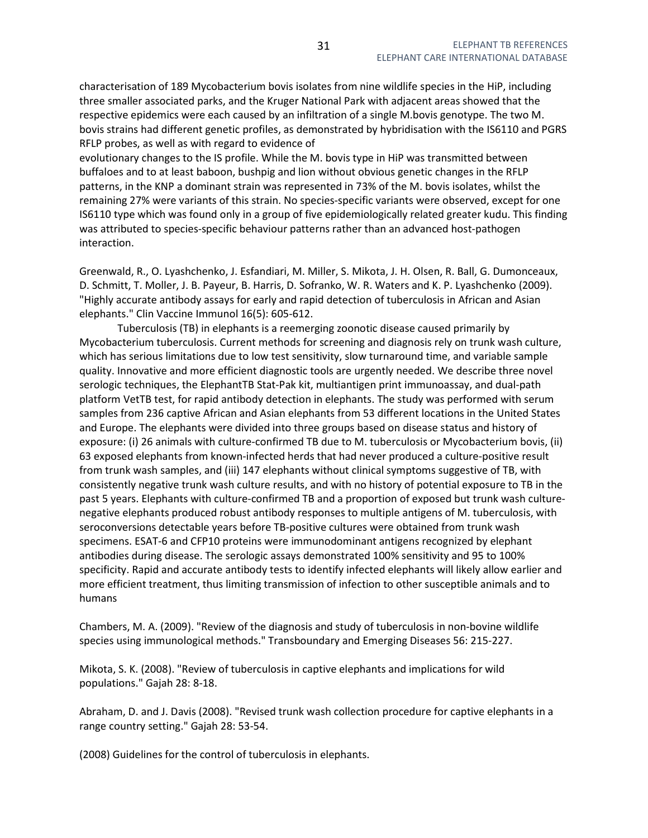characterisation of 189 Mycobacterium bovis isolates from nine wildlife species in the HiP, including three smaller associated parks, and the Kruger National Park with adjacent areas showed that the respective epidemics were each caused by an infiltration of a single M.bovis genotype. The two M. bovis strains had different genetic profiles, as demonstrated by hybridisation with the IS6110 and PGRS RFLP probes, as well as with regard to evidence of

evolutionary changes to the IS profile. While the M. bovis type in HiP was transmitted between buffaloes and to at least baboon, bushpig and lion without obvious genetic changes in the RFLP patterns, in the KNP a dominant strain was represented in 73% of the M. bovis isolates, whilst the remaining 27% were variants of this strain. No species-specific variants were observed, except for one IS6110 type which was found only in a group of five epidemiologically related greater kudu. This finding was attributed to species-specific behaviour patterns rather than an advanced host-pathogen interaction.

Greenwald, R., O. Lyashchenko, J. Esfandiari, M. Miller, S. Mikota, J. H. Olsen, R. Ball, G. Dumonceaux, D. Schmitt, T. Moller, J. B. Payeur, B. Harris, D. Sofranko, W. R. Waters and K. P. Lyashchenko (2009). "Highly accurate antibody assays for early and rapid detection of tuberculosis in African and Asian elephants." Clin Vaccine Immunol 16(5): 605-612.

 Tuberculosis (TB) in elephants is a reemerging zoonotic disease caused primarily by Mycobacterium tuberculosis. Current methods for screening and diagnosis rely on trunk wash culture, which has serious limitations due to low test sensitivity, slow turnaround time, and variable sample quality. Innovative and more efficient diagnostic tools are urgently needed. We describe three novel serologic techniques, the ElephantTB Stat-Pak kit, multiantigen print immunoassay, and dual-path platform VetTB test, for rapid antibody detection in elephants. The study was performed with serum samples from 236 captive African and Asian elephants from 53 different locations in the United States and Europe. The elephants were divided into three groups based on disease status and history of exposure: (i) 26 animals with culture-confirmed TB due to M. tuberculosis or Mycobacterium bovis, (ii) 63 exposed elephants from known-infected herds that had never produced a culture-positive result from trunk wash samples, and (iii) 147 elephants without clinical symptoms suggestive of TB, with consistently negative trunk wash culture results, and with no history of potential exposure to TB in the past 5 years. Elephants with culture-confirmed TB and a proportion of exposed but trunk wash culturenegative elephants produced robust antibody responses to multiple antigens of M. tuberculosis, with seroconversions detectable years before TB-positive cultures were obtained from trunk wash specimens. ESAT-6 and CFP10 proteins were immunodominant antigens recognized by elephant antibodies during disease. The serologic assays demonstrated 100% sensitivity and 95 to 100% specificity. Rapid and accurate antibody tests to identify infected elephants will likely allow earlier and more efficient treatment, thus limiting transmission of infection to other susceptible animals and to humans

Chambers, M. A. (2009). "Review of the diagnosis and study of tuberculosis in non-bovine wildlife species using immunological methods." Transboundary and Emerging Diseases 56: 215-227.

Mikota, S. K. (2008). "Review of tuberculosis in captive elephants and implications for wild populations." Gajah 28: 8-18.

Abraham, D. and J. Davis (2008). "Revised trunk wash collection procedure for captive elephants in a range country setting." Gajah 28: 53-54.

(2008) Guidelines for the control of tuberculosis in elephants.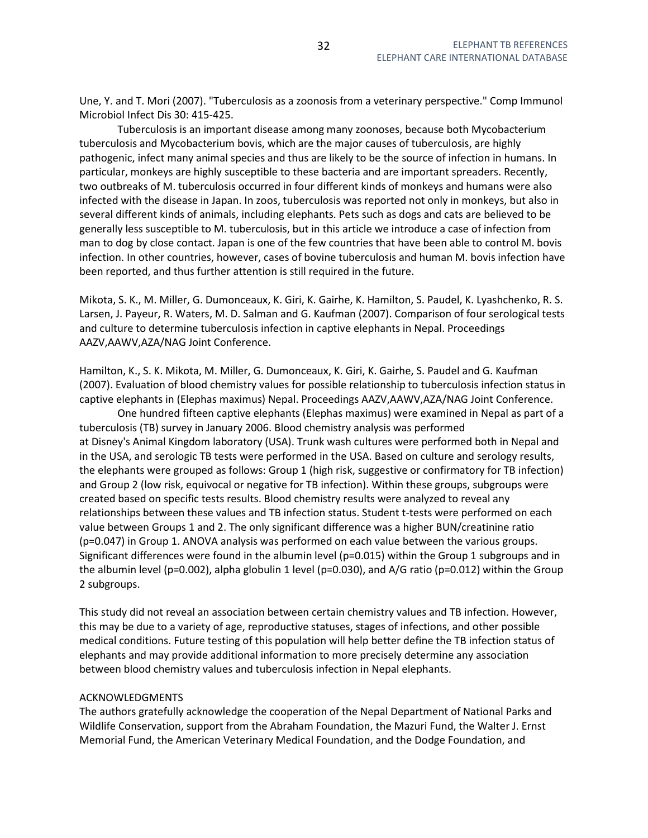Une, Y. and T. Mori (2007). "Tuberculosis as a zoonosis from a veterinary perspective." Comp Immunol Microbiol Infect Dis 30: 415-425.

 Tuberculosis is an important disease among many zoonoses, because both Mycobacterium tuberculosis and Mycobacterium bovis, which are the major causes of tuberculosis, are highly pathogenic, infect many animal species and thus are likely to be the source of infection in humans. In particular, monkeys are highly susceptible to these bacteria and are important spreaders. Recently, two outbreaks of M. tuberculosis occurred in four different kinds of monkeys and humans were also infected with the disease in Japan. In zoos, tuberculosis was reported not only in monkeys, but also in several different kinds of animals, including elephants. Pets such as dogs and cats are believed to be generally less susceptible to M. tuberculosis, but in this article we introduce a case of infection from man to dog by close contact. Japan is one of the few countries that have been able to control M. bovis infection. In other countries, however, cases of bovine tuberculosis and human M. bovis infection have been reported, and thus further attention is still required in the future.

Mikota, S. K., M. Miller, G. Dumonceaux, K. Giri, K. Gairhe, K. Hamilton, S. Paudel, K. Lyashchenko, R. S. Larsen, J. Payeur, R. Waters, M. D. Salman and G. Kaufman (2007). Comparison of four serological tests and culture to determine tuberculosis infection in captive elephants in Nepal. Proceedings AAZV,AAWV,AZA/NAG Joint Conference.

Hamilton, K., S. K. Mikota, M. Miller, G. Dumonceaux, K. Giri, K. Gairhe, S. Paudel and G. Kaufman (2007). Evaluation of blood chemistry values for possible relationship to tuberculosis infection status in captive elephants in (Elephas maximus) Nepal. Proceedings AAZV,AAWV,AZA/NAG Joint Conference.

 One hundred fifteen captive elephants (Elephas maximus) were examined in Nepal as part of a tuberculosis (TB) survey in January 2006. Blood chemistry analysis was performed at Disney's Animal Kingdom laboratory (USA). Trunk wash cultures were performed both in Nepal and in the USA, and serologic TB tests were performed in the USA. Based on culture and serology results, the elephants were grouped as follows: Group 1 (high risk, suggestive or confirmatory for TB infection) and Group 2 (low risk, equivocal or negative for TB infection). Within these groups, subgroups were created based on specific tests results. Blood chemistry results were analyzed to reveal any relationships between these values and TB infection status. Student t-tests were performed on each value between Groups 1 and 2. The only significant difference was a higher BUN/creatinine ratio (p=0.047) in Group 1. ANOVA analysis was performed on each value between the various groups. Significant differences were found in the albumin level (p=0.015) within the Group 1 subgroups and in the albumin level (p=0.002), alpha globulin 1 level (p=0.030), and A/G ratio (p=0.012) within the Group 2 subgroups.

This study did not reveal an association between certain chemistry values and TB infection. However, this may be due to a variety of age, reproductive statuses, stages of infections, and other possible medical conditions. Future testing of this population will help better define the TB infection status of elephants and may provide additional information to more precisely determine any association between blood chemistry values and tuberculosis infection in Nepal elephants.

## ACKNOWLEDGMENTS

The authors gratefully acknowledge the cooperation of the Nepal Department of National Parks and Wildlife Conservation, support from the Abraham Foundation, the Mazuri Fund, the Walter J. Ernst Memorial Fund, the American Veterinary Medical Foundation, and the Dodge Foundation, and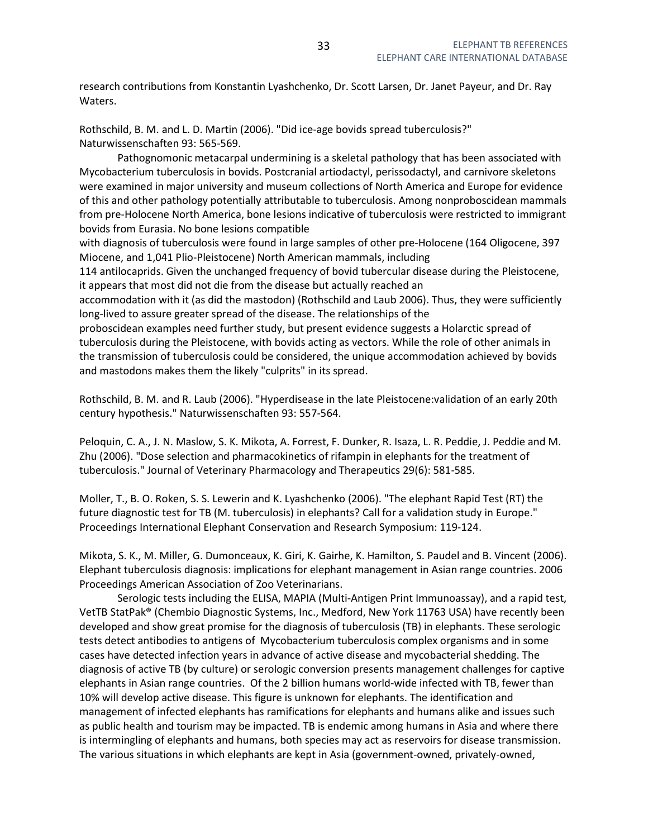research contributions from Konstantin Lyashchenko, Dr. Scott Larsen, Dr. Janet Payeur, and Dr. Ray Waters.

Rothschild, B. M. and L. D. Martin (2006). "Did ice-age bovids spread tuberculosis?" Naturwissenschaften 93: 565-569.

 Pathognomonic metacarpal undermining is a skeletal pathology that has been associated with Mycobacterium tuberculosis in bovids. Postcranial artiodactyl, perissodactyl, and carnivore skeletons were examined in major university and museum collections of North America and Europe for evidence of this and other pathology potentially attributable to tuberculosis. Among nonproboscidean mammals from pre-Holocene North America, bone lesions indicative of tuberculosis were restricted to immigrant bovids from Eurasia. No bone lesions compatible

with diagnosis of tuberculosis were found in large samples of other pre-Holocene (164 Oligocene, 397 Miocene, and 1,041 Plio-Pleistocene) North American mammals, including

114 antilocaprids. Given the unchanged frequency of bovid tubercular disease during the Pleistocene, it appears that most did not die from the disease but actually reached an

accommodation with it (as did the mastodon) (Rothschild and Laub 2006). Thus, they were sufficiently long-lived to assure greater spread of the disease. The relationships of the

proboscidean examples need further study, but present evidence suggests a Holarctic spread of tuberculosis during the Pleistocene, with bovids acting as vectors. While the role of other animals in the transmission of tuberculosis could be considered, the unique accommodation achieved by bovids and mastodons makes them the likely "culprits" in its spread.

Rothschild, B. M. and R. Laub (2006). "Hyperdisease in the late Pleistocene:validation of an early 20th century hypothesis." Naturwissenschaften 93: 557-564.

Peloquin, C. A., J. N. Maslow, S. K. Mikota, A. Forrest, F. Dunker, R. Isaza, L. R. Peddie, J. Peddie and M. Zhu (2006). "Dose selection and pharmacokinetics of rifampin in elephants for the treatment of tuberculosis." Journal of Veterinary Pharmacology and Therapeutics 29(6): 581-585.

Moller, T., B. O. Roken, S. S. Lewerin and K. Lyashchenko (2006). "The elephant Rapid Test (RT) the future diagnostic test for TB (M. tuberculosis) in elephants? Call for a validation study in Europe." Proceedings International Elephant Conservation and Research Symposium: 119-124.

Mikota, S. K., M. Miller, G. Dumonceaux, K. Giri, K. Gairhe, K. Hamilton, S. Paudel and B. Vincent (2006). Elephant tuberculosis diagnosis: implications for elephant management in Asian range countries. 2006 Proceedings American Association of Zoo Veterinarians.

 Serologic tests including the ELISA, MAPIA (Multi-Antigen Print Immunoassay), and a rapid test, VetTB StatPak® (Chembio Diagnostic Systems, Inc., Medford, New York 11763 USA) have recently been developed and show great promise for the diagnosis of tuberculosis (TB) in elephants. These serologic tests detect antibodies to antigens of Mycobacterium tuberculosis complex organisms and in some cases have detected infection years in advance of active disease and mycobacterial shedding. The diagnosis of active TB (by culture) or serologic conversion presents management challenges for captive elephants in Asian range countries. Of the 2 billion humans world-wide infected with TB, fewer than 10% will develop active disease. This figure is unknown for elephants. The identification and management of infected elephants has ramifications for elephants and humans alike and issues such as public health and tourism may be impacted. TB is endemic among humans in Asia and where there is intermingling of elephants and humans, both species may act as reservoirs for disease transmission. The various situations in which elephants are kept in Asia (government-owned, privately-owned,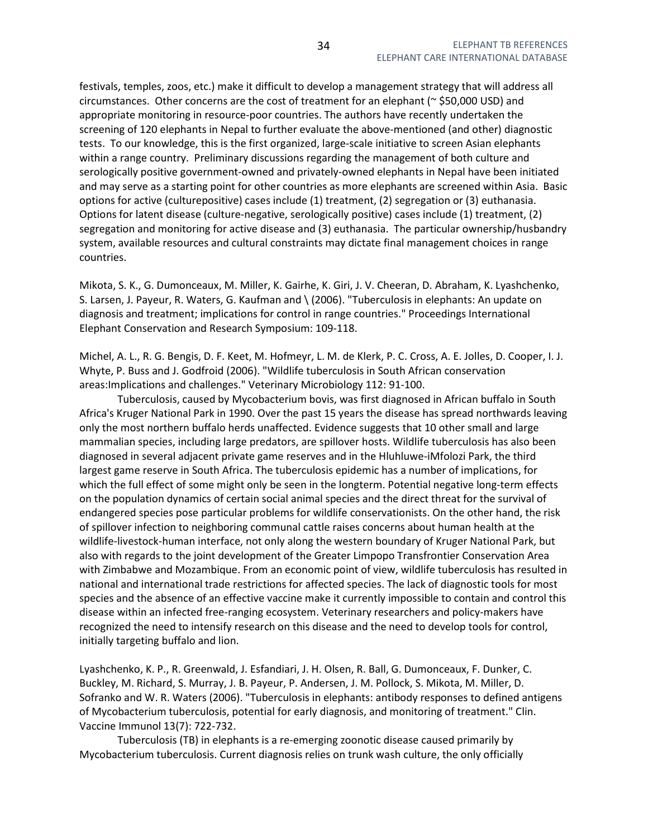festivals, temples, zoos, etc.) make it difficult to develop a management strategy that will address all circumstances. Other concerns are the cost of treatment for an elephant ( $\approx$  \$50,000 USD) and appropriate monitoring in resource-poor countries. The authors have recently undertaken the screening of 120 elephants in Nepal to further evaluate the above-mentioned (and other) diagnostic tests. To our knowledge, this is the first organized, large-scale initiative to screen Asian elephants within a range country. Preliminary discussions regarding the management of both culture and serologically positive government-owned and privately-owned elephants in Nepal have been initiated and may serve as a starting point for other countries as more elephants are screened within Asia. Basic options for active (culturepositive) cases include (1) treatment, (2) segregation or (3) euthanasia. Options for latent disease (culture-negative, serologically positive) cases include (1) treatment, (2) segregation and monitoring for active disease and (3) euthanasia. The particular ownership/husbandry system, available resources and cultural constraints may dictate final management choices in range countries.

Mikota, S. K., G. Dumonceaux, M. Miller, K. Gairhe, K. Giri, J. V. Cheeran, D. Abraham, K. Lyashchenko, S. Larsen, J. Payeur, R. Waters, G. Kaufman and \ (2006). "Tuberculosis in elephants: An update on diagnosis and treatment; implications for control in range countries." Proceedings International Elephant Conservation and Research Symposium: 109-118.

Michel, A. L., R. G. Bengis, D. F. Keet, M. Hofmeyr, L. M. de Klerk, P. C. Cross, A. E. Jolles, D. Cooper, I. J. Whyte, P. Buss and J. Godfroid (2006). "Wildlife tuberculosis in South African conservation areas:Implications and challenges." Veterinary Microbiology 112: 91-100.

 Tuberculosis, caused by Mycobacterium bovis, was first diagnosed in African buffalo in South Africa's Kruger National Park in 1990. Over the past 15 years the disease has spread northwards leaving only the most northern buffalo herds unaffected. Evidence suggests that 10 other small and large mammalian species, including large predators, are spillover hosts. Wildlife tuberculosis has also been diagnosed in several adjacent private game reserves and in the Hluhluwe-iMfolozi Park, the third largest game reserve in South Africa. The tuberculosis epidemic has a number of implications, for which the full effect of some might only be seen in the longterm. Potential negative long-term effects on the population dynamics of certain social animal species and the direct threat for the survival of endangered species pose particular problems for wildlife conservationists. On the other hand, the risk of spillover infection to neighboring communal cattle raises concerns about human health at the wildlife-livestock-human interface, not only along the western boundary of Kruger National Park, but also with regards to the joint development of the Greater Limpopo Transfrontier Conservation Area with Zimbabwe and Mozambique. From an economic point of view, wildlife tuberculosis has resulted in national and international trade restrictions for affected species. The lack of diagnostic tools for most species and the absence of an effective vaccine make it currently impossible to contain and control this disease within an infected free-ranging ecosystem. Veterinary researchers and policy-makers have recognized the need to intensify research on this disease and the need to develop tools for control, initially targeting buffalo and lion.

Lyashchenko, K. P., R. Greenwald, J. Esfandiari, J. H. Olsen, R. Ball, G. Dumonceaux, F. Dunker, C. Buckley, M. Richard, S. Murray, J. B. Payeur, P. Andersen, J. M. Pollock, S. Mikota, M. Miller, D. Sofranko and W. R. Waters (2006). "Tuberculosis in elephants: antibody responses to defined antigens of Mycobacterium tuberculosis, potential for early diagnosis, and monitoring of treatment." Clin. Vaccine Immunol 13(7): 722-732.

 Tuberculosis (TB) in elephants is a re-emerging zoonotic disease caused primarily by Mycobacterium tuberculosis. Current diagnosis relies on trunk wash culture, the only officially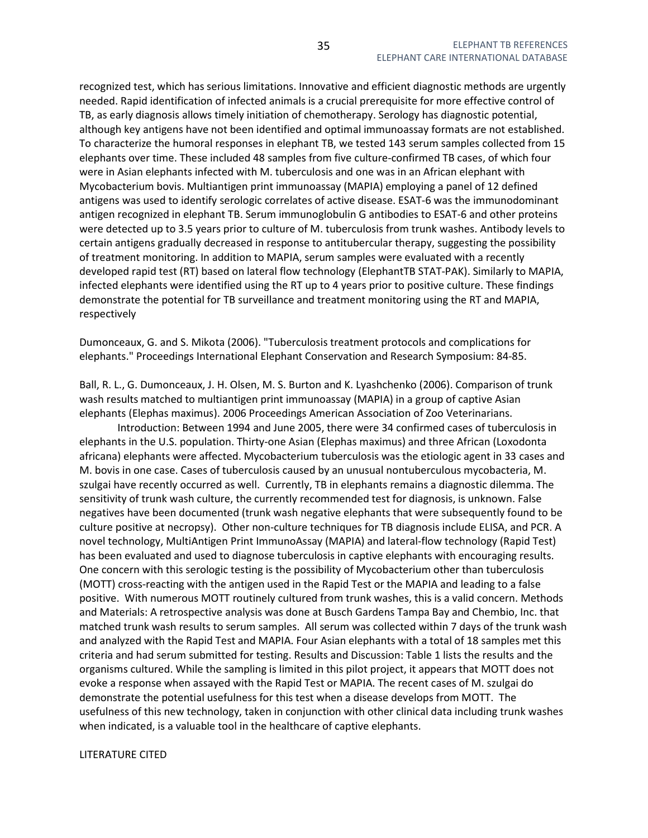recognized test, which has serious limitations. Innovative and efficient diagnostic methods are urgently needed. Rapid identification of infected animals is a crucial prerequisite for more effective control of TB, as early diagnosis allows timely initiation of chemotherapy. Serology has diagnostic potential, although key antigens have not been identified and optimal immunoassay formats are not established. To characterize the humoral responses in elephant TB, we tested 143 serum samples collected from 15 elephants over time. These included 48 samples from five culture-confirmed TB cases, of which four were in Asian elephants infected with M. tuberculosis and one was in an African elephant with Mycobacterium bovis. Multiantigen print immunoassay (MAPIA) employing a panel of 12 defined antigens was used to identify serologic correlates of active disease. ESAT-6 was the immunodominant antigen recognized in elephant TB. Serum immunoglobulin G antibodies to ESAT-6 and other proteins were detected up to 3.5 years prior to culture of M. tuberculosis from trunk washes. Antibody levels to certain antigens gradually decreased in response to antitubercular therapy, suggesting the possibility of treatment monitoring. In addition to MAPIA, serum samples were evaluated with a recently developed rapid test (RT) based on lateral flow technology (ElephantTB STAT-PAK). Similarly to MAPIA, infected elephants were identified using the RT up to 4 years prior to positive culture. These findings demonstrate the potential for TB surveillance and treatment monitoring using the RT and MAPIA, respectively

Dumonceaux, G. and S. Mikota (2006). "Tuberculosis treatment protocols and complications for elephants." Proceedings International Elephant Conservation and Research Symposium: 84-85.

Ball, R. L., G. Dumonceaux, J. H. Olsen, M. S. Burton and K. Lyashchenko (2006). Comparison of trunk wash results matched to multiantigen print immunoassay (MAPIA) in a group of captive Asian elephants (Elephas maximus). 2006 Proceedings American Association of Zoo Veterinarians.

 Introduction: Between 1994 and June 2005, there were 34 confirmed cases of tuberculosis in elephants in the U.S. population. Thirty-one Asian (Elephas maximus) and three African (Loxodonta africana) elephants were affected. Mycobacterium tuberculosis was the etiologic agent in 33 cases and M. bovis in one case. Cases of tuberculosis caused by an unusual nontuberculous mycobacteria, M. szulgai have recently occurred as well. Currently, TB in elephants remains a diagnostic dilemma. The sensitivity of trunk wash culture, the currently recommended test for diagnosis, is unknown. False negatives have been documented (trunk wash negative elephants that were subsequently found to be culture positive at necropsy). Other non-culture techniques for TB diagnosis include ELISA, and PCR. A novel technology, MultiAntigen Print ImmunoAssay (MAPIA) and lateral-flow technology (Rapid Test) has been evaluated and used to diagnose tuberculosis in captive elephants with encouraging results. One concern with this serologic testing is the possibility of Mycobacterium other than tuberculosis (MOTT) cross-reacting with the antigen used in the Rapid Test or the MAPIA and leading to a false positive. With numerous MOTT routinely cultured from trunk washes, this is a valid concern. Methods and Materials: A retrospective analysis was done at Busch Gardens Tampa Bay and Chembio, Inc. that matched trunk wash results to serum samples. All serum was collected within 7 days of the trunk wash and analyzed with the Rapid Test and MAPIA. Four Asian elephants with a total of 18 samples met this criteria and had serum submitted for testing. Results and Discussion: Table 1 lists the results and the organisms cultured. While the sampling is limited in this pilot project, it appears that MOTT does not evoke a response when assayed with the Rapid Test or MAPIA. The recent cases of M. szulgai do demonstrate the potential usefulness for this test when a disease develops from MOTT. The usefulness of this new technology, taken in conjunction with other clinical data including trunk washes when indicated, is a valuable tool in the healthcare of captive elephants.

#### LITERATURE CITED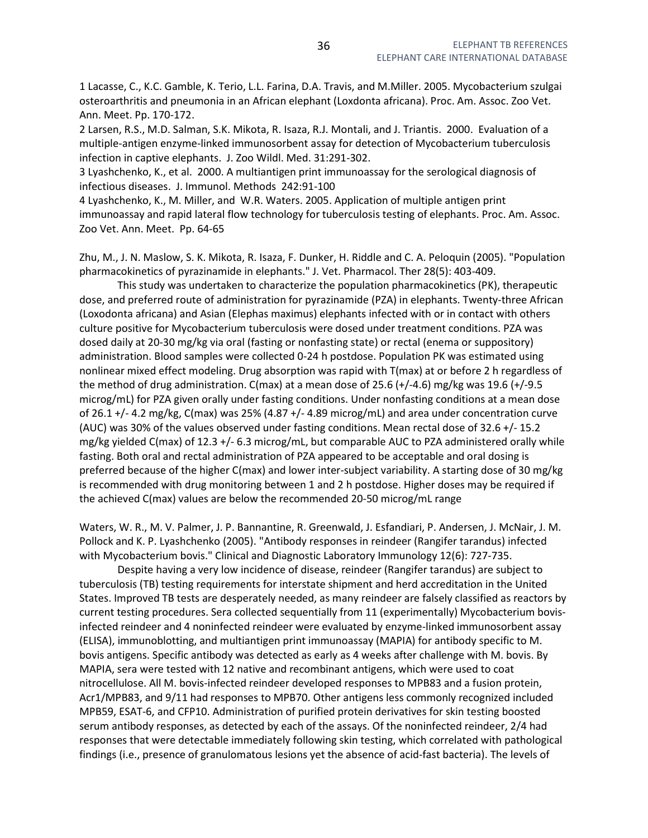1 Lacasse, C., K.C. Gamble, K. Terio, L.L. Farina, D.A. Travis, and M.Miller. 2005. Mycobacterium szulgai osteroarthritis and pneumonia in an African elephant (Loxdonta africana). Proc. Am. Assoc. Zoo Vet. Ann. Meet. Pp. 170-172.

2 Larsen, R.S., M.D. Salman, S.K. Mikota, R. Isaza, R.J. Montali, and J. Triantis. 2000. Evaluation of a multiple-antigen enzyme-linked immunosorbent assay for detection of Mycobacterium tuberculosis infection in captive elephants. J. Zoo Wildl. Med. 31:291-302.

3 Lyashchenko, K., et al. 2000. A multiantigen print immunoassay for the serological diagnosis of infectious diseases. J. Immunol. Methods 242:91-100

4 Lyashchenko, K., M. Miller, and W.R. Waters. 2005. Application of multiple antigen print immunoassay and rapid lateral flow technology for tuberculosis testing of elephants. Proc. Am. Assoc. Zoo Vet. Ann. Meet. Pp. 64-65

Zhu, M., J. N. Maslow, S. K. Mikota, R. Isaza, F. Dunker, H. Riddle and C. A. Peloquin (2005). "Population pharmacokinetics of pyrazinamide in elephants." J. Vet. Pharmacol. Ther 28(5): 403-409.

 This study was undertaken to characterize the population pharmacokinetics (PK), therapeutic dose, and preferred route of administration for pyrazinamide (PZA) in elephants. Twenty-three African (Loxodonta africana) and Asian (Elephas maximus) elephants infected with or in contact with others culture positive for Mycobacterium tuberculosis were dosed under treatment conditions. PZA was dosed daily at 20-30 mg/kg via oral (fasting or nonfasting state) or rectal (enema or suppository) administration. Blood samples were collected 0-24 h postdose. Population PK was estimated using nonlinear mixed effect modeling. Drug absorption was rapid with T(max) at or before 2 h regardless of the method of drug administration. C(max) at a mean dose of 25.6 (+/-4.6) mg/kg was 19.6 (+/-9.5 microg/mL) for PZA given orally under fasting conditions. Under nonfasting conditions at a mean dose of 26.1 +/- 4.2 mg/kg, C(max) was 25% (4.87 +/- 4.89 microg/mL) and area under concentration curve (AUC) was 30% of the values observed under fasting conditions. Mean rectal dose of 32.6 +/- 15.2 mg/kg yielded C(max) of 12.3 +/- 6.3 microg/mL, but comparable AUC to PZA administered orally while fasting. Both oral and rectal administration of PZA appeared to be acceptable and oral dosing is preferred because of the higher C(max) and lower inter-subject variability. A starting dose of 30 mg/kg is recommended with drug monitoring between 1 and 2 h postdose. Higher doses may be required if the achieved C(max) values are below the recommended 20-50 microg/mL range

Waters, W. R., M. V. Palmer, J. P. Bannantine, R. Greenwald, J. Esfandiari, P. Andersen, J. McNair, J. M. Pollock and K. P. Lyashchenko (2005). "Antibody responses in reindeer (Rangifer tarandus) infected with Mycobacterium bovis." Clinical and Diagnostic Laboratory Immunology 12(6): 727-735.

 Despite having a very low incidence of disease, reindeer (Rangifer tarandus) are subject to tuberculosis (TB) testing requirements for interstate shipment and herd accreditation in the United States. Improved TB tests are desperately needed, as many reindeer are falsely classified as reactors by current testing procedures. Sera collected sequentially from 11 (experimentally) Mycobacterium bovisinfected reindeer and 4 noninfected reindeer were evaluated by enzyme-linked immunosorbent assay (ELISA), immunoblotting, and multiantigen print immunoassay (MAPIA) for antibody specific to M. bovis antigens. Specific antibody was detected as early as 4 weeks after challenge with M. bovis. By MAPIA, sera were tested with 12 native and recombinant antigens, which were used to coat nitrocellulose. All M. bovis-infected reindeer developed responses to MPB83 and a fusion protein, Acr1/MPB83, and 9/11 had responses to MPB70. Other antigens less commonly recognized included MPB59, ESAT-6, and CFP10. Administration of purified protein derivatives for skin testing boosted serum antibody responses, as detected by each of the assays. Of the noninfected reindeer, 2/4 had responses that were detectable immediately following skin testing, which correlated with pathological findings (i.e., presence of granulomatous lesions yet the absence of acid-fast bacteria). The levels of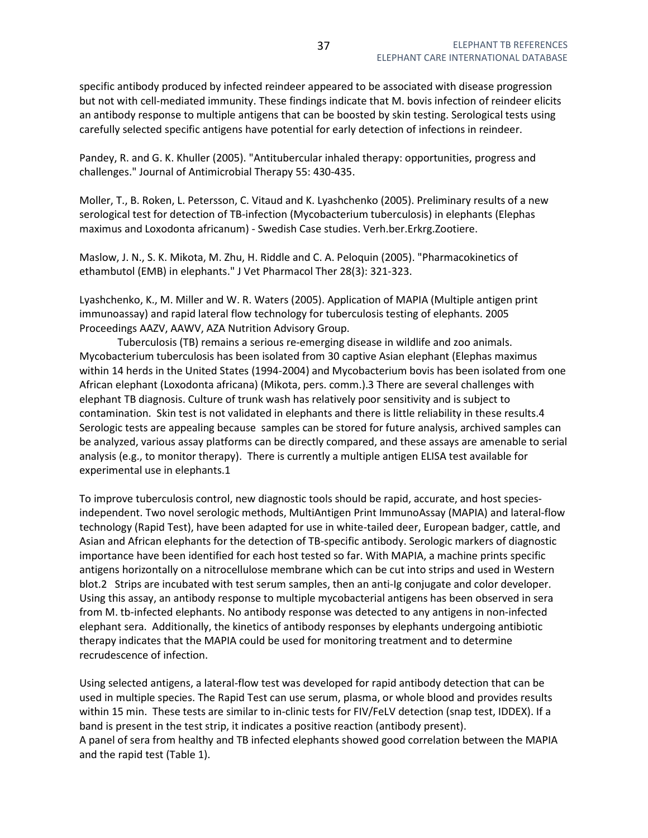specific antibody produced by infected reindeer appeared to be associated with disease progression but not with cell-mediated immunity. These findings indicate that M. bovis infection of reindeer elicits an antibody response to multiple antigens that can be boosted by skin testing. Serological tests using carefully selected specific antigens have potential for early detection of infections in reindeer.

Pandey, R. and G. K. Khuller (2005). "Antitubercular inhaled therapy: opportunities, progress and challenges." Journal of Antimicrobial Therapy 55: 430-435.

Moller, T., B. Roken, L. Petersson, C. Vitaud and K. Lyashchenko (2005). Preliminary results of a new serological test for detection of TB-infection (Mycobacterium tuberculosis) in elephants (Elephas maximus and Loxodonta africanum) - Swedish Case studies. Verh.ber.Erkrg.Zootiere.

Maslow, J. N., S. K. Mikota, M. Zhu, H. Riddle and C. A. Peloquin (2005). "Pharmacokinetics of ethambutol (EMB) in elephants." J Vet Pharmacol Ther 28(3): 321-323.

Lyashchenko, K., M. Miller and W. R. Waters (2005). Application of MAPIA (Multiple antigen print immunoassay) and rapid lateral flow technology for tuberculosis testing of elephants. 2005 Proceedings AAZV, AAWV, AZA Nutrition Advisory Group.

 Tuberculosis (TB) remains a serious re-emerging disease in wildlife and zoo animals. Mycobacterium tuberculosis has been isolated from 30 captive Asian elephant (Elephas maximus within 14 herds in the United States (1994-2004) and Mycobacterium bovis has been isolated from one African elephant (Loxodonta africana) (Mikota, pers. comm.).3 There are several challenges with elephant TB diagnosis. Culture of trunk wash has relatively poor sensitivity and is subject to contamination. Skin test is not validated in elephants and there is little reliability in these results.4 Serologic tests are appealing because samples can be stored for future analysis, archived samples can be analyzed, various assay platforms can be directly compared, and these assays are amenable to serial analysis (e.g., to monitor therapy). There is currently a multiple antigen ELISA test available for experimental use in elephants.1

To improve tuberculosis control, new diagnostic tools should be rapid, accurate, and host speciesindependent. Two novel serologic methods, MultiAntigen Print ImmunoAssay (MAPIA) and lateral-flow technology (Rapid Test), have been adapted for use in white-tailed deer, European badger, cattle, and Asian and African elephants for the detection of TB-specific antibody. Serologic markers of diagnostic importance have been identified for each host tested so far. With MAPIA, a machine prints specific antigens horizontally on a nitrocellulose membrane which can be cut into strips and used in Western blot.2 Strips are incubated with test serum samples, then an anti-Ig conjugate and color developer. Using this assay, an antibody response to multiple mycobacterial antigens has been observed in sera from M. tb-infected elephants. No antibody response was detected to any antigens in non-infected elephant sera. Additionally, the kinetics of antibody responses by elephants undergoing antibiotic therapy indicates that the MAPIA could be used for monitoring treatment and to determine recrudescence of infection.

Using selected antigens, a lateral-flow test was developed for rapid antibody detection that can be used in multiple species. The Rapid Test can use serum, plasma, or whole blood and provides results within 15 min. These tests are similar to in-clinic tests for FIV/FeLV detection (snap test, IDDEX). If a band is present in the test strip, it indicates a positive reaction (antibody present). A panel of sera from healthy and TB infected elephants showed good correlation between the MAPIA and the rapid test (Table 1).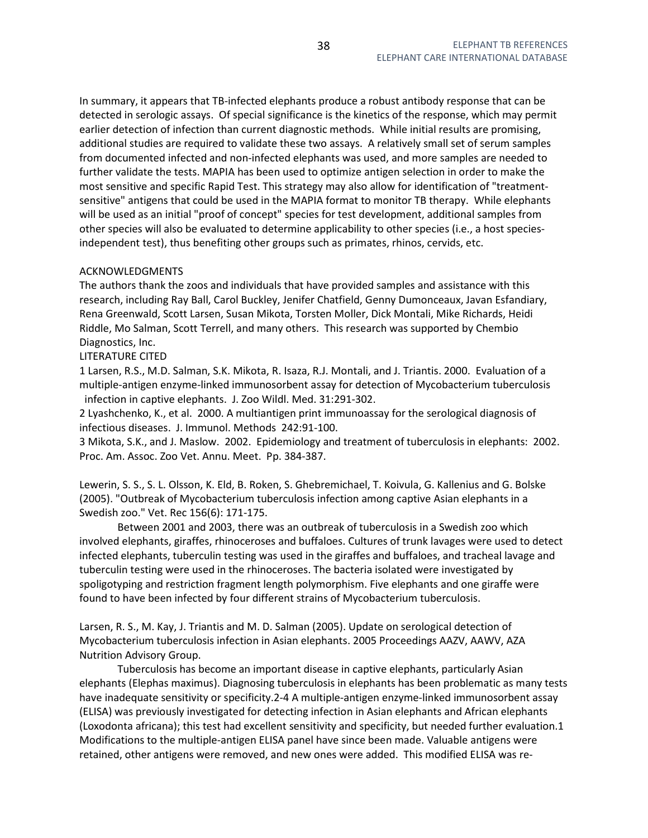In summary, it appears that TB-infected elephants produce a robust antibody response that can be detected in serologic assays. Of special significance is the kinetics of the response, which may permit earlier detection of infection than current diagnostic methods. While initial results are promising, additional studies are required to validate these two assays. A relatively small set of serum samples from documented infected and non-infected elephants was used, and more samples are needed to further validate the tests. MAPIA has been used to optimize antigen selection in order to make the most sensitive and specific Rapid Test. This strategy may also allow for identification of "treatmentsensitive" antigens that could be used in the MAPIA format to monitor TB therapy. While elephants will be used as an initial "proof of concept" species for test development, additional samples from other species will also be evaluated to determine applicability to other species (i.e., a host speciesindependent test), thus benefiting other groups such as primates, rhinos, cervids, etc.

# ACKNOWLEDGMENTS

The authors thank the zoos and individuals that have provided samples and assistance with this research, including Ray Ball, Carol Buckley, Jenifer Chatfield, Genny Dumonceaux, Javan Esfandiary, Rena Greenwald, Scott Larsen, Susan Mikota, Torsten Moller, Dick Montali, Mike Richards, Heidi Riddle, Mo Salman, Scott Terrell, and many others. This research was supported by Chembio Diagnostics, Inc.

## LITERATURE CITED

1 Larsen, R.S., M.D. Salman, S.K. Mikota, R. Isaza, R.J. Montali, and J. Triantis. 2000. Evaluation of a multiple-antigen enzyme-linked immunosorbent assay for detection of Mycobacterium tuberculosis infection in captive elephants. J. Zoo Wildl. Med. 31:291-302.

2 Lyashchenko, K., et al. 2000. A multiantigen print immunoassay for the serological diagnosis of infectious diseases. J. Immunol. Methods 242:91-100.

3 Mikota, S.K., and J. Maslow. 2002. Epidemiology and treatment of tuberculosis in elephants: 2002. Proc. Am. Assoc. Zoo Vet. Annu. Meet. Pp. 384-387.

Lewerin, S. S., S. L. Olsson, K. Eld, B. Roken, S. Ghebremichael, T. Koivula, G. Kallenius and G. Bolske (2005). "Outbreak of Mycobacterium tuberculosis infection among captive Asian elephants in a Swedish zoo." Vet. Rec 156(6): 171-175.

 Between 2001 and 2003, there was an outbreak of tuberculosis in a Swedish zoo which involved elephants, giraffes, rhinoceroses and buffaloes. Cultures of trunk lavages were used to detect infected elephants, tuberculin testing was used in the giraffes and buffaloes, and tracheal lavage and tuberculin testing were used in the rhinoceroses. The bacteria isolated were investigated by spoligotyping and restriction fragment length polymorphism. Five elephants and one giraffe were found to have been infected by four different strains of Mycobacterium tuberculosis.

Larsen, R. S., M. Kay, J. Triantis and M. D. Salman (2005). Update on serological detection of Mycobacterium tuberculosis infection in Asian elephants. 2005 Proceedings AAZV, AAWV, AZA Nutrition Advisory Group.

 Tuberculosis has become an important disease in captive elephants, particularly Asian elephants (Elephas maximus). Diagnosing tuberculosis in elephants has been problematic as many tests have inadequate sensitivity or specificity.2-4 A multiple-antigen enzyme-linked immunosorbent assay (ELISA) was previously investigated for detecting infection in Asian elephants and African elephants (Loxodonta africana); this test had excellent sensitivity and specificity, but needed further evaluation.1 Modifications to the multiple-antigen ELISA panel have since been made. Valuable antigens were retained, other antigens were removed, and new ones were added. This modified ELISA was re-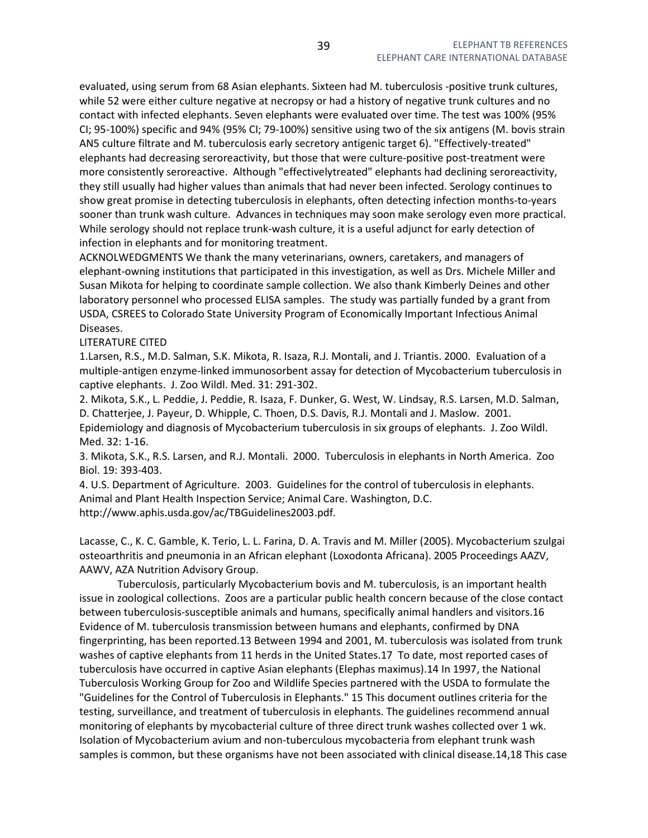evaluated, using serum from 68 Asian elephants. Sixteen had M. tuberculosis -positive trunk cultures, while 52 were either culture negative at necropsy or had a history of negative trunk cultures and no contact with infected elephants. Seven elephants were evaluated over time. The test was 100% (95% CI; 95-100%) specific and 94% (95% CI; 79-100%) sensitive using two of the six antigens (M. bovis strain AN5 culture filtrate and M. tuberculosis early secretory antigenic target 6). "Effectively-treated" elephants had decreasing seroreactivity, but those that were culture-positive post-treatment were more consistently seroreactive. Although "effectivelytreated" elephants had declining seroreactivity, they still usually had higher values than animals that had never been infected. Serology continues to show great promise in detecting tuberculosis in elephants, often detecting infection months-to-years sooner than trunk wash culture. Advances in techniques may soon make serology even more practical. While serology should not replace trunk-wash culture, it is a useful adjunct for early detection of infection in elephants and for monitoring treatment.

ACKNOLWEDGMENTS We thank the many veterinarians, owners, caretakers, and managers of elephant-owning institutions that participated in this investigation, as well as Drs. Michele Miller and Susan Mikota for helping to coordinate sample collection. We also thank Kimberly Deines and other laboratory personnel who processed ELISA samples. The study was partially funded by a grant from USDA, CSREES to Colorado State University Program of Economically Important Infectious Animal Diseases.

## LITERATURE CITED

1.Larsen, R.S., M.D. Salman, S.K. Mikota, R. Isaza, R.J. Montali, and J. Triantis. 2000. Evaluation of a multiple-antigen enzyme-linked immunosorbent assay for detection of Mycobacterium tuberculosis in captive elephants. J. Zoo Wildl. Med. 31: 291-302.

2. Mikota, S.K., L. Peddie, J. Peddie, R. Isaza, F. Dunker, G. West, W. Lindsay, R.S. Larsen, M.D. Salman, D. Chatterjee, J. Payeur, D. Whipple, C. Thoen, D.S. Davis, R.J. Montali and J. Maslow. 2001. Epidemiology and diagnosis of Mycobacterium tuberculosis in six groups of elephants. J. Zoo Wildl. Med. 32: 1-16.

3. Mikota, S.K., R.S. Larsen, and R.J. Montali. 2000. Tuberculosis in elephants in North America. Zoo Biol. 19: 393-403.

4. U.S. Department of Agriculture. 2003. Guidelines for the control of tuberculosis in elephants. Animal and Plant Health Inspection Service; Animal Care. Washington, D.C. http://www.aphis.usda.gov/ac/TBGuidelines2003.pdf.

Lacasse, C., K. C. Gamble, K. Terio, L. L. Farina, D. A. Travis and M. Miller (2005). Mycobacterium szulgai osteoarthritis and pneumonia in an African elephant (Loxodonta Africana). 2005 Proceedings AAZV, AAWV, AZA Nutrition Advisory Group.

 Tuberculosis, particularly Mycobacterium bovis and M. tuberculosis, is an important health issue in zoological collections. Zoos are a particular public health concern because of the close contact between tuberculosis-susceptible animals and humans, specifically animal handlers and visitors.16 Evidence of M. tuberculosis transmission between humans and elephants, confirmed by DNA fingerprinting, has been reported.13 Between 1994 and 2001, M. tuberculosis was isolated from trunk washes of captive elephants from 11 herds in the United States.17 To date, most reported cases of tuberculosis have occurred in captive Asian elephants (Elephas maximus).14 In 1997, the National Tuberculosis Working Group for Zoo and Wildlife Species partnered with the USDA to formulate the "Guidelines for the Control of Tuberculosis in Elephants." 15 This document outlines criteria for the testing, surveillance, and treatment of tuberculosis in elephants. The guidelines recommend annual monitoring of elephants by mycobacterial culture of three direct trunk washes collected over 1 wk. Isolation of Mycobacterium avium and non-tuberculous mycobacteria from elephant trunk wash samples is common, but these organisms have not been associated with clinical disease.14,18 This case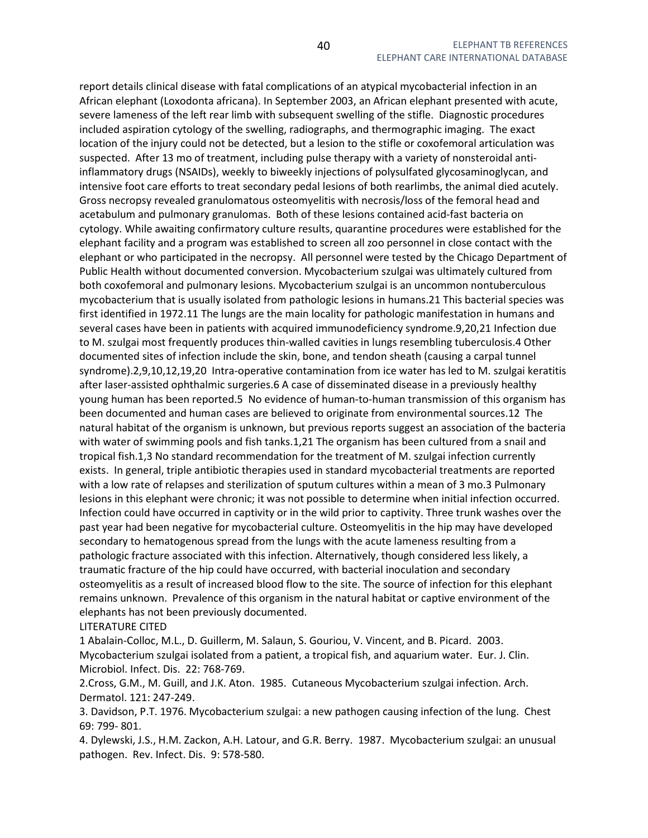report details clinical disease with fatal complications of an atypical mycobacterial infection in an African elephant (Loxodonta africana). In September 2003, an African elephant presented with acute, severe lameness of the left rear limb with subsequent swelling of the stifle. Diagnostic procedures included aspiration cytology of the swelling, radiographs, and thermographic imaging. The exact location of the injury could not be detected, but a lesion to the stifle or coxofemoral articulation was suspected. After 13 mo of treatment, including pulse therapy with a variety of nonsteroidal antiinflammatory drugs (NSAIDs), weekly to biweekly injections of polysulfated glycosaminoglycan, and intensive foot care efforts to treat secondary pedal lesions of both rearlimbs, the animal died acutely. Gross necropsy revealed granulomatous osteomyelitis with necrosis/loss of the femoral head and acetabulum and pulmonary granulomas. Both of these lesions contained acid-fast bacteria on cytology. While awaiting confirmatory culture results, quarantine procedures were established for the elephant facility and a program was established to screen all zoo personnel in close contact with the elephant or who participated in the necropsy. All personnel were tested by the Chicago Department of Public Health without documented conversion. Mycobacterium szulgai was ultimately cultured from both coxofemoral and pulmonary lesions. Mycobacterium szulgai is an uncommon nontuberculous mycobacterium that is usually isolated from pathologic lesions in humans.21 This bacterial species was first identified in 1972.11 The lungs are the main locality for pathologic manifestation in humans and several cases have been in patients with acquired immunodeficiency syndrome.9,20,21 Infection due to M. szulgai most frequently produces thin-walled cavities in lungs resembling tuberculosis.4 Other documented sites of infection include the skin, bone, and tendon sheath (causing a carpal tunnel syndrome).2,9,10,12,19,20 Intra-operative contamination from ice water has led to M. szulgai keratitis after laser-assisted ophthalmic surgeries.6 A case of disseminated disease in a previously healthy young human has been reported.5 No evidence of human-to-human transmission of this organism has been documented and human cases are believed to originate from environmental sources.12 The natural habitat of the organism is unknown, but previous reports suggest an association of the bacteria with water of swimming pools and fish tanks.1,21 The organism has been cultured from a snail and tropical fish.1,3 No standard recommendation for the treatment of M. szulgai infection currently exists. In general, triple antibiotic therapies used in standard mycobacterial treatments are reported with a low rate of relapses and sterilization of sputum cultures within a mean of 3 mo.3 Pulmonary lesions in this elephant were chronic; it was not possible to determine when initial infection occurred. Infection could have occurred in captivity or in the wild prior to captivity. Three trunk washes over the past year had been negative for mycobacterial culture. Osteomyelitis in the hip may have developed secondary to hematogenous spread from the lungs with the acute lameness resulting from a pathologic fracture associated with this infection. Alternatively, though considered less likely, a traumatic fracture of the hip could have occurred, with bacterial inoculation and secondary osteomyelitis as a result of increased blood flow to the site. The source of infection for this elephant remains unknown. Prevalence of this organism in the natural habitat or captive environment of the elephants has not been previously documented.

LITERATURE CITED

1 Abalain-Colloc, M.L., D. Guillerm, M. Salaun, S. Gouriou, V. Vincent, and B. Picard. 2003. Mycobacterium szulgai isolated from a patient, a tropical fish, and aquarium water. Eur. J. Clin. Microbiol. Infect. Dis. 22: 768-769.

2.Cross, G.M., M. Guill, and J.K. Aton. 1985. Cutaneous Mycobacterium szulgai infection. Arch. Dermatol. 121: 247-249.

3. Davidson, P.T. 1976. Mycobacterium szulgai: a new pathogen causing infection of the lung. Chest 69: 799- 801.

4. Dylewski, J.S., H.M. Zackon, A.H. Latour, and G.R. Berry. 1987. Mycobacterium szulgai: an unusual pathogen. Rev. Infect. Dis. 9: 578-580.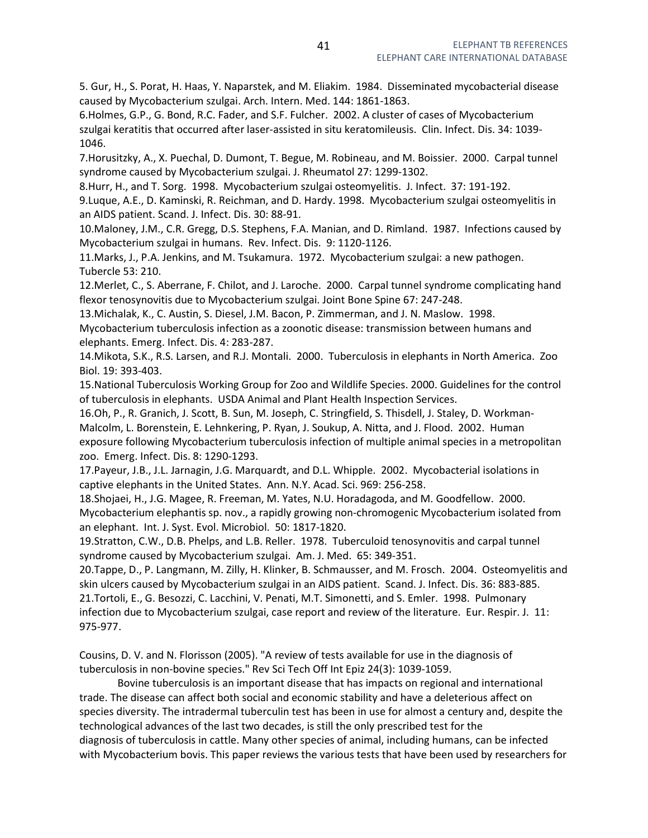5. Gur, H., S. Porat, H. Haas, Y. Naparstek, and M. Eliakim. 1984. Disseminated mycobacterial disease caused by Mycobacterium szulgai. Arch. Intern. Med. 144: 1861-1863.

6.Holmes, G.P., G. Bond, R.C. Fader, and S.F. Fulcher. 2002. A cluster of cases of Mycobacterium szulgai keratitis that occurred after laser-assisted in situ keratomileusis. Clin. Infect. Dis. 34: 1039- 1046.

7.Horusitzky, A., X. Puechal, D. Dumont, T. Begue, M. Robineau, and M. Boissier. 2000. Carpal tunnel syndrome caused by Mycobacterium szulgai. J. Rheumatol 27: 1299-1302.

8.Hurr, H., and T. Sorg. 1998. Mycobacterium szulgai osteomyelitis. J. Infect. 37: 191-192.

9.Luque, A.E., D. Kaminski, R. Reichman, and D. Hardy. 1998. Mycobacterium szulgai osteomyelitis in an AIDS patient. Scand. J. Infect. Dis. 30: 88-91.

10.Maloney, J.M., C.R. Gregg, D.S. Stephens, F.A. Manian, and D. Rimland. 1987. Infections caused by Mycobacterium szulgai in humans. Rev. Infect. Dis. 9: 1120-1126.

11.Marks, J., P.A. Jenkins, and M. Tsukamura. 1972. Mycobacterium szulgai: a new pathogen. Tubercle 53: 210.

12.Merlet, C., S. Aberrane, F. Chilot, and J. Laroche. 2000. Carpal tunnel syndrome complicating hand flexor tenosynovitis due to Mycobacterium szulgai. Joint Bone Spine 67: 247-248.

13.Michalak, K., C. Austin, S. Diesel, J.M. Bacon, P. Zimmerman, and J. N. Maslow. 1998.

Mycobacterium tuberculosis infection as a zoonotic disease: transmission between humans and elephants. Emerg. Infect. Dis. 4: 283-287.

14.Mikota, S.K., R.S. Larsen, and R.J. Montali. 2000. Tuberculosis in elephants in North America. Zoo Biol. 19: 393-403.

15.National Tuberculosis Working Group for Zoo and Wildlife Species. 2000. Guidelines for the control of tuberculosis in elephants. USDA Animal and Plant Health Inspection Services.

16.Oh, P., R. Granich, J. Scott, B. Sun, M. Joseph, C. Stringfield, S. Thisdell, J. Staley, D. Workman-Malcolm, L. Borenstein, E. Lehnkering, P. Ryan, J. Soukup, A. Nitta, and J. Flood. 2002. Human exposure following Mycobacterium tuberculosis infection of multiple animal species in a metropolitan zoo. Emerg. Infect. Dis. 8: 1290-1293.

17.Payeur, J.B., J.L. Jarnagin, J.G. Marquardt, and D.L. Whipple. 2002. Mycobacterial isolations in captive elephants in the United States. Ann. N.Y. Acad. Sci. 969: 256-258.

18.Shojaei, H., J.G. Magee, R. Freeman, M. Yates, N.U. Horadagoda, and M. Goodfellow. 2000. Mycobacterium elephantis sp. nov., a rapidly growing non-chromogenic Mycobacterium isolated from an elephant. Int. J. Syst. Evol. Microbiol. 50: 1817-1820.

19.Stratton, C.W., D.B. Phelps, and L.B. Reller. 1978. Tuberculoid tenosynovitis and carpal tunnel syndrome caused by Mycobacterium szulgai. Am. J. Med. 65: 349-351.

20.Tappe, D., P. Langmann, M. Zilly, H. Klinker, B. Schmausser, and M. Frosch. 2004. Osteomyelitis and skin ulcers caused by Mycobacterium szulgai in an AIDS patient. Scand. J. Infect. Dis. 36: 883-885. 21.Tortoli, E., G. Besozzi, C. Lacchini, V. Penati, M.T. Simonetti, and S. Emler. 1998. Pulmonary infection due to Mycobacterium szulgai, case report and review of the literature. Eur. Respir. J. 11:

975-977.

Cousins, D. V. and N. Florisson (2005). "A review of tests available for use in the diagnosis of tuberculosis in non-bovine species." Rev Sci Tech Off Int Epiz 24(3): 1039-1059.

 Bovine tuberculosis is an important disease that has impacts on regional and international trade. The disease can affect both social and economic stability and have a deleterious affect on species diversity. The intradermal tuberculin test has been in use for almost a century and, despite the technological advances of the last two decades, is still the only prescribed test for the diagnosis of tuberculosis in cattle. Many other species of animal, including humans, can be infected with Mycobacterium bovis. This paper reviews the various tests that have been used by researchers for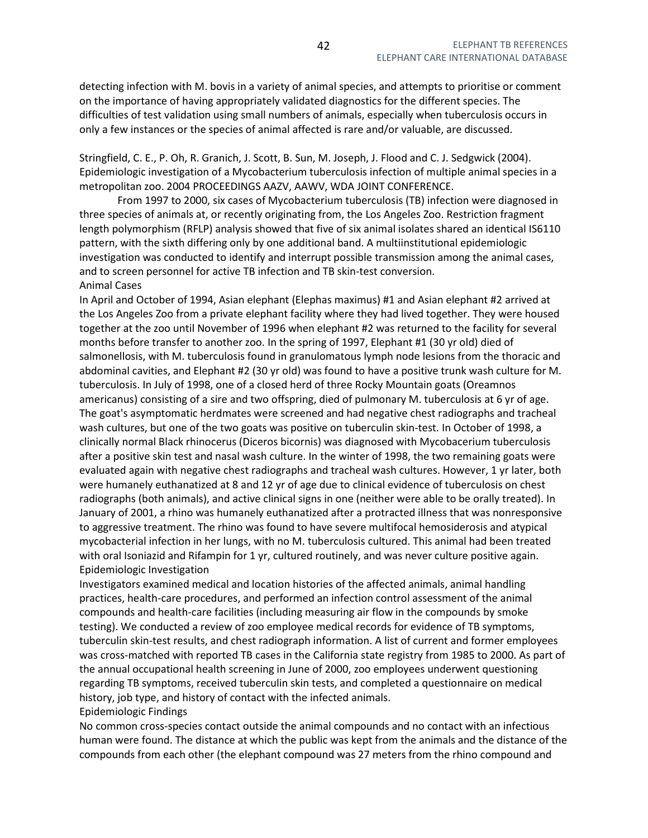detecting infection with M. bovis in a variety of animal species, and attempts to prioritise or comment on the importance of having appropriately validated diagnostics for the different species. The difficulties of test validation using small numbers of animals, especially when tuberculosis occurs in only a few instances or the species of animal affected is rare and/or valuable, are discussed.

Stringfield, C. E., P. Oh, R. Granich, J. Scott, B. Sun, M. Joseph, J. Flood and C. J. Sedgwick (2004). Epidemiologic investigation of a Mycobacterium tuberculosis infection of multiple animal species in a metropolitan zoo. 2004 PROCEEDINGS AAZV, AAWV, WDA JOINT CONFERENCE.

 From 1997 to 2000, six cases of Mycobacterium tuberculosis (TB) infection were diagnosed in three species of animals at, or recently originating from, the Los Angeles Zoo. Restriction fragment length polymorphism (RFLP) analysis showed that five of six animal isolates shared an identical IS6110 pattern, with the sixth differing only by one additional band. A multiinstitutional epidemiologic investigation was conducted to identify and interrupt possible transmission among the animal cases, and to screen personnel for active TB infection and TB skin-test conversion. Animal Cases

In April and October of 1994, Asian elephant (Elephas maximus) #1 and Asian elephant #2 arrived at the Los Angeles Zoo from a private elephant facility where they had lived together. They were housed together at the zoo until November of 1996 when elephant #2 was returned to the facility for several months before transfer to another zoo. In the spring of 1997, Elephant #1 (30 yr old) died of salmonellosis, with M. tuberculosis found in granulomatous lymph node lesions from the thoracic and abdominal cavities, and Elephant #2 (30 yr old) was found to have a positive trunk wash culture for M. tuberculosis. In July of 1998, one of a closed herd of three Rocky Mountain goats (Oreamnos americanus) consisting of a sire and two offspring, died of pulmonary M. tuberculosis at 6 yr of age. The goat's asymptomatic herdmates were screened and had negative chest radiographs and tracheal wash cultures, but one of the two goats was positive on tuberculin skin-test. In October of 1998, a clinically normal Black rhinocerus (Diceros bicornis) was diagnosed with Mycobacerium tuberculosis after a positive skin test and nasal wash culture. In the winter of 1998, the two remaining goats were evaluated again with negative chest radiographs and tracheal wash cultures. However, 1 yr later, both were humanely euthanatized at 8 and 12 yr of age due to clinical evidence of tuberculosis on chest radiographs (both animals), and active clinical signs in one (neither were able to be orally treated). In January of 2001, a rhino was humanely euthanatized after a protracted illness that was nonresponsive to aggressive treatment. The rhino was found to have severe multifocal hemosiderosis and atypical mycobacterial infection in her lungs, with no M. tuberculosis cultured. This animal had been treated with oral Isoniazid and Rifampin for 1 yr, cultured routinely, and was never culture positive again. Epidemiologic Investigation

Investigators examined medical and location histories of the affected animals, animal handling practices, health-care procedures, and performed an infection control assessment of the animal compounds and health-care facilities (including measuring air flow in the compounds by smoke testing). We conducted a review of zoo employee medical records for evidence of TB symptoms, tuberculin skin-test results, and chest radiograph information. A list of current and former employees was cross-matched with reported TB cases in the California state registry from 1985 to 2000. As part of the annual occupational health screening in June of 2000, zoo employees underwent questioning regarding TB symptoms, received tuberculin skin tests, and completed a questionnaire on medical history, job type, and history of contact with the infected animals.

Epidemiologic Findings

No common cross-species contact outside the animal compounds and no contact with an infectious human were found. The distance at which the public was kept from the animals and the distance of the compounds from each other (the elephant compound was 27 meters from the rhino compound and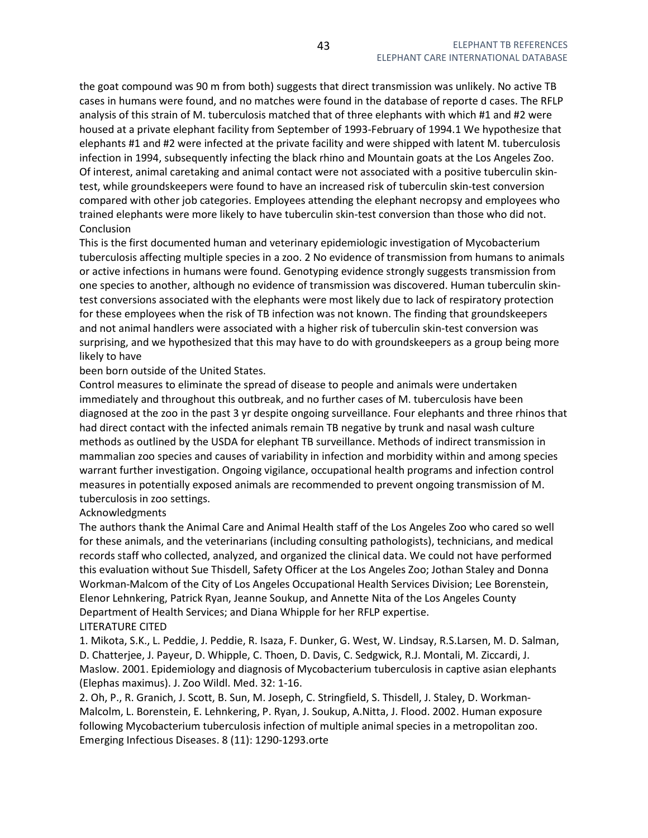the goat compound was 90 m from both) suggests that direct transmission was unlikely. No active TB cases in humans were found, and no matches were found in the database of reporte d cases. The RFLP analysis of this strain of M. tuberculosis matched that of three elephants with which #1 and #2 were housed at a private elephant facility from September of 1993-February of 1994.1 We hypothesize that elephants #1 and #2 were infected at the private facility and were shipped with latent M. tuberculosis infection in 1994, subsequently infecting the black rhino and Mountain goats at the Los Angeles Zoo. Of interest, animal caretaking and animal contact were not associated with a positive tuberculin skintest, while groundskeepers were found to have an increased risk of tuberculin skin-test conversion compared with other job categories. Employees attending the elephant necropsy and employees who trained elephants were more likely to have tuberculin skin-test conversion than those who did not. **Conclusion** 

This is the first documented human and veterinary epidemiologic investigation of Mycobacterium tuberculosis affecting multiple species in a zoo. 2 No evidence of transmission from humans to animals or active infections in humans were found. Genotyping evidence strongly suggests transmission from one species to another, although no evidence of transmission was discovered. Human tuberculin skintest conversions associated with the elephants were most likely due to lack of respiratory protection for these employees when the risk of TB infection was not known. The finding that groundskeepers and not animal handlers were associated with a higher risk of tuberculin skin-test conversion was surprising, and we hypothesized that this may have to do with groundskeepers as a group being more likely to have

been born outside of the United States.

Control measures to eliminate the spread of disease to people and animals were undertaken immediately and throughout this outbreak, and no further cases of M. tuberculosis have been diagnosed at the zoo in the past 3 yr despite ongoing surveillance. Four elephants and three rhinos that had direct contact with the infected animals remain TB negative by trunk and nasal wash culture methods as outlined by the USDA for elephant TB surveillance. Methods of indirect transmission in mammalian zoo species and causes of variability in infection and morbidity within and among species warrant further investigation. Ongoing vigilance, occupational health programs and infection control measures in potentially exposed animals are recommended to prevent ongoing transmission of M. tuberculosis in zoo settings.

## Acknowledgments

The authors thank the Animal Care and Animal Health staff of the Los Angeles Zoo who cared so well for these animals, and the veterinarians (including consulting pathologists), technicians, and medical records staff who collected, analyzed, and organized the clinical data. We could not have performed this evaluation without Sue Thisdell, Safety Officer at the Los Angeles Zoo; Jothan Staley and Donna Workman-Malcom of the City of Los Angeles Occupational Health Services Division; Lee Borenstein, Elenor Lehnkering, Patrick Ryan, Jeanne Soukup, and Annette Nita of the Los Angeles County Department of Health Services; and Diana Whipple for her RFLP expertise. LITERATURE CITED

1. Mikota, S.K., L. Peddie, J. Peddie, R. Isaza, F. Dunker, G. West, W. Lindsay, R.S.Larsen, M. D. Salman, D. Chatterjee, J. Payeur, D. Whipple, C. Thoen, D. Davis, C. Sedgwick, R.J. Montali, M. Ziccardi, J. Maslow. 2001. Epidemiology and diagnosis of Mycobacterium tuberculosis in captive asian elephants (Elephas maximus). J. Zoo Wildl. Med. 32: 1-16.

2. Oh, P., R. Granich, J. Scott, B. Sun, M. Joseph, C. Stringfield, S. Thisdell, J. Staley, D. Workman-Malcolm, L. Borenstein, E. Lehnkering, P. Ryan, J. Soukup, A.Nitta, J. Flood. 2002. Human exposure following Mycobacterium tuberculosis infection of multiple animal species in a metropolitan zoo. Emerging Infectious Diseases. 8 (11): 1290-1293.orte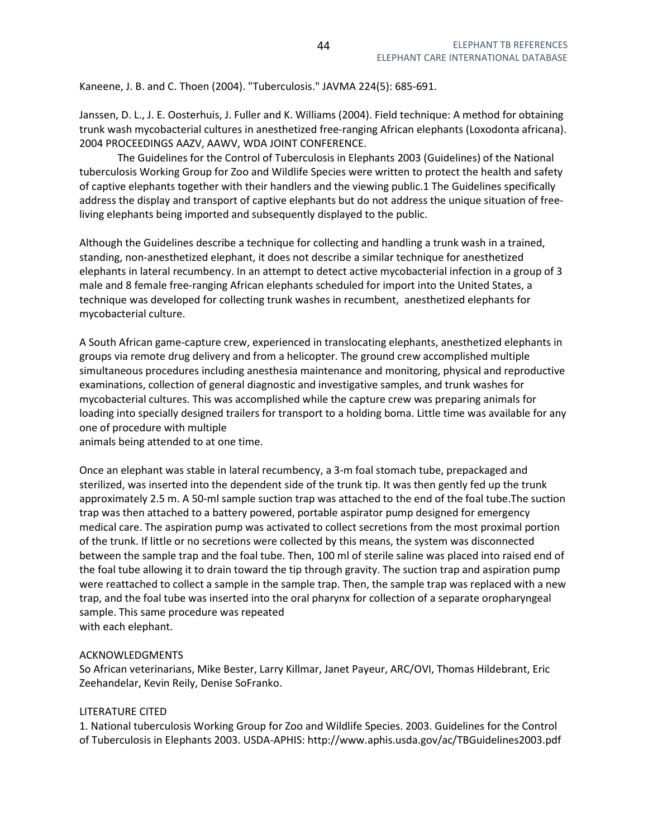Kaneene, J. B. and C. Thoen (2004). "Tuberculosis." JAVMA 224(5): 685-691.

Janssen, D. L., J. E. Oosterhuis, J. Fuller and K. Williams (2004). Field technique: A method for obtaining trunk wash mycobacterial cultures in anesthetized free-ranging African elephants (Loxodonta africana). 2004 PROCEEDINGS AAZV, AAWV, WDA JOINT CONFERENCE.

 The Guidelines for the Control of Tuberculosis in Elephants 2003 (Guidelines) of the National tuberculosis Working Group for Zoo and Wildlife Species were written to protect the health and safety of captive elephants together with their handlers and the viewing public.1 The Guidelines specifically address the display and transport of captive elephants but do not address the unique situation of freeliving elephants being imported and subsequently displayed to the public.

Although the Guidelines describe a technique for collecting and handling a trunk wash in a trained, standing, non-anesthetized elephant, it does not describe a similar technique for anesthetized elephants in lateral recumbency. In an attempt to detect active mycobacterial infection in a group of 3 male and 8 female free-ranging African elephants scheduled for import into the United States, a technique was developed for collecting trunk washes in recumbent, anesthetized elephants for mycobacterial culture.

A South African game-capture crew, experienced in translocating elephants, anesthetized elephants in groups via remote drug delivery and from a helicopter. The ground crew accomplished multiple simultaneous procedures including anesthesia maintenance and monitoring, physical and reproductive examinations, collection of general diagnostic and investigative samples, and trunk washes for mycobacterial cultures. This was accomplished while the capture crew was preparing animals for loading into specially designed trailers for transport to a holding boma. Little time was available for any one of procedure with multiple

animals being attended to at one time.

Once an elephant was stable in lateral recumbency, a 3-m foal stomach tube, prepackaged and sterilized, was inserted into the dependent side of the trunk tip. It was then gently fed up the trunk approximately 2.5 m. A 50-ml sample suction trap was attached to the end of the foal tube.The suction trap was then attached to a battery powered, portable aspirator pump designed for emergency medical care. The aspiration pump was activated to collect secretions from the most proximal portion of the trunk. If little or no secretions were collected by this means, the system was disconnected between the sample trap and the foal tube. Then, 100 ml of sterile saline was placed into raised end of the foal tube allowing it to drain toward the tip through gravity. The suction trap and aspiration pump were reattached to collect a sample in the sample trap. Then, the sample trap was replaced with a new trap, and the foal tube was inserted into the oral pharynx for collection of a separate oropharyngeal sample. This same procedure was repeated with each elephant.

## ACKNOWLEDGMENTS

So African veterinarians, Mike Bester, Larry Killmar, Janet Payeur, ARC/OVI, Thomas Hildebrant, Eric Zeehandelar, Kevin Reily, Denise SoFranko.

## LITERATURE CITED

1. National tuberculosis Working Group for Zoo and Wildlife Species. 2003. Guidelines for the Control of Tuberculosis in Elephants 2003. USDA-APHIS: http://www.aphis.usda.gov/ac/TBGuidelines2003.pdf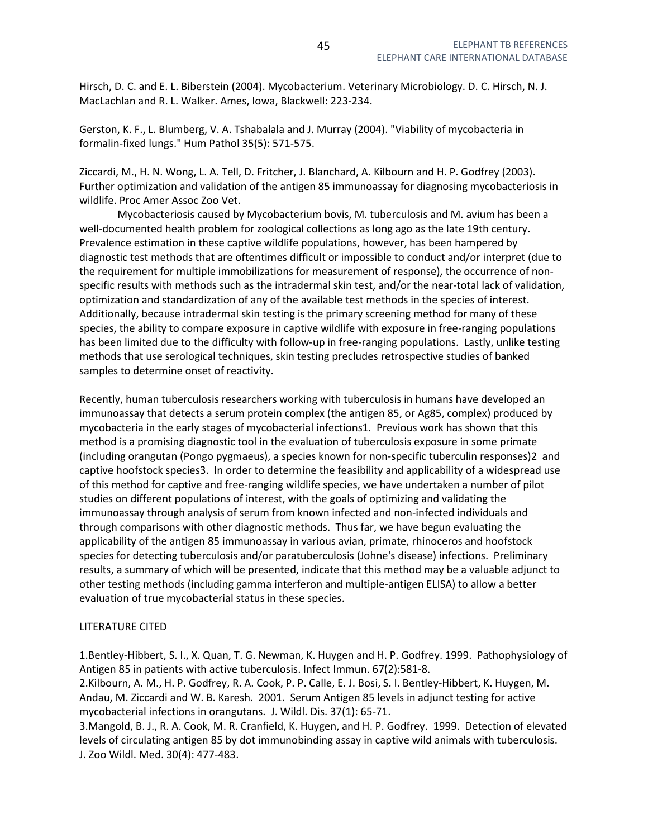Hirsch, D. C. and E. L. Biberstein (2004). Mycobacterium. Veterinary Microbiology. D. C. Hirsch, N. J. MacLachlan and R. L. Walker. Ames, Iowa, Blackwell: 223-234.

Gerston, K. F., L. Blumberg, V. A. Tshabalala and J. Murray (2004). "Viability of mycobacteria in formalin-fixed lungs." Hum Pathol 35(5): 571-575.

Ziccardi, M., H. N. Wong, L. A. Tell, D. Fritcher, J. Blanchard, A. Kilbourn and H. P. Godfrey (2003). Further optimization and validation of the antigen 85 immunoassay for diagnosing mycobacteriosis in wildlife. Proc Amer Assoc Zoo Vet.

 Mycobacteriosis caused by Mycobacterium bovis, M. tuberculosis and M. avium has been a well-documented health problem for zoological collections as long ago as the late 19th century. Prevalence estimation in these captive wildlife populations, however, has been hampered by diagnostic test methods that are oftentimes difficult or impossible to conduct and/or interpret (due to the requirement for multiple immobilizations for measurement of response), the occurrence of nonspecific results with methods such as the intradermal skin test, and/or the near-total lack of validation, optimization and standardization of any of the available test methods in the species of interest. Additionally, because intradermal skin testing is the primary screening method for many of these species, the ability to compare exposure in captive wildlife with exposure in free-ranging populations has been limited due to the difficulty with follow-up in free-ranging populations. Lastly, unlike testing methods that use serological techniques, skin testing precludes retrospective studies of banked samples to determine onset of reactivity.

Recently, human tuberculosis researchers working with tuberculosis in humans have developed an immunoassay that detects a serum protein complex (the antigen 85, or Ag85, complex) produced by mycobacteria in the early stages of mycobacterial infections1. Previous work has shown that this method is a promising diagnostic tool in the evaluation of tuberculosis exposure in some primate (including orangutan (Pongo pygmaeus), a species known for non-specific tuberculin responses)2 and captive hoofstock species3. In order to determine the feasibility and applicability of a widespread use of this method for captive and free-ranging wildlife species, we have undertaken a number of pilot studies on different populations of interest, with the goals of optimizing and validating the immunoassay through analysis of serum from known infected and non-infected individuals and through comparisons with other diagnostic methods. Thus far, we have begun evaluating the applicability of the antigen 85 immunoassay in various avian, primate, rhinoceros and hoofstock species for detecting tuberculosis and/or paratuberculosis (Johne's disease) infections. Preliminary results, a summary of which will be presented, indicate that this method may be a valuable adjunct to other testing methods (including gamma interferon and multiple-antigen ELISA) to allow a better evaluation of true mycobacterial status in these species.

## LITERATURE CITED

1.Bentley-Hibbert, S. I., X. Quan, T. G. Newman, K. Huygen and H. P. Godfrey. 1999. Pathophysiology of Antigen 85 in patients with active tuberculosis. Infect Immun. 67(2):581-8.

2.Kilbourn, A. M., H. P. Godfrey, R. A. Cook, P. P. Calle, E. J. Bosi, S. I. Bentley-Hibbert, K. Huygen, M. Andau, M. Ziccardi and W. B. Karesh. 2001. Serum Antigen 85 levels in adjunct testing for active mycobacterial infections in orangutans. J. Wildl. Dis. 37(1): 65-71.

3.Mangold, B. J., R. A. Cook, M. R. Cranfield, K. Huygen, and H. P. Godfrey. 1999. Detection of elevated levels of circulating antigen 85 by dot immunobinding assay in captive wild animals with tuberculosis. J. Zoo Wildl. Med. 30(4): 477-483.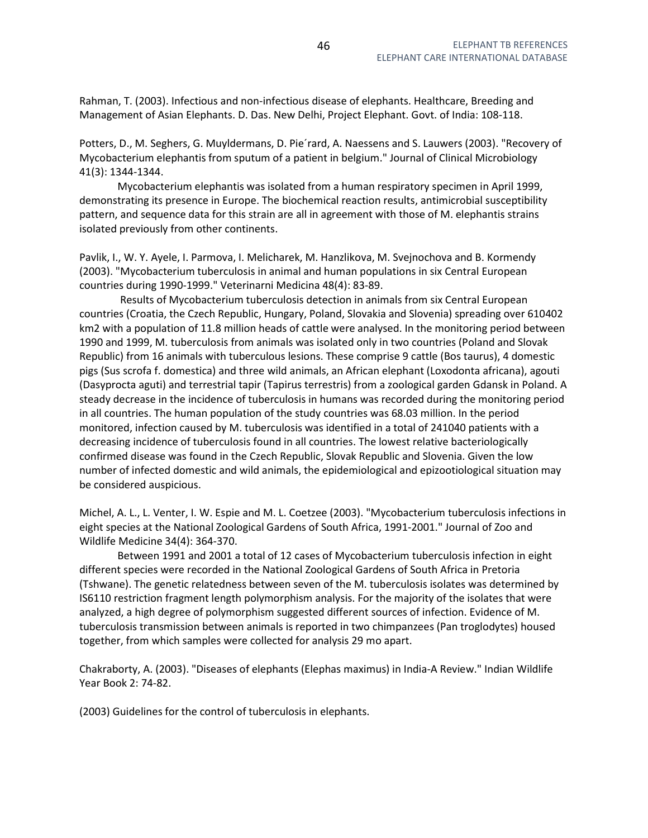Rahman, T. (2003). Infectious and non-infectious disease of elephants. Healthcare, Breeding and Management of Asian Elephants. D. Das. New Delhi, Project Elephant. Govt. of India: 108-118.

Potters, D., M. Seghers, G. Muyldermans, D. Pie´rard, A. Naessens and S. Lauwers (2003). "Recovery of Mycobacterium elephantis from sputum of a patient in belgium." Journal of Clinical Microbiology 41(3): 1344-1344.

 Mycobacterium elephantis was isolated from a human respiratory specimen in April 1999, demonstrating its presence in Europe. The biochemical reaction results, antimicrobial susceptibility pattern, and sequence data for this strain are all in agreement with those of M. elephantis strains isolated previously from other continents.

Pavlik, I., W. Y. Ayele, I. Parmova, I. Melicharek, M. Hanzlikova, M. Svejnochova and B. Kormendy (2003). "Mycobacterium tuberculosis in animal and human populations in six Central European countries during 1990-1999." Veterinarni Medicina 48(4): 83-89.

 Results of Mycobacterium tuberculosis detection in animals from six Central European countries (Croatia, the Czech Republic, Hungary, Poland, Slovakia and Slovenia) spreading over 610402 km2 with a population of 11.8 million heads of cattle were analysed. In the monitoring period between 1990 and 1999, M. tuberculosis from animals was isolated only in two countries (Poland and Slovak Republic) from 16 animals with tuberculous lesions. These comprise 9 cattle (Bos taurus), 4 domestic pigs (Sus scrofa f. domestica) and three wild animals, an African elephant (Loxodonta africana), agouti (Dasyprocta aguti) and terrestrial tapir (Tapirus terrestris) from a zoological garden Gdansk in Poland. A steady decrease in the incidence of tuberculosis in humans was recorded during the monitoring period in all countries. The human population of the study countries was 68.03 million. In the period monitored, infection caused by M. tuberculosis was identified in a total of 241040 patients with a decreasing incidence of tuberculosis found in all countries. The lowest relative bacteriologically confirmed disease was found in the Czech Republic, Slovak Republic and Slovenia. Given the low number of infected domestic and wild animals, the epidemiological and epizootiological situation may be considered auspicious.

Michel, A. L., L. Venter, I. W. Espie and M. L. Coetzee (2003). "Mycobacterium tuberculosis infections in eight species at the National Zoological Gardens of South Africa, 1991-2001." Journal of Zoo and Wildlife Medicine 34(4): 364-370.

 Between 1991 and 2001 a total of 12 cases of Mycobacterium tuberculosis infection in eight different species were recorded in the National Zoological Gardens of South Africa in Pretoria (Tshwane). The genetic relatedness between seven of the M. tuberculosis isolates was determined by IS6110 restriction fragment length polymorphism analysis. For the majority of the isolates that were analyzed, a high degree of polymorphism suggested different sources of infection. Evidence of M. tuberculosis transmission between animals is reported in two chimpanzees (Pan troglodytes) housed together, from which samples were collected for analysis 29 mo apart.

Chakraborty, A. (2003). "Diseases of elephants (Elephas maximus) in India-A Review." Indian Wildlife Year Book 2: 74-82.

(2003) Guidelines for the control of tuberculosis in elephants.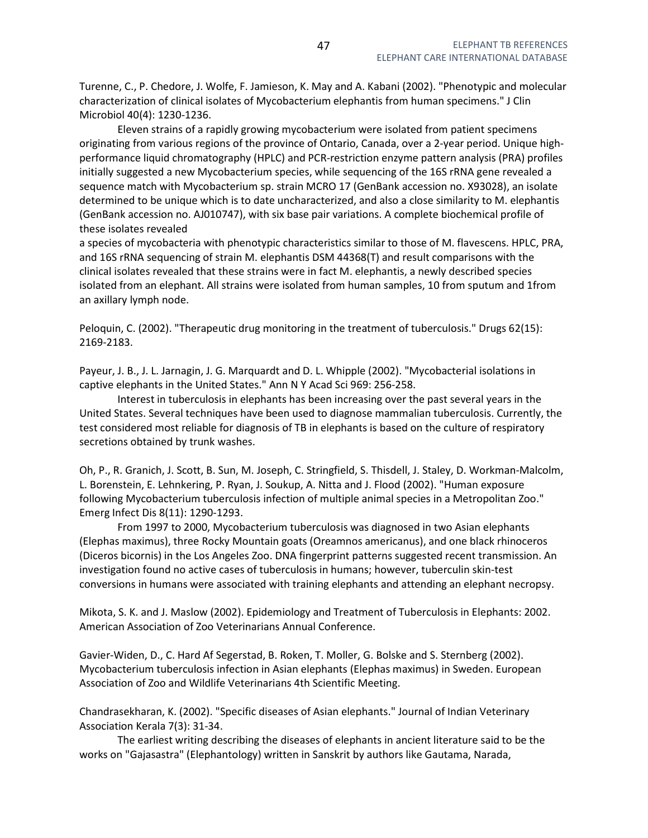Turenne, C., P. Chedore, J. Wolfe, F. Jamieson, K. May and A. Kabani (2002). "Phenotypic and molecular characterization of clinical isolates of Mycobacterium elephantis from human specimens." J Clin Microbiol 40(4): 1230-1236.

 Eleven strains of a rapidly growing mycobacterium were isolated from patient specimens originating from various regions of the province of Ontario, Canada, over a 2-year period. Unique highperformance liquid chromatography (HPLC) and PCR-restriction enzyme pattern analysis (PRA) profiles initially suggested a new Mycobacterium species, while sequencing of the 16S rRNA gene revealed a sequence match with Mycobacterium sp. strain MCRO 17 (GenBank accession no. X93028), an isolate determined to be unique which is to date uncharacterized, and also a close similarity to M. elephantis (GenBank accession no. AJ010747), with six base pair variations. A complete biochemical profile of these isolates revealed

a species of mycobacteria with phenotypic characteristics similar to those of M. flavescens. HPLC, PRA, and 16S rRNA sequencing of strain M. elephantis DSM 44368(T) and result comparisons with the clinical isolates revealed that these strains were in fact M. elephantis, a newly described species isolated from an elephant. All strains were isolated from human samples, 10 from sputum and 1from an axillary lymph node.

Peloquin, C. (2002). "Therapeutic drug monitoring in the treatment of tuberculosis." Drugs 62(15): 2169-2183.

Payeur, J. B., J. L. Jarnagin, J. G. Marquardt and D. L. Whipple (2002). "Mycobacterial isolations in captive elephants in the United States." Ann N Y Acad Sci 969: 256-258.

 Interest in tuberculosis in elephants has been increasing over the past several years in the United States. Several techniques have been used to diagnose mammalian tuberculosis. Currently, the test considered most reliable for diagnosis of TB in elephants is based on the culture of respiratory secretions obtained by trunk washes.

Oh, P., R. Granich, J. Scott, B. Sun, M. Joseph, C. Stringfield, S. Thisdell, J. Staley, D. Workman-Malcolm, L. Borenstein, E. Lehnkering, P. Ryan, J. Soukup, A. Nitta and J. Flood (2002). "Human exposure following Mycobacterium tuberculosis infection of multiple animal species in a Metropolitan Zoo." Emerg Infect Dis 8(11): 1290-1293.

 From 1997 to 2000, Mycobacterium tuberculosis was diagnosed in two Asian elephants (Elephas maximus), three Rocky Mountain goats (Oreamnos americanus), and one black rhinoceros (Diceros bicornis) in the Los Angeles Zoo. DNA fingerprint patterns suggested recent transmission. An investigation found no active cases of tuberculosis in humans; however, tuberculin skin-test conversions in humans were associated with training elephants and attending an elephant necropsy.

Mikota, S. K. and J. Maslow (2002). Epidemiology and Treatment of Tuberculosis in Elephants: 2002. American Association of Zoo Veterinarians Annual Conference.

Gavier-Widen, D., C. Hard Af Segerstad, B. Roken, T. Moller, G. Bolske and S. Sternberg (2002). Mycobacterium tuberculosis infection in Asian elephants (Elephas maximus) in Sweden. European Association of Zoo and Wildlife Veterinarians 4th Scientific Meeting.

Chandrasekharan, K. (2002). "Specific diseases of Asian elephants." Journal of Indian Veterinary Association Kerala 7(3): 31-34.

 The earliest writing describing the diseases of elephants in ancient literature said to be the works on "Gajasastra" (Elephantology) written in Sanskrit by authors like Gautama, Narada,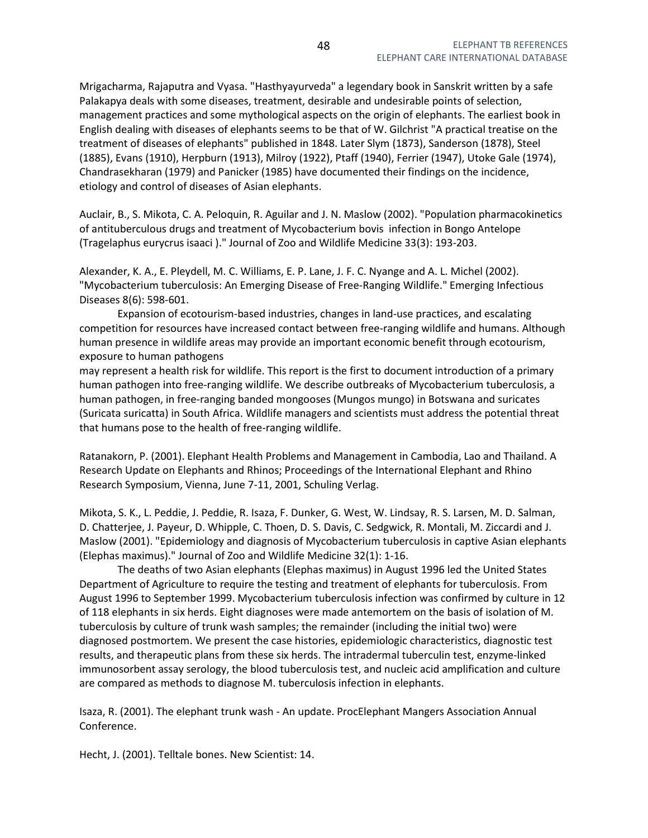Mrigacharma, Rajaputra and Vyasa. "Hasthyayurveda" a legendary book in Sanskrit written by a safe Palakapya deals with some diseases, treatment, desirable and undesirable points of selection, management practices and some mythological aspects on the origin of elephants. The earliest book in English dealing with diseases of elephants seems to be that of W. Gilchrist "A practical treatise on the treatment of diseases of elephants" published in 1848. Later Slym (1873), Sanderson (1878), Steel (1885), Evans (1910), Herpburn (1913), Milroy (1922), Ptaff (1940), Ferrier (1947), Utoke Gale (1974), Chandrasekharan (1979) and Panicker (1985) have documented their findings on the incidence, etiology and control of diseases of Asian elephants.

Auclair, B., S. Mikota, C. A. Peloquin, R. Aguilar and J. N. Maslow (2002). "Population pharmacokinetics of antituberculous drugs and treatment of Mycobacterium bovis infection in Bongo Antelope (Tragelaphus eurycrus isaaci )." Journal of Zoo and Wildlife Medicine 33(3): 193-203.

Alexander, K. A., E. Pleydell, M. C. Williams, E. P. Lane, J. F. C. Nyange and A. L. Michel (2002). "Mycobacterium tuberculosis: An Emerging Disease of Free-Ranging Wildlife." Emerging Infectious Diseases 8(6): 598-601.

 Expansion of ecotourism-based industries, changes in land-use practices, and escalating competition for resources have increased contact between free-ranging wildlife and humans. Although human presence in wildlife areas may provide an important economic benefit through ecotourism, exposure to human pathogens

may represent a health risk for wildlife. This report is the first to document introduction of a primary human pathogen into free-ranging wildlife. We describe outbreaks of Mycobacterium tuberculosis, a human pathogen, in free-ranging banded mongooses (Mungos mungo) in Botswana and suricates (Suricata suricatta) in South Africa. Wildlife managers and scientists must address the potential threat that humans pose to the health of free-ranging wildlife.

Ratanakorn, P. (2001). Elephant Health Problems and Management in Cambodia, Lao and Thailand. A Research Update on Elephants and Rhinos; Proceedings of the International Elephant and Rhino Research Symposium, Vienna, June 7-11, 2001, Schuling Verlag.

Mikota, S. K., L. Peddie, J. Peddie, R. Isaza, F. Dunker, G. West, W. Lindsay, R. S. Larsen, M. D. Salman, D. Chatterjee, J. Payeur, D. Whipple, C. Thoen, D. S. Davis, C. Sedgwick, R. Montali, M. Ziccardi and J. Maslow (2001). "Epidemiology and diagnosis of Mycobacterium tuberculosis in captive Asian elephants (Elephas maximus)." Journal of Zoo and Wildlife Medicine 32(1): 1-16.

 The deaths of two Asian elephants (Elephas maximus) in August 1996 led the United States Department of Agriculture to require the testing and treatment of elephants for tuberculosis. From August 1996 to September 1999. Mycobacterium tuberculosis infection was confirmed by culture in 12 of 118 elephants in six herds. Eight diagnoses were made antemortem on the basis of isolation of M. tuberculosis by culture of trunk wash samples; the remainder (including the initial two) were diagnosed postmortem. We present the case histories, epidemiologic characteristics, diagnostic test results, and therapeutic plans from these six herds. The intradermal tuberculin test, enzyme-linked immunosorbent assay serology, the blood tuberculosis test, and nucleic acid amplification and culture are compared as methods to diagnose M. tuberculosis infection in elephants.

Isaza, R. (2001). The elephant trunk wash - An update. ProcElephant Mangers Association Annual Conference.

Hecht, J. (2001). Telltale bones. New Scientist: 14.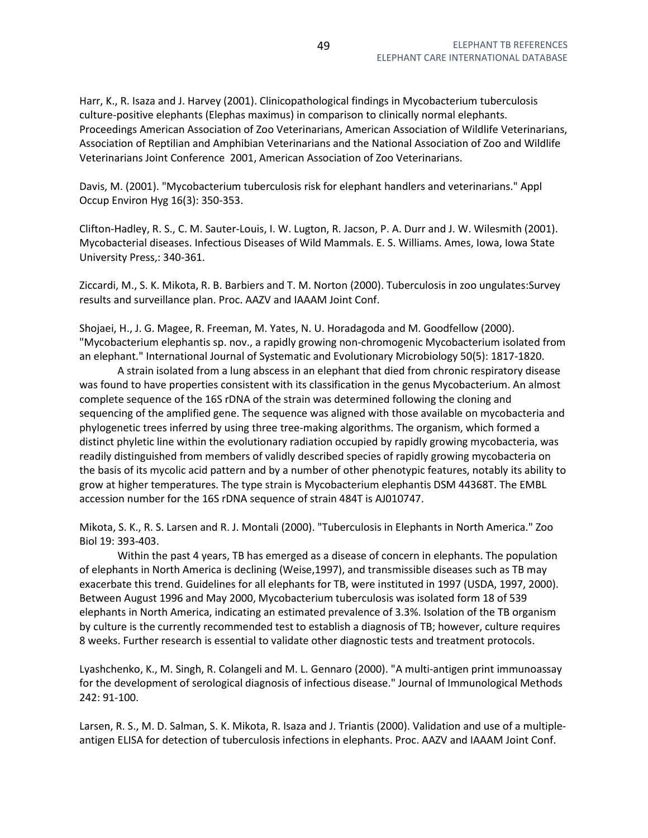Harr, K., R. Isaza and J. Harvey (2001). Clinicopathological findings in Mycobacterium tuberculosis culture-positive elephants (Elephas maximus) in comparison to clinically normal elephants. Proceedings American Association of Zoo Veterinarians, American Association of Wildlife Veterinarians, Association of Reptilian and Amphibian Veterinarians and the National Association of Zoo and Wildlife Veterinarians Joint Conference 2001, American Association of Zoo Veterinarians.

Davis, M. (2001). "Mycobacterium tuberculosis risk for elephant handlers and veterinarians." Appl Occup Environ Hyg 16(3): 350-353.

Clifton-Hadley, R. S., C. M. Sauter-Louis, I. W. Lugton, R. Jacson, P. A. Durr and J. W. Wilesmith (2001). Mycobacterial diseases. Infectious Diseases of Wild Mammals. E. S. Williams. Ames, Iowa, Iowa State University Press,: 340-361.

Ziccardi, M., S. K. Mikota, R. B. Barbiers and T. M. Norton (2000). Tuberculosis in zoo ungulates:Survey results and surveillance plan. Proc. AAZV and IAAAM Joint Conf.

Shojaei, H., J. G. Magee, R. Freeman, M. Yates, N. U. Horadagoda and M. Goodfellow (2000). "Mycobacterium elephantis sp. nov., a rapidly growing non-chromogenic Mycobacterium isolated from an elephant." International Journal of Systematic and Evolutionary Microbiology 50(5): 1817-1820.

 A strain isolated from a lung abscess in an elephant that died from chronic respiratory disease was found to have properties consistent with its classification in the genus Mycobacterium. An almost complete sequence of the 16S rDNA of the strain was determined following the cloning and sequencing of the amplified gene. The sequence was aligned with those available on mycobacteria and phylogenetic trees inferred by using three tree-making algorithms. The organism, which formed a distinct phyletic line within the evolutionary radiation occupied by rapidly growing mycobacteria, was readily distinguished from members of validly described species of rapidly growing mycobacteria on the basis of its mycolic acid pattern and by a number of other phenotypic features, notably its ability to grow at higher temperatures. The type strain is Mycobacterium elephantis DSM 44368T. The EMBL accession number for the 16S rDNA sequence of strain 484T is AJ010747.

Mikota, S. K., R. S. Larsen and R. J. Montali (2000). "Tuberculosis in Elephants in North America." Zoo Biol 19: 393-403.

 Within the past 4 years, TB has emerged as a disease of concern in elephants. The population of elephants in North America is declining (Weise,1997), and transmissible diseases such as TB may exacerbate this trend. Guidelines for all elephants for TB, were instituted in 1997 (USDA, 1997, 2000). Between August 1996 and May 2000, Mycobacterium tuberculosis was isolated form 18 of 539 elephants in North America, indicating an estimated prevalence of 3.3%. Isolation of the TB organism by culture is the currently recommended test to establish a diagnosis of TB; however, culture requires 8 weeks. Further research is essential to validate other diagnostic tests and treatment protocols.

Lyashchenko, K., M. Singh, R. Colangeli and M. L. Gennaro (2000). "A multi-antigen print immunoassay for the development of serological diagnosis of infectious disease." Journal of Immunological Methods 242: 91-100.

Larsen, R. S., M. D. Salman, S. K. Mikota, R. Isaza and J. Triantis (2000). Validation and use of a multipleantigen ELISA for detection of tuberculosis infections in elephants. Proc. AAZV and IAAAM Joint Conf.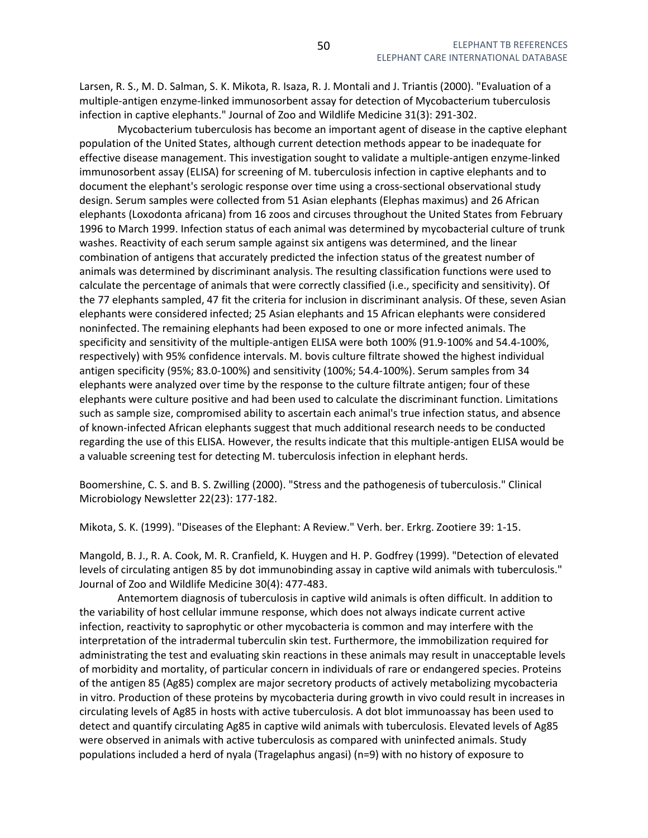Larsen, R. S., M. D. Salman, S. K. Mikota, R. Isaza, R. J. Montali and J. Triantis (2000). "Evaluation of a multiple-antigen enzyme-linked immunosorbent assay for detection of Mycobacterium tuberculosis infection in captive elephants." Journal of Zoo and Wildlife Medicine 31(3): 291-302.

 Mycobacterium tuberculosis has become an important agent of disease in the captive elephant population of the United States, although current detection methods appear to be inadequate for effective disease management. This investigation sought to validate a multiple-antigen enzyme-linked immunosorbent assay (ELISA) for screening of M. tuberculosis infection in captive elephants and to document the elephant's serologic response over time using a cross-sectional observational study design. Serum samples were collected from 51 Asian elephants (Elephas maximus) and 26 African elephants (Loxodonta africana) from 16 zoos and circuses throughout the United States from February 1996 to March 1999. Infection status of each animal was determined by mycobacterial culture of trunk washes. Reactivity of each serum sample against six antigens was determined, and the linear combination of antigens that accurately predicted the infection status of the greatest number of animals was determined by discriminant analysis. The resulting classification functions were used to calculate the percentage of animals that were correctly classified (i.e., specificity and sensitivity). Of the 77 elephants sampled, 47 fit the criteria for inclusion in discriminant analysis. Of these, seven Asian elephants were considered infected; 25 Asian elephants and 15 African elephants were considered noninfected. The remaining elephants had been exposed to one or more infected animals. The specificity and sensitivity of the multiple-antigen ELISA were both 100% (91.9-100% and 54.4-100%, respectively) with 95% confidence intervals. M. bovis culture filtrate showed the highest individual antigen specificity (95%; 83.0-100%) and sensitivity (100%; 54.4-100%). Serum samples from 34 elephants were analyzed over time by the response to the culture filtrate antigen; four of these elephants were culture positive and had been used to calculate the discriminant function. Limitations such as sample size, compromised ability to ascertain each animal's true infection status, and absence of known-infected African elephants suggest that much additional research needs to be conducted regarding the use of this ELISA. However, the results indicate that this multiple-antigen ELISA would be a valuable screening test for detecting M. tuberculosis infection in elephant herds.

Boomershine, C. S. and B. S. Zwilling (2000). "Stress and the pathogenesis of tuberculosis." Clinical Microbiology Newsletter 22(23): 177-182.

Mikota, S. K. (1999). "Diseases of the Elephant: A Review." Verh. ber. Erkrg. Zootiere 39: 1-15.

Mangold, B. J., R. A. Cook, M. R. Cranfield, K. Huygen and H. P. Godfrey (1999). "Detection of elevated levels of circulating antigen 85 by dot immunobinding assay in captive wild animals with tuberculosis." Journal of Zoo and Wildlife Medicine 30(4): 477-483.

 Antemortem diagnosis of tuberculosis in captive wild animals is often difficult. In addition to the variability of host cellular immune response, which does not always indicate current active infection, reactivity to saprophytic or other mycobacteria is common and may interfere with the interpretation of the intradermal tuberculin skin test. Furthermore, the immobilization required for administrating the test and evaluating skin reactions in these animals may result in unacceptable levels of morbidity and mortality, of particular concern in individuals of rare or endangered species. Proteins of the antigen 85 (Ag85) complex are major secretory products of actively metabolizing mycobacteria in vitro. Production of these proteins by mycobacteria during growth in vivo could result in increases in circulating levels of Ag85 in hosts with active tuberculosis. A dot blot immunoassay has been used to detect and quantify circulating Ag85 in captive wild animals with tuberculosis. Elevated levels of Ag85 were observed in animals with active tuberculosis as compared with uninfected animals. Study populations included a herd of nyala (Tragelaphus angasi) (n=9) with no history of exposure to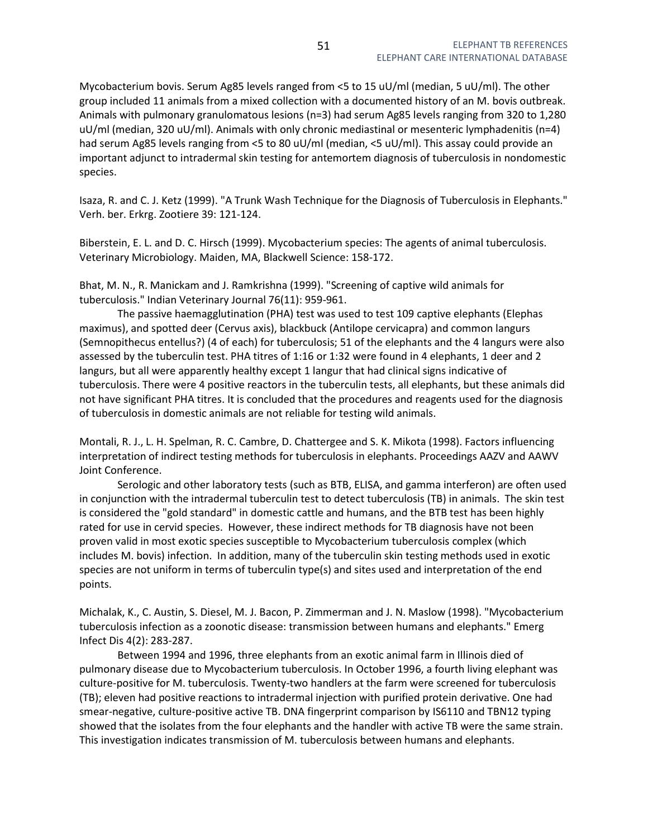Mycobacterium bovis. Serum Ag85 levels ranged from <5 to 15 uU/ml (median, 5 uU/ml). The other group included 11 animals from a mixed collection with a documented history of an M. bovis outbreak. Animals with pulmonary granulomatous lesions (n=3) had serum Ag85 levels ranging from 320 to 1,280 uU/ml (median, 320 uU/ml). Animals with only chronic mediastinal or mesenteric lymphadenitis (n=4) had serum Ag85 levels ranging from <5 to 80 uU/ml (median, <5 uU/ml). This assay could provide an important adjunct to intradermal skin testing for antemortem diagnosis of tuberculosis in nondomestic species.

Isaza, R. and C. J. Ketz (1999). "A Trunk Wash Technique for the Diagnosis of Tuberculosis in Elephants." Verh. ber. Erkrg. Zootiere 39: 121-124.

Biberstein, E. L. and D. C. Hirsch (1999). Mycobacterium species: The agents of animal tuberculosis. Veterinary Microbiology. Maiden, MA, Blackwell Science: 158-172.

Bhat, M. N., R. Manickam and J. Ramkrishna (1999). "Screening of captive wild animals for tuberculosis." Indian Veterinary Journal 76(11): 959-961.

 The passive haemagglutination (PHA) test was used to test 109 captive elephants (Elephas maximus), and spotted deer (Cervus axis), blackbuck (Antilope cervicapra) and common langurs (Semnopithecus entellus?) (4 of each) for tuberculosis; 51 of the elephants and the 4 langurs were also assessed by the tuberculin test. PHA titres of 1:16 or 1:32 were found in 4 elephants, 1 deer and 2 langurs, but all were apparently healthy except 1 langur that had clinical signs indicative of tuberculosis. There were 4 positive reactors in the tuberculin tests, all elephants, but these animals did not have significant PHA titres. It is concluded that the procedures and reagents used for the diagnosis of tuberculosis in domestic animals are not reliable for testing wild animals.

Montali, R. J., L. H. Spelman, R. C. Cambre, D. Chattergee and S. K. Mikota (1998). Factors influencing interpretation of indirect testing methods for tuberculosis in elephants. Proceedings AAZV and AAWV Joint Conference.

 Serologic and other laboratory tests (such as BTB, ELISA, and gamma interferon) are often used in conjunction with the intradermal tuberculin test to detect tuberculosis (TB) in animals. The skin test is considered the "gold standard" in domestic cattle and humans, and the BTB test has been highly rated for use in cervid species. However, these indirect methods for TB diagnosis have not been proven valid in most exotic species susceptible to Mycobacterium tuberculosis complex (which includes M. bovis) infection. In addition, many of the tuberculin skin testing methods used in exotic species are not uniform in terms of tuberculin type(s) and sites used and interpretation of the end points.

Michalak, K., C. Austin, S. Diesel, M. J. Bacon, P. Zimmerman and J. N. Maslow (1998). "Mycobacterium tuberculosis infection as a zoonotic disease: transmission between humans and elephants." Emerg Infect Dis 4(2): 283-287.

 Between 1994 and 1996, three elephants from an exotic animal farm in Illinois died of pulmonary disease due to Mycobacterium tuberculosis. In October 1996, a fourth living elephant was culture-positive for M. tuberculosis. Twenty-two handlers at the farm were screened for tuberculosis (TB); eleven had positive reactions to intradermal injection with purified protein derivative. One had smear-negative, culture-positive active TB. DNA fingerprint comparison by IS6110 and TBN12 typing showed that the isolates from the four elephants and the handler with active TB were the same strain. This investigation indicates transmission of M. tuberculosis between humans and elephants.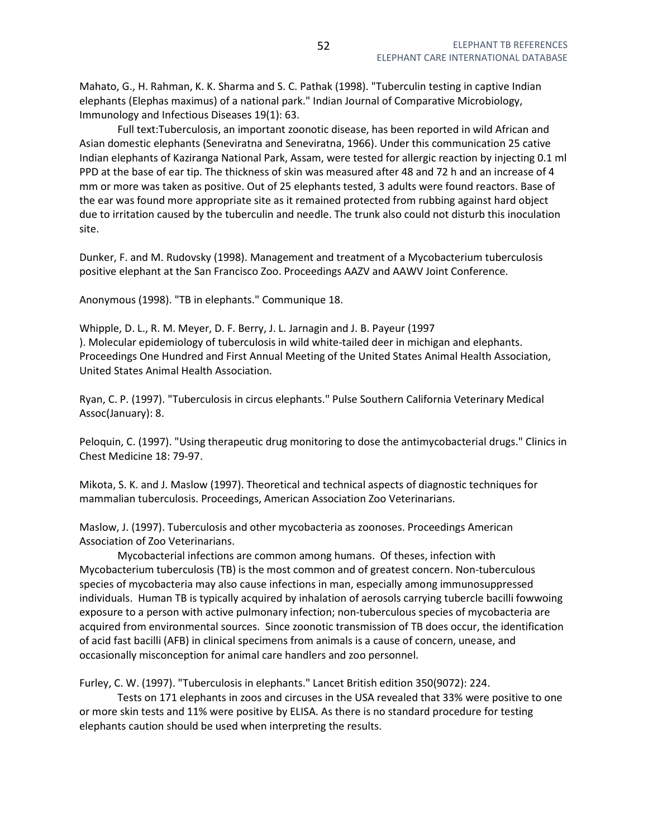Mahato, G., H. Rahman, K. K. Sharma and S. C. Pathak (1998). "Tuberculin testing in captive Indian elephants (Elephas maximus) of a national park." Indian Journal of Comparative Microbiology, Immunology and Infectious Diseases 19(1): 63.

 Full text:Tuberculosis, an important zoonotic disease, has been reported in wild African and Asian domestic elephants (Seneviratna and Seneviratna, 1966). Under this communication 25 cative Indian elephants of Kaziranga National Park, Assam, were tested for allergic reaction by injecting 0.1 ml PPD at the base of ear tip. The thickness of skin was measured after 48 and 72 h and an increase of 4 mm or more was taken as positive. Out of 25 elephants tested, 3 adults were found reactors. Base of the ear was found more appropriate site as it remained protected from rubbing against hard object due to irritation caused by the tuberculin and needle. The trunk also could not disturb this inoculation site.

Dunker, F. and M. Rudovsky (1998). Management and treatment of a Mycobacterium tuberculosis positive elephant at the San Francisco Zoo. Proceedings AAZV and AAWV Joint Conference.

Anonymous (1998). "TB in elephants." Communique 18.

Whipple, D. L., R. M. Meyer, D. F. Berry, J. L. Jarnagin and J. B. Payeur (1997 ). Molecular epidemiology of tuberculosis in wild white-tailed deer in michigan and elephants. Proceedings One Hundred and First Annual Meeting of the United States Animal Health Association, United States Animal Health Association.

Ryan, C. P. (1997). "Tuberculosis in circus elephants." Pulse Southern California Veterinary Medical Assoc(January): 8.

Peloquin, C. (1997). "Using therapeutic drug monitoring to dose the antimycobacterial drugs." Clinics in Chest Medicine 18: 79-97.

Mikota, S. K. and J. Maslow (1997). Theoretical and technical aspects of diagnostic techniques for mammalian tuberculosis. Proceedings, American Association Zoo Veterinarians.

Maslow, J. (1997). Tuberculosis and other mycobacteria as zoonoses. Proceedings American Association of Zoo Veterinarians.

 Mycobacterial infections are common among humans. Of theses, infection with Mycobacterium tuberculosis (TB) is the most common and of greatest concern. Non-tuberculous species of mycobacteria may also cause infections in man, especially among immunosuppressed individuals. Human TB is typically acquired by inhalation of aerosols carrying tubercle bacilli fowwoing exposure to a person with active pulmonary infection; non-tuberculous species of mycobacteria are acquired from environmental sources. Since zoonotic transmission of TB does occur, the identification of acid fast bacilli (AFB) in clinical specimens from animals is a cause of concern, unease, and occasionally misconception for animal care handlers and zoo personnel.

Furley, C. W. (1997). "Tuberculosis in elephants." Lancet British edition 350(9072): 224.

 Tests on 171 elephants in zoos and circuses in the USA revealed that 33% were positive to one or more skin tests and 11% were positive by ELISA. As there is no standard procedure for testing elephants caution should be used when interpreting the results.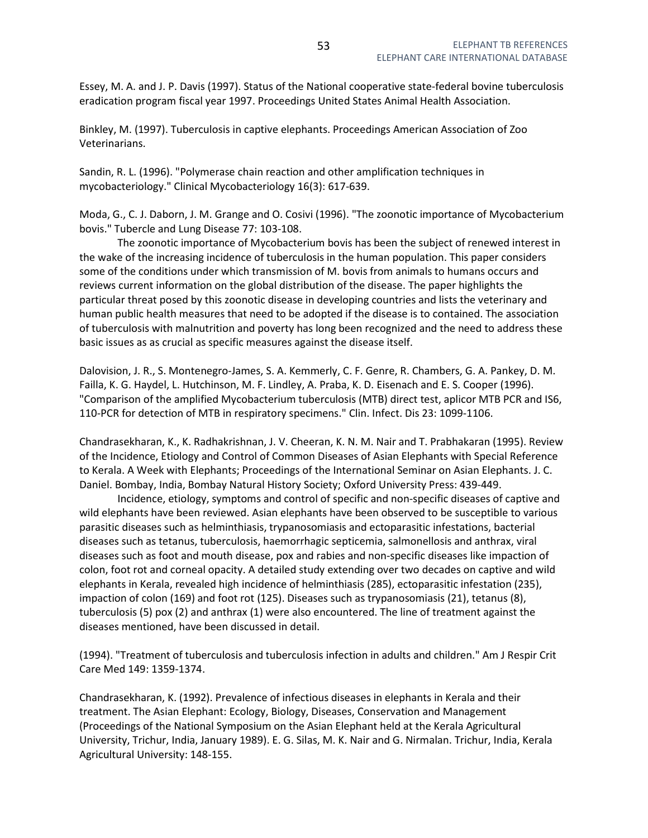Essey, M. A. and J. P. Davis (1997). Status of the National cooperative state-federal bovine tuberculosis eradication program fiscal year 1997. Proceedings United States Animal Health Association.

Binkley, M. (1997). Tuberculosis in captive elephants. Proceedings American Association of Zoo Veterinarians.

Sandin, R. L. (1996). "Polymerase chain reaction and other amplification techniques in mycobacteriology." Clinical Mycobacteriology 16(3): 617-639.

Moda, G., C. J. Daborn, J. M. Grange and O. Cosivi (1996). "The zoonotic importance of Mycobacterium bovis." Tubercle and Lung Disease 77: 103-108.

 The zoonotic importance of Mycobacterium bovis has been the subject of renewed interest in the wake of the increasing incidence of tuberculosis in the human population. This paper considers some of the conditions under which transmission of M. bovis from animals to humans occurs and reviews current information on the global distribution of the disease. The paper highlights the particular threat posed by this zoonotic disease in developing countries and lists the veterinary and human public health measures that need to be adopted if the disease is to contained. The association of tuberculosis with malnutrition and poverty has long been recognized and the need to address these basic issues as as crucial as specific measures against the disease itself.

Dalovision, J. R., S. Montenegro-James, S. A. Kemmerly, C. F. Genre, R. Chambers, G. A. Pankey, D. M. Failla, K. G. Haydel, L. Hutchinson, M. F. Lindley, A. Praba, K. D. Eisenach and E. S. Cooper (1996). "Comparison of the amplified Mycobacterium tuberculosis (MTB) direct test, aplicor MTB PCR and IS6, 110-PCR for detection of MTB in respiratory specimens." Clin. Infect. Dis 23: 1099-1106.

Chandrasekharan, K., K. Radhakrishnan, J. V. Cheeran, K. N. M. Nair and T. Prabhakaran (1995). Review of the Incidence, Etiology and Control of Common Diseases of Asian Elephants with Special Reference to Kerala. A Week with Elephants; Proceedings of the International Seminar on Asian Elephants. J. C. Daniel. Bombay, India, Bombay Natural History Society; Oxford University Press: 439-449.

 Incidence, etiology, symptoms and control of specific and non-specific diseases of captive and wild elephants have been reviewed. Asian elephants have been observed to be susceptible to various parasitic diseases such as helminthiasis, trypanosomiasis and ectoparasitic infestations, bacterial diseases such as tetanus, tuberculosis, haemorrhagic septicemia, salmonellosis and anthrax, viral diseases such as foot and mouth disease, pox and rabies and non-specific diseases like impaction of colon, foot rot and corneal opacity. A detailed study extending over two decades on captive and wild elephants in Kerala, revealed high incidence of helminthiasis (285), ectoparasitic infestation (235), impaction of colon (169) and foot rot (125). Diseases such as trypanosomiasis (21), tetanus (8), tuberculosis (5) pox (2) and anthrax (1) were also encountered. The line of treatment against the diseases mentioned, have been discussed in detail.

(1994). "Treatment of tuberculosis and tuberculosis infection in adults and children." Am J Respir Crit Care Med 149: 1359-1374.

Chandrasekharan, K. (1992). Prevalence of infectious diseases in elephants in Kerala and their treatment. The Asian Elephant: Ecology, Biology, Diseases, Conservation and Management (Proceedings of the National Symposium on the Asian Elephant held at the Kerala Agricultural University, Trichur, India, January 1989). E. G. Silas, M. K. Nair and G. Nirmalan. Trichur, India, Kerala Agricultural University: 148-155.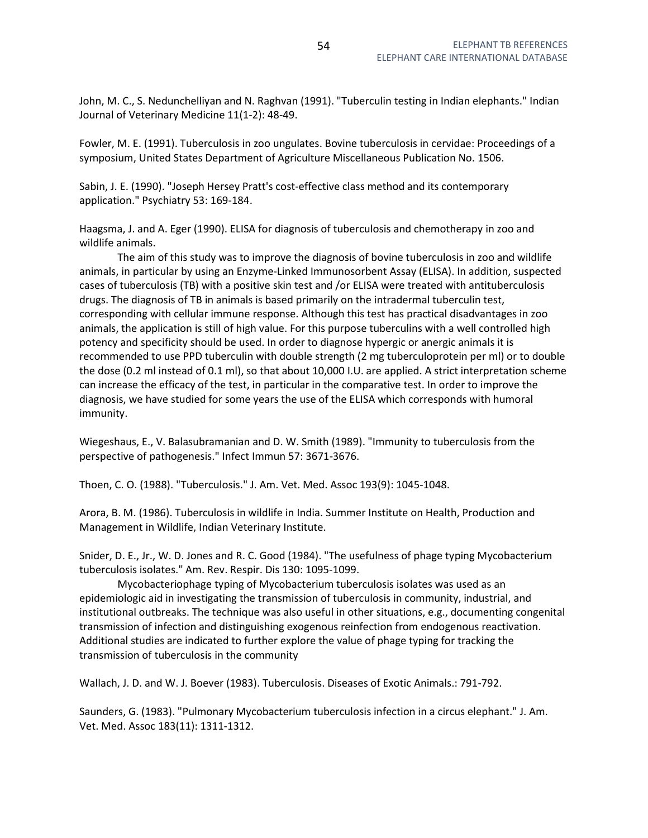John, M. C., S. Nedunchelliyan and N. Raghvan (1991). "Tuberculin testing in Indian elephants." Indian Journal of Veterinary Medicine 11(1-2): 48-49.

Fowler, M. E. (1991). Tuberculosis in zoo ungulates. Bovine tuberculosis in cervidae: Proceedings of a symposium, United States Department of Agriculture Miscellaneous Publication No. 1506.

Sabin, J. E. (1990). "Joseph Hersey Pratt's cost-effective class method and its contemporary application." Psychiatry 53: 169-184.

Haagsma, J. and A. Eger (1990). ELISA for diagnosis of tuberculosis and chemotherapy in zoo and wildlife animals.

 The aim of this study was to improve the diagnosis of bovine tuberculosis in zoo and wildlife animals, in particular by using an Enzyme-Linked Immunosorbent Assay (ELISA). In addition, suspected cases of tuberculosis (TB) with a positive skin test and /or ELISA were treated with antituberculosis drugs. The diagnosis of TB in animals is based primarily on the intradermal tuberculin test, corresponding with cellular immune response. Although this test has practical disadvantages in zoo animals, the application is still of high value. For this purpose tuberculins with a well controlled high potency and specificity should be used. In order to diagnose hypergic or anergic animals it is recommended to use PPD tuberculin with double strength (2 mg tuberculoprotein per ml) or to double the dose (0.2 ml instead of 0.1 ml), so that about 10,000 I.U. are applied. A strict interpretation scheme can increase the efficacy of the test, in particular in the comparative test. In order to improve the diagnosis, we have studied for some years the use of the ELISA which corresponds with humoral immunity.

Wiegeshaus, E., V. Balasubramanian and D. W. Smith (1989). "Immunity to tuberculosis from the perspective of pathogenesis." Infect Immun 57: 3671-3676.

Thoen, C. O. (1988). "Tuberculosis." J. Am. Vet. Med. Assoc 193(9): 1045-1048.

Arora, B. M. (1986). Tuberculosis in wildlife in India. Summer Institute on Health, Production and Management in Wildlife, Indian Veterinary Institute.

Snider, D. E., Jr., W. D. Jones and R. C. Good (1984). "The usefulness of phage typing Mycobacterium tuberculosis isolates." Am. Rev. Respir. Dis 130: 1095-1099.

 Mycobacteriophage typing of Mycobacterium tuberculosis isolates was used as an epidemiologic aid in investigating the transmission of tuberculosis in community, industrial, and institutional outbreaks. The technique was also useful in other situations, e.g., documenting congenital transmission of infection and distinguishing exogenous reinfection from endogenous reactivation. Additional studies are indicated to further explore the value of phage typing for tracking the transmission of tuberculosis in the community

Wallach, J. D. and W. J. Boever (1983). Tuberculosis. Diseases of Exotic Animals.: 791-792.

Saunders, G. (1983). "Pulmonary Mycobacterium tuberculosis infection in a circus elephant." J. Am. Vet. Med. Assoc 183(11): 1311-1312.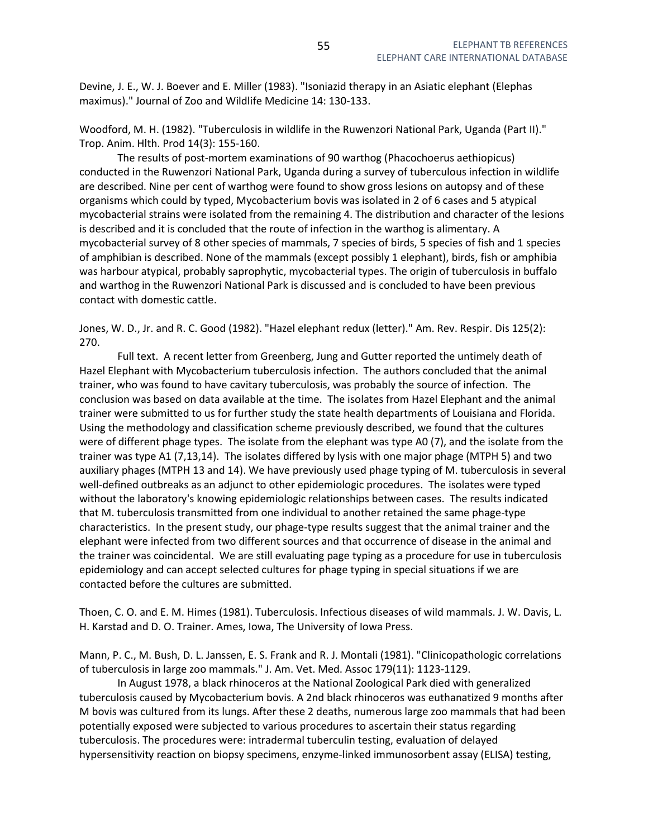Devine, J. E., W. J. Boever and E. Miller (1983). "Isoniazid therapy in an Asiatic elephant (Elephas maximus)." Journal of Zoo and Wildlife Medicine 14: 130-133.

Woodford, M. H. (1982). "Tuberculosis in wildlife in the Ruwenzori National Park, Uganda (Part II)." Trop. Anim. Hlth. Prod 14(3): 155-160.

 The results of post-mortem examinations of 90 warthog (Phacochoerus aethiopicus) conducted in the Ruwenzori National Park, Uganda during a survey of tuberculous infection in wildlife are described. Nine per cent of warthog were found to show gross lesions on autopsy and of these organisms which could by typed, Mycobacterium bovis was isolated in 2 of 6 cases and 5 atypical mycobacterial strains were isolated from the remaining 4. The distribution and character of the lesions is described and it is concluded that the route of infection in the warthog is alimentary. A mycobacterial survey of 8 other species of mammals, 7 species of birds, 5 species of fish and 1 species of amphibian is described. None of the mammals (except possibly 1 elephant), birds, fish or amphibia was harbour atypical, probably saprophytic, mycobacterial types. The origin of tuberculosis in buffalo and warthog in the Ruwenzori National Park is discussed and is concluded to have been previous contact with domestic cattle.

Jones, W. D., Jr. and R. C. Good (1982). "Hazel elephant redux (letter)." Am. Rev. Respir. Dis 125(2): 270.

 Full text. A recent letter from Greenberg, Jung and Gutter reported the untimely death of Hazel Elephant with Mycobacterium tuberculosis infection. The authors concluded that the animal trainer, who was found to have cavitary tuberculosis, was probably the source of infection. The conclusion was based on data available at the time. The isolates from Hazel Elephant and the animal trainer were submitted to us for further study the state health departments of Louisiana and Florida. Using the methodology and classification scheme previously described, we found that the cultures were of different phage types. The isolate from the elephant was type A0 (7), and the isolate from the trainer was type A1 (7,13,14). The isolates differed by lysis with one major phage (MTPH 5) and two auxiliary phages (MTPH 13 and 14). We have previously used phage typing of M. tuberculosis in several well-defined outbreaks as an adjunct to other epidemiologic procedures. The isolates were typed without the laboratory's knowing epidemiologic relationships between cases. The results indicated that M. tuberculosis transmitted from one individual to another retained the same phage-type characteristics. In the present study, our phage-type results suggest that the animal trainer and the elephant were infected from two different sources and that occurrence of disease in the animal and the trainer was coincidental. We are still evaluating page typing as a procedure for use in tuberculosis epidemiology and can accept selected cultures for phage typing in special situations if we are contacted before the cultures are submitted.

Thoen, C. O. and E. M. Himes (1981). Tuberculosis. Infectious diseases of wild mammals. J. W. Davis, L. H. Karstad and D. O. Trainer. Ames, Iowa, The University of Iowa Press.

Mann, P. C., M. Bush, D. L. Janssen, E. S. Frank and R. J. Montali (1981). "Clinicopathologic correlations of tuberculosis in large zoo mammals." J. Am. Vet. Med. Assoc 179(11): 1123-1129.

 In August 1978, a black rhinoceros at the National Zoological Park died with generalized tuberculosis caused by Mycobacterium bovis. A 2nd black rhinoceros was euthanatized 9 months after M bovis was cultured from its lungs. After these 2 deaths, numerous large zoo mammals that had been potentially exposed were subjected to various procedures to ascertain their status regarding tuberculosis. The procedures were: intradermal tuberculin testing, evaluation of delayed hypersensitivity reaction on biopsy specimens, enzyme-linked immunosorbent assay (ELISA) testing,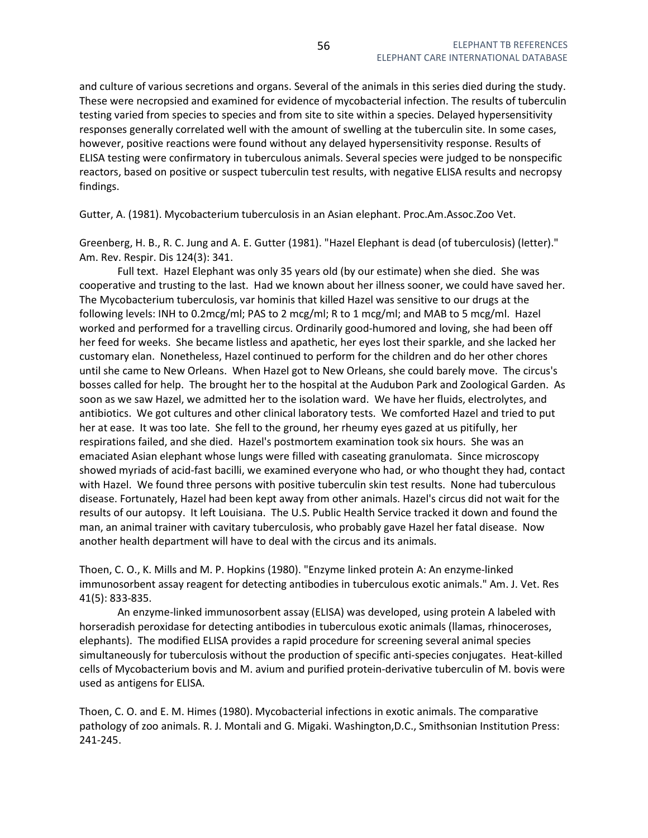and culture of various secretions and organs. Several of the animals in this series died during the study. These were necropsied and examined for evidence of mycobacterial infection. The results of tuberculin testing varied from species to species and from site to site within a species. Delayed hypersensitivity responses generally correlated well with the amount of swelling at the tuberculin site. In some cases, however, positive reactions were found without any delayed hypersensitivity response. Results of ELISA testing were confirmatory in tuberculous animals. Several species were judged to be nonspecific reactors, based on positive or suspect tuberculin test results, with negative ELISA results and necropsy findings.

Gutter, A. (1981). Mycobacterium tuberculosis in an Asian elephant. Proc.Am.Assoc.Zoo Vet.

Greenberg, H. B., R. C. Jung and A. E. Gutter (1981). "Hazel Elephant is dead (of tuberculosis) (letter)." Am. Rev. Respir. Dis 124(3): 341.

 Full text. Hazel Elephant was only 35 years old (by our estimate) when she died. She was cooperative and trusting to the last. Had we known about her illness sooner, we could have saved her. The Mycobacterium tuberculosis, var hominis that killed Hazel was sensitive to our drugs at the following levels: INH to 0.2mcg/ml; PAS to 2 mcg/ml; R to 1 mcg/ml; and MAB to 5 mcg/ml. Hazel worked and performed for a travelling circus. Ordinarily good-humored and loving, she had been off her feed for weeks. She became listless and apathetic, her eyes lost their sparkle, and she lacked her customary elan. Nonetheless, Hazel continued to perform for the children and do her other chores until she came to New Orleans. When Hazel got to New Orleans, she could barely move. The circus's bosses called for help. The brought her to the hospital at the Audubon Park and Zoological Garden. As soon as we saw Hazel, we admitted her to the isolation ward. We have her fluids, electrolytes, and antibiotics. We got cultures and other clinical laboratory tests. We comforted Hazel and tried to put her at ease. It was too late. She fell to the ground, her rheumy eyes gazed at us pitifully, her respirations failed, and she died. Hazel's postmortem examination took six hours. She was an emaciated Asian elephant whose lungs were filled with caseating granulomata. Since microscopy showed myriads of acid-fast bacilli, we examined everyone who had, or who thought they had, contact with Hazel. We found three persons with positive tuberculin skin test results. None had tuberculous disease. Fortunately, Hazel had been kept away from other animals. Hazel's circus did not wait for the results of our autopsy. It left Louisiana. The U.S. Public Health Service tracked it down and found the man, an animal trainer with cavitary tuberculosis, who probably gave Hazel her fatal disease. Now another health department will have to deal with the circus and its animals.

Thoen, C. O., K. Mills and M. P. Hopkins (1980). "Enzyme linked protein A: An enzyme-linked immunosorbent assay reagent for detecting antibodies in tuberculous exotic animals." Am. J. Vet. Res 41(5): 833-835.

 An enzyme-linked immunosorbent assay (ELISA) was developed, using protein A labeled with horseradish peroxidase for detecting antibodies in tuberculous exotic animals (llamas, rhinoceroses, elephants). The modified ELISA provides a rapid procedure for screening several animal species simultaneously for tuberculosis without the production of specific anti-species conjugates. Heat-killed cells of Mycobacterium bovis and M. avium and purified protein-derivative tuberculin of M. bovis were used as antigens for ELISA.

Thoen, C. O. and E. M. Himes (1980). Mycobacterial infections in exotic animals. The comparative pathology of zoo animals. R. J. Montali and G. Migaki. Washington,D.C., Smithsonian Institution Press: 241-245.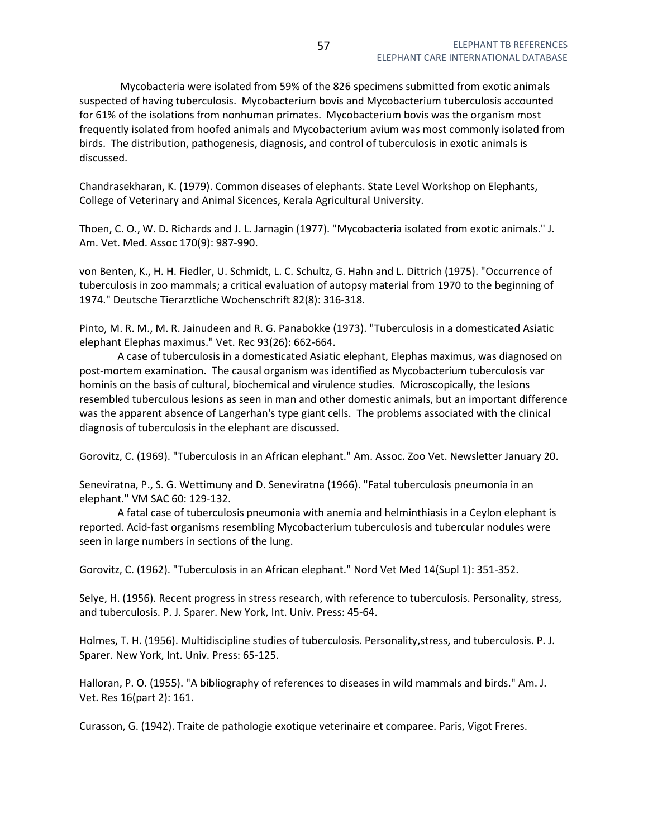Mycobacteria were isolated from 59% of the 826 specimens submitted from exotic animals suspected of having tuberculosis. Mycobacterium bovis and Mycobacterium tuberculosis accounted for 61% of the isolations from nonhuman primates. Mycobacterium bovis was the organism most frequently isolated from hoofed animals and Mycobacterium avium was most commonly isolated from birds. The distribution, pathogenesis, diagnosis, and control of tuberculosis in exotic animals is discussed.

Chandrasekharan, K. (1979). Common diseases of elephants. State Level Workshop on Elephants, College of Veterinary and Animal Sicences, Kerala Agricultural University.

Thoen, C. O., W. D. Richards and J. L. Jarnagin (1977). "Mycobacteria isolated from exotic animals." J. Am. Vet. Med. Assoc 170(9): 987-990.

von Benten, K., H. H. Fiedler, U. Schmidt, L. C. Schultz, G. Hahn and L. Dittrich (1975). "Occurrence of tuberculosis in zoo mammals; a critical evaluation of autopsy material from 1970 to the beginning of 1974." Deutsche Tierarztliche Wochenschrift 82(8): 316-318.

Pinto, M. R. M., M. R. Jainudeen and R. G. Panabokke (1973). "Tuberculosis in a domesticated Asiatic elephant Elephas maximus." Vet. Rec 93(26): 662-664.

 A case of tuberculosis in a domesticated Asiatic elephant, Elephas maximus, was diagnosed on post-mortem examination. The causal organism was identified as Mycobacterium tuberculosis var hominis on the basis of cultural, biochemical and virulence studies. Microscopically, the lesions resembled tuberculous lesions as seen in man and other domestic animals, but an important difference was the apparent absence of Langerhan's type giant cells. The problems associated with the clinical diagnosis of tuberculosis in the elephant are discussed.

Gorovitz, C. (1969). "Tuberculosis in an African elephant." Am. Assoc. Zoo Vet. Newsletter January 20.

Seneviratna, P., S. G. Wettimuny and D. Seneviratna (1966). "Fatal tuberculosis pneumonia in an elephant." VM SAC 60: 129-132.

 A fatal case of tuberculosis pneumonia with anemia and helminthiasis in a Ceylon elephant is reported. Acid-fast organisms resembling Mycobacterium tuberculosis and tubercular nodules were seen in large numbers in sections of the lung.

Gorovitz, C. (1962). "Tuberculosis in an African elephant." Nord Vet Med 14(Supl 1): 351-352.

Selye, H. (1956). Recent progress in stress research, with reference to tuberculosis. Personality, stress, and tuberculosis. P. J. Sparer. New York, Int. Univ. Press: 45-64.

Holmes, T. H. (1956). Multidiscipline studies of tuberculosis. Personality,stress, and tuberculosis. P. J. Sparer. New York, Int. Univ. Press: 65-125.

Halloran, P. O. (1955). "A bibliography of references to diseases in wild mammals and birds." Am. J. Vet. Res 16(part 2): 161.

Curasson, G. (1942). Traite de pathologie exotique veterinaire et comparee. Paris, Vigot Freres.